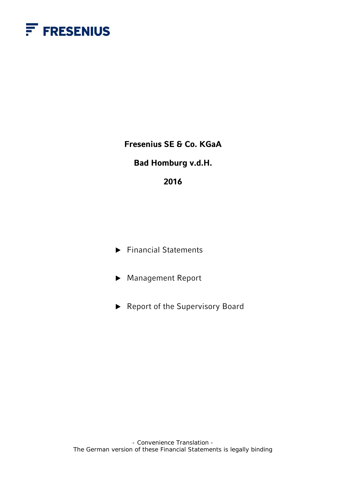

**Fresenius SE & Co. KGaA** 

# **Bad Homburg v.d.H.**

# **2016**

▶ Financial Statements

▶ Management Report

▶ Report of the Supervisory Board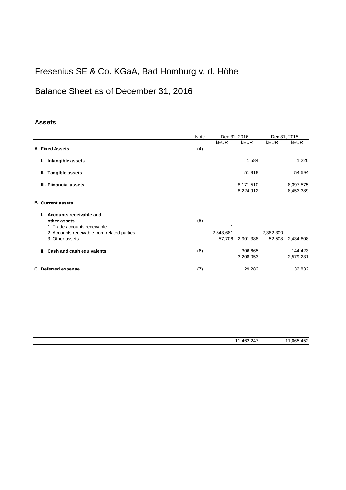# Fresenius SE & Co. KGaA, Bad Homburg v. d. Höhe

# Balance Sheet as of December 31, 2016

# **Assets**

|                                             | <b>Note</b> | Dec 31, 2016 |             | Dec 31, 2015 |             |
|---------------------------------------------|-------------|--------------|-------------|--------------|-------------|
|                                             |             | <b>kEUR</b>  | <b>kEUR</b> | <b>kEUR</b>  | <b>kEUR</b> |
| A. Fixed Assets                             | (4)         |              |             |              |             |
| Intangible assets                           |             |              | 1,584       |              | 1,220       |
| II. Tangible assets                         |             |              | 51,818      |              | 54,594      |
| III. Fiinancial assets                      |             |              | 8,171,510   |              | 8,397,575   |
|                                             |             |              | 8,224,912   |              | 8,453,389   |
| <b>B. Current assets</b>                    |             |              |             |              |             |
| Accounts receivable and                     |             |              |             |              |             |
| other assets                                | (5)         |              |             |              |             |
| 1. Trade accounts receivable                |             | 1            |             |              |             |
| 2. Accounts receivable from related parties |             | 2,843,681    |             | 2,382,300    |             |
| 3. Other assets                             |             | 57,706       | 2,901,388   | 52,508       | 2,434,808   |
| II. Cash and cash equivalents               | (6)         |              | 306,665     |              | 144,423     |
|                                             |             |              | 3,208,053   |              | 2,579,231   |
| C. Deferred expense                         | (7)         |              | 29,282      |              | 32,832      |

| $\sim$ $\sim$<br>462<br>$\overline{A}$<br>. $\Delta$<br>- - -<br>. | $\overline{\phantom{a}}$<br>065<br>4 <sup>6</sup><br>472<br>$\cdot$ $\sim$ |
|--------------------------------------------------------------------|----------------------------------------------------------------------------|
|                                                                    |                                                                            |
|                                                                    |                                                                            |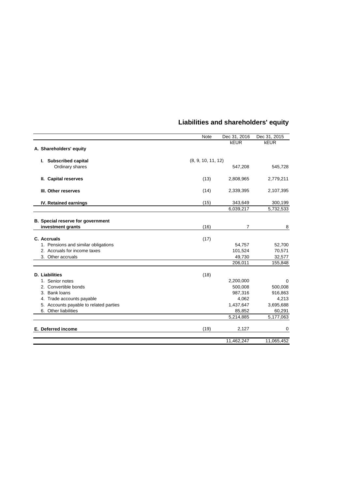|                                        | Note               | Dec 31, 2016   | Dec 31, 2015 |
|----------------------------------------|--------------------|----------------|--------------|
|                                        |                    | <b>kEUR</b>    | <b>kEUR</b>  |
| A. Shareholders' equity                |                    |                |              |
| I. Subscribed capital                  | (8, 9, 10, 11, 12) |                |              |
| Ordinary shares                        |                    | 547,208        | 545,728      |
| II. Capital reserves                   | (13)               | 2,808,965      | 2,779,211    |
| III. Other reserves                    | (14)               | 2,339,395      | 2,107,395    |
| IV. Retained earnings                  | (15)               | 343,649        | 300,199      |
|                                        |                    | 6,039,217      | 5,732,533    |
| B. Special reserve for government      |                    |                |              |
| investment grants                      | (16)               | $\overline{7}$ | 8            |
|                                        |                    |                |              |
| C. Accruals                            | (17)               |                |              |
| 1. Pensions and similar obligations    |                    | 54,757         | 52,700       |
| 2. Accruals for income taxes           |                    | 101,524        | 70,571       |
| 3. Other accruals                      |                    | 49.730         | 32,577       |
|                                        |                    | 206,011        | 155,848      |
| <b>D.</b> Liabilities                  | (18)               |                |              |
| 1. Senior notes                        |                    | 2,200,000      | $\mathbf 0$  |
| 2. Convertible bonds                   |                    | 500,008        | 500,008      |
| 3. Bank loans                          |                    | 987,316        | 916,863      |
| 4. Trade accounts payable              |                    | 4,062          | 4,213        |
| 5. Accounts payable to related parties |                    | 1,437,647      | 3,695,688    |
| 6. Other liabilities                   |                    | 85,852         | 60,291       |
|                                        |                    | 5,214,885      | 5,177,063    |
| E. Deferred income                     | (19)               | 2,127          | 0            |
|                                        |                    | 11,462,247     | 11,065,452   |
|                                        |                    |                |              |

# **Liabilities and shareholders' equity**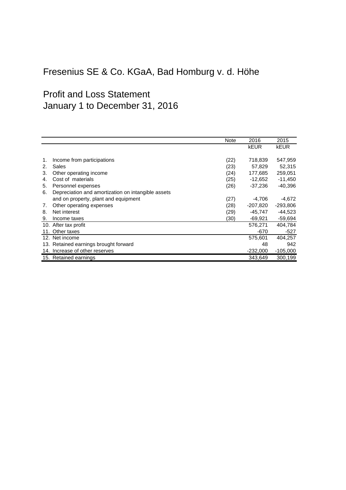# Fresenius SE & Co. KGaA, Bad Homburg v. d. Höhe

# Profit and Loss Statement January 1 to December 31, 2016

|    |                                                    | <b>Note</b> | 2016        | 2015        |
|----|----------------------------------------------------|-------------|-------------|-------------|
|    |                                                    |             | <b>kEUR</b> | <b>kEUR</b> |
|    |                                                    |             |             |             |
|    | Income from participations                         | (22)        | 718,839     | 547,959     |
| 2. | Sales                                              | (23)        | 57,829      | 52,315      |
| 3. | Other operating income                             | (24)        | 177,685     | 259,051     |
| 4. | Cost of materials                                  | (25)        | $-12,652$   | $-11,450$   |
| 5. | Personnel expenses                                 | (26)        | $-37,236$   | $-40,396$   |
| 6. | Depreciation and amortization on intangible assets |             |             |             |
|    | and on property, plant and equipment               | (27)        | -4,706      | $-4,672$    |
| 7. | Other operating expenses                           | (28)        | $-207,820$  | $-293,806$  |
| 8. | Net interest                                       | (29)        | $-45,747$   | $-44,523$   |
| 9. | Income taxes                                       | (30)        | -69,921     | -59,694     |
|    | 10. After tax profit                               |             | 576,271     | 404,784     |
|    | 11. Other taxes                                    |             | $-670$      | $-527$      |
|    | 12. Net income                                     |             | 575,601     | 404,257     |
|    | 13. Retained earnings brought forward              |             | 48          | 942         |
|    | 14. Increase of other reserves                     |             | -232,000    | $-105,000$  |
|    | 15. Retained earnings                              |             | 343.649     | 300.199     |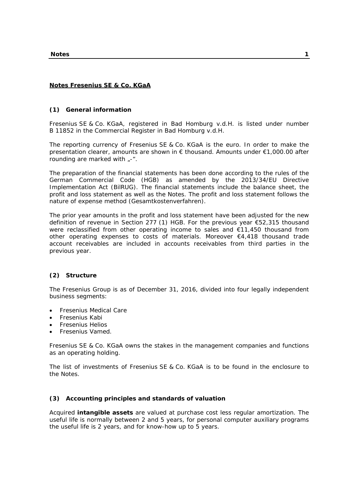# **Notes Fresenius SE & Co. KGaA**

# **(1) General information**

Fresenius SE & Co. KGaA, registered in Bad Homburg v.d.H. is listed under number B 11852 in the Commercial Register in Bad Homburg v.d.H.

The reporting currency of Fresenius SE & Co. KGaA is the euro. In order to make the presentation clearer, amounts are shown in € thousand. Amounts under €1,000.00 after rounding are marked with  $<sub>r</sub>$ -".</sub>

The preparation of the financial statements has been done according to the rules of the German Commercial Code (HGB) as amended by the 2013/34/EU Directive Implementation Act (BilRUG). The financial statements include the balance sheet, the profit and loss statement as well as the Notes. The profit and loss statement follows the nature of expense method (Gesamtkostenverfahren).

The prior year amounts in the profit and loss statement have been adjusted for the new definition of revenue in Section 277 (1) HGB. For the previous year €52,315 thousand were reclassified from other operating income to sales and €11,450 thousand from other operating expenses to costs of materials. Moreover €4,418 thousand trade account receivables are included in accounts receivables from third parties in the previous year.

# **(2) Structure**

The Fresenius Group is as of December 31, 2016, divided into four legally independent business segments:

- Fresenius Medical Care
- Fresenius Kabi
- Fresenius Helios
- Fresenius Vamed.

Fresenius SE & Co. KGaA owns the stakes in the management companies and functions as an operating holding.

The list of investments of Fresenius SE & Co. KGaA is to be found in the enclosure to the Notes.

# **(3) Accounting principles and standards of valuation**

Acquired **intangible assets** are valued at purchase cost less regular amortization. The useful life is normally between 2 and 5 years, for personal computer auxiliary programs the useful life is 2 years, and for know-how up to 5 years.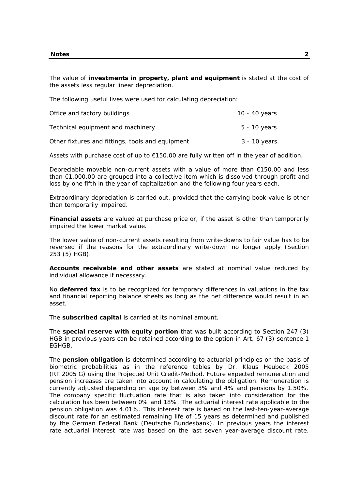The value of **investments in property, plant and equipment** is stated at the cost of the assets less regular linear depreciation.

The following useful lives were used for calculating depreciation:

| Office and factory buildings                     | 10 - 40 years |
|--------------------------------------------------|---------------|
| Technical equipment and machinery                | 5 - 10 years  |
| Other fixtures and fittings, tools and equipment | 3 - 10 years. |

Assets with purchase cost of up to €150.00 are fully written off in the year of addition.

Depreciable movable non-current assets with a value of more than €150.00 and less than €1,000.00 are grouped into a collective item which is dissolved through profit and loss by one fifth in the year of capitalization and the following four years each.

Extraordinary depreciation is carried out, provided that the carrying book value is other than temporarily impaired.

**Financial assets** are valued at purchase price or, if the asset is other than temporarily impaired the lower market value.

The lower value of non-current assets resulting from write-downs to fair value has to be reversed if the reasons for the extraordinary write-down no longer apply (Section 253 (5) HGB).

**Accounts receivable and other assets** are stated at nominal value reduced by individual allowance if necessary.

No **deferred tax** is to be recognized for temporary differences in valuations in the tax and financial reporting balance sheets as long as the net difference would result in an asset.

The **subscribed capital** is carried at its nominal amount.

The **special reserve with equity portion** that was built according to Section 247 (3) HGB in previous years can be retained according to the option in Art. 67 (3) sentence 1 EGHGB.

The **pension obligation** is determined according to actuarial principles on the basis of biometric probabilities as in the reference tables by Dr. Klaus Heubeck 2005 (RT 2005 G) using the Projected Unit Credit-Method. Future expected remuneration and pension increases are taken into account in calculating the obligation. Remuneration is currently adjusted depending on age by between 3% and 4% and pensions by 1.50%. The company specific fluctuation rate that is also taken into consideration for the calculation has been between 0% and 18%. The actuarial interest rate applicable to the pension obligation was 4.01%. This interest rate is based on the last-ten-year-average discount rate for an estimated remaining life of 15 years as determined and published by the German Federal Bank (Deutsche Bundesbank). In previous years the interest rate actuarial interest rate was based on the last seven year-average discount rate.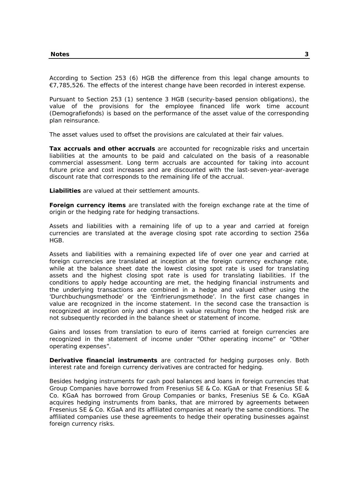According to Section 253 (6) HGB the difference from this legal change amounts to €7,785,526. The effects of the interest change have been recorded in interest expense.

Pursuant to Section 253 (1) sentence 3 HGB (security-based pension obligations), the value of the provisions for the employee financed life work time account (Demografiefonds) is based on the performance of the asset value of the corresponding plan reinsurance.

The asset values used to offset the provisions are calculated at their fair values.

**Tax accruals and other accruals** are accounted for recognizable risks and uncertain liabilities at the amounts to be paid and calculated on the basis of a reasonable commercial assessment. Long term accruals are accounted for taking into account future price and cost increases and are discounted with the last-seven-year-average discount rate that corresponds to the remaining life of the accrual.

**Liabilities** are valued at their settlement amounts.

**Foreign currency items** are translated with the foreign exchange rate at the time of origin or the hedging rate for hedging transactions.

Assets and liabilities with a remaining life of up to a year and carried at foreign currencies are translated at the average closing spot rate according to section 256a HGB.

Assets and liabilities with a remaining expected life of over one year and carried at foreign currencies are translated at inception at the foreign currency exchange rate, while at the balance sheet date the lowest closing spot rate is used for translating assets and the highest closing spot rate is used for translating liabilities. If the conditions to apply hedge accounting are met, the hedging financial instruments and the underlying transactions are combined in a hedge and valued either using the 'Durchbuchungsmethode' or the 'Einfrierungsmethode'. In the first case changes in value are recognized in the income statement. In the second case the transaction is recognized at inception only and changes in value resulting from the hedged risk are not subsequently recorded in the balance sheet or statement of income.

Gains and losses from translation to euro of items carried at foreign currencies are recognized in the statement of income under "Other operating income" or "Other operating expenses".

**Derivative financial instruments** are contracted for hedging purposes only. Both interest rate and foreign currency derivatives are contracted for hedging.

Besides hedging instruments for cash pool balances and loans in foreign currencies that Group Companies have borrowed from Fresenius SE & Co. KGaA or that Fresenius SE & Co. KGaA has borrowed from Group Companies or banks, Fresenius SE & Co. KGaA acquires hedging instruments from banks, that are mirrored by agreements between Fresenius SE & Co. KGaA and its affiliated companies at nearly the same conditions. The affiliated companies use these agreements to hedge their operating businesses against foreign currency risks.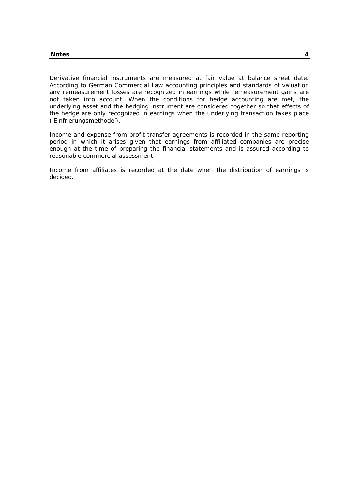Derivative financial instruments are measured at fair value at balance sheet date. According to German Commercial Law accounting principles and standards of valuation any remeasurement losses are recognized in earnings while remeasurement gains are not taken into account. When the conditions for hedge accounting are met, the underlying asset and the hedging instrument are considered together so that effects of the hedge are only recognized in earnings when the underlying transaction takes place ('Einfrierungsmethode').

Income and expense from profit transfer agreements is recorded in the same reporting period in which it arises given that earnings from affiliated companies are precise enough at the time of preparing the financial statements and is assured according to reasonable commercial assessment.

Income from affiliates is recorded at the date when the distribution of earnings is decided.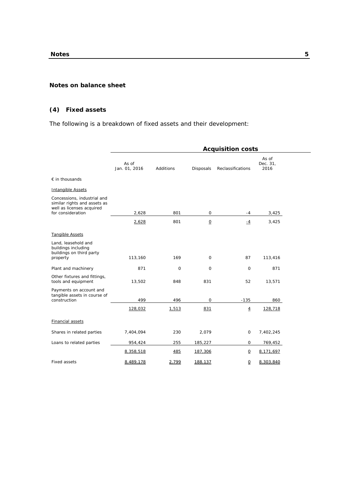## **Notes on balance sheet**

# **(4) Fixed assets**

The following is a breakdown of fixed assets and their development:

|                                                                                                               | <b>Acquisition costs</b> |             |                          |                   |                           |  |
|---------------------------------------------------------------------------------------------------------------|--------------------------|-------------|--------------------------|-------------------|---------------------------|--|
|                                                                                                               | As of<br>Jan. 01, 2016   | Additions   | Disposals                | Reclassifications | As of<br>Dec. 31,<br>2016 |  |
| $\epsilon$ in thousands                                                                                       |                          |             |                          |                   |                           |  |
| <b>Intangible Assets</b>                                                                                      |                          |             |                          |                   |                           |  |
| Concessions, industrial and<br>similar rights and assets as<br>well as licenses acquired<br>for consideration | 2,628                    | 801         | $\mathbf 0$              | $-4$              | 3,425                     |  |
|                                                                                                               | 2,628                    | 801         | $\underline{\mathsf{O}}$ | $-4$              | 3,425                     |  |
| <b>Tangible Assets</b>                                                                                        |                          |             |                          |                   |                           |  |
| Land, leasehold and<br>buildings including<br>buildings on third party<br>property                            | 113,160                  | 169         | $\mathbf 0$              | 87                | 113,416                   |  |
| Plant and machinery                                                                                           | 871                      | $\mathbf 0$ | 0                        | $\mathbf 0$       | 871                       |  |
| Other fixtures and fittings,<br>tools and equipment                                                           | 13,502                   | 848         | 831                      | 52                | 13,571                    |  |
| Payments on account and<br>tangible assets in course of<br>construction                                       | 499                      | 496         | 0                        | $-135$            | 860                       |  |
|                                                                                                               | 128,032                  | 1,513       | 831                      | $\overline{4}$    | 128,718                   |  |
| <b>Financial assets</b>                                                                                       |                          |             |                          |                   |                           |  |
| Shares in related parties                                                                                     | 7,404,094                | 230         | 2,079                    | 0                 | 7,402,245                 |  |
| Loans to related parties                                                                                      | 954,424                  | 255         | 185,227                  | 0                 | 769,452                   |  |
|                                                                                                               | 8,358,518                | 485         | 187,306                  | $\overline{0}$    | 8,171,697                 |  |
| <b>Fixed assets</b>                                                                                           | 8,489,178                | 2,799       | 188,137                  | $\Omega$          | 8,303,840                 |  |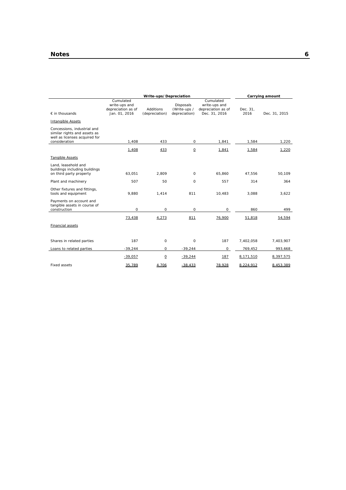| Write-ups/Depreciation                                                                                        |                                                                   |                                    |                                                   |                                                                   | Carrying amount  |               |
|---------------------------------------------------------------------------------------------------------------|-------------------------------------------------------------------|------------------------------------|---------------------------------------------------|-------------------------------------------------------------------|------------------|---------------|
| $\epsilon$ in thousands                                                                                       | Cumulated<br>write-ups and<br>depreciation as of<br>Jan. 01, 2016 | <b>Additions</b><br>(depreciation) | <b>Disposals</b><br>(Write-ups /<br>depreciation) | Cumulated<br>write-ups and<br>depreciation as of<br>Dec. 31, 2016 | Dec. 31,<br>2016 | Dec. 31, 2015 |
| Intangible Assets                                                                                             |                                                                   |                                    |                                                   |                                                                   |                  |               |
| Concessions, industrial and<br>similar rights and assets as<br>well as licenses acquired for<br>consideration | 1,408                                                             | 433                                | 0                                                 | 1,841                                                             | 1,584            | 1,220         |
|                                                                                                               |                                                                   |                                    |                                                   |                                                                   |                  |               |
| <b>Tangible Assets</b>                                                                                        | 1,408                                                             | 433                                | $\underline{\mathsf{O}}$                          | 1,841                                                             | 1,584            | 1,220         |
| Land, leasehold and<br>buildings including buildings<br>on third party property                               | 63,051                                                            | 2,809                              | $\circ$                                           | 65,860                                                            | 47,556           | 50,109        |
| Plant and machinery                                                                                           | 507                                                               | 50                                 | $\circ$                                           | 557                                                               | 314              | 364           |
| Other fixtures and fittings,<br>tools and equipment                                                           | 9,880                                                             | 1,414                              | 811                                               | 10,483                                                            | 3,088            | 3,622         |
| Payments on account and<br>tangible assets in course of<br>construction                                       | $\circ$                                                           | $\circ$                            | $\circ$                                           | $\circ$                                                           | 860              | 499           |
|                                                                                                               | 73,438                                                            | 4,273                              | 811                                               | 76,900                                                            | 51,818           | 54,594        |
| Financial assets                                                                                              |                                                                   |                                    |                                                   |                                                                   |                  |               |
| Shares in related parties                                                                                     | 187                                                               | $\Omega$                           | $\circ$                                           | 187                                                               | 7,402,058        | 7,403,907     |
| Loans to related parties                                                                                      | $-39,244$                                                         | $\circ$                            | $-39,244$                                         | 0                                                                 | 769,452          | 993,668       |
|                                                                                                               | $-39,057$                                                         | $\underline{\mathsf{O}}$           | $-39,244$                                         | 187                                                               | 8,171,510        | 8,397,575     |
| <b>Fixed assets</b>                                                                                           | 35,789                                                            | 4,706                              | $-38,433$                                         | 78,928                                                            | 8,224,912        | 8,453,389     |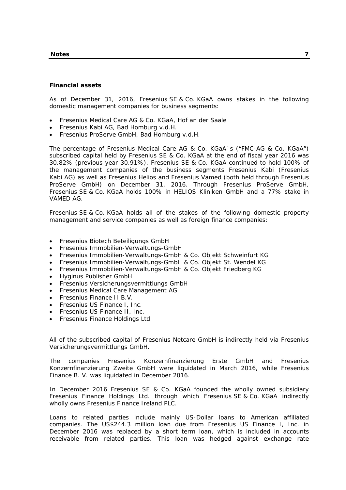#### **Notes 7**

## **Financial assets**

As of December 31, 2016, Fresenius SE & Co. KGaA owns stakes in the following domestic management companies for business segments:

- Fresenius Medical Care AG & Co. KGaA, Hof an der Saale
- Fresenius Kabi AG, Bad Homburg v.d.H.
- Fresenius ProServe GmbH, Bad Homburg v.d.H.

The percentage of Fresenius Medical Care AG & Co. KGaA´s ("FMC-AG & Co. KGaA") subscribed capital held by Fresenius SE & Co. KGaA at the end of fiscal year 2016 was 30.82% (previous year 30.91%). Fresenius SE & Co. KGaA continued to hold 100% of the management companies of the business segments Fresenius Kabi (Fresenius Kabi AG) as well as Fresenius Helios and Fresenius Vamed (both held through Fresenius ProServe GmbH) on December 31, 2016. Through Fresenius ProServe GmbH, Fresenius SE & Co. KGaA holds 100% in HELIOS Kliniken GmbH and a 77% stake in VAMED AG.

Fresenius SE & Co. KGaA holds all of the stakes of the following domestic property management and service companies as well as foreign finance companies:

- Fresenius Biotech Beteiligungs GmbH
- Fresenius Immobilien-Verwaltungs-GmbH
- Fresenius Immobilien-Verwaltungs-GmbH & Co. Objekt Schweinfurt KG
- Fresenius Immobilien-Verwaltungs-GmbH & Co. Objekt St. Wendel KG
- Fresenius Immobilien-Verwaltungs-GmbH & Co. Objekt Friedberg KG
- Hyginus Publisher GmbH
- Fresenius Versicherungsvermittlungs GmbH
- Fresenius Medical Care Management AG
- Fresenius Finance II B.V.
- Fresenius US Finance I, Inc.
- Fresenius US Finance II, Inc.
- Fresenius Finance Holdings Ltd.

All of the subscribed capital of Fresenius Netcare GmbH is indirectly held via Fresenius Versicherungsvermittlungs GmbH.

The companies Fresenius Konzernfinanzierung Erste GmbH and Fresenius Konzernfinanzierung Zweite GmbH were liquidated in March 2016, while Fresenius Finance B. V. was liquidated in December 2016.

In December 2016 Fresenius SE & Co. KGaA founded the wholly owned subsidiary Fresenius Finance Holdings Ltd. through which Fresenius SE & Co. KGaA indirectly wholly owns Fresenius Finance Ireland PLC.

Loans to related parties include mainly US-Dollar loans to American affiliated companies. The US\$244.3 million loan due from Fresenius US Finance I, Inc. in December 2016 was replaced by a short term loan, which is included in accounts receivable from related parties. This loan was hedged against exchange rate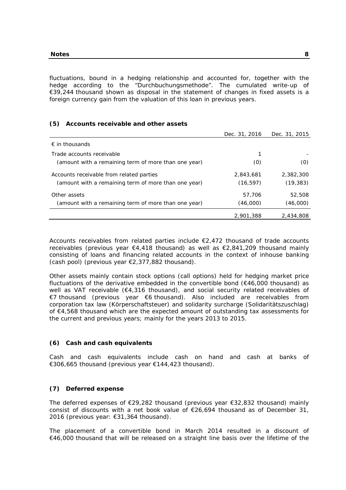fluctuations, bound in a hedging relationship and accounted for, together with the hedge according to the "Durchbuchungsmethode". The cumulated write-up of €39,244 thousand shown as disposal in the statement of changes in fixed assets is a foreign currency gain from the valuation of this loan in previous years.

# **(5) Accounts receivable and other assets**

|                                                      | Dec. 31, 2016 | Dec. 31, 2015 |
|------------------------------------------------------|---------------|---------------|
| $\epsilon$ in thousands                              |               |               |
| Trade accounts receivable                            |               |               |
| (amount with a remaining term of more than one year) | (0)           | (0)           |
| Accounts receivable from related parties             | 2,843,681     | 2,382,300     |
| (amount with a remaining term of more than one year) | (16, 597)     | (19, 383)     |
| Other assets                                         | 57,706        | 52,508        |
| (amount with a remaining term of more than one year) | (46,000)      | (46,000)      |
|                                                      | 2,901,388     | 2,434,808     |

Accounts receivables from related parties include  $\epsilon$ 2,472 thousand of trade accounts receivables (previous year  $\epsilon$ 4,418 thousand) as well as  $\epsilon$ 2,841,209 thousand mainly consisting of loans and financing related accounts in the context of inhouse banking (cash pool) (previous year €2,377,882 thousand).

Other assets mainly contain stock options (call options) held for hedging market price fluctuations of the derivative embedded in the convertible bond  $(€46,000$  thousand) as well as VAT receivable (€4,316 thousand), and social security related receivables of €7 thousand (previous year €6 thousand). Also included are receivables from corporation tax law (Körperschaftsteuer) and solidarity surcharge (Solidaritätszuschlag) of €4,568 thousand which are the expected amount of outstanding tax assessments for the current and previous years; mainly for the years 2013 to 2015.

## **(6) Cash and cash equivalents**

Cash and cash equivalents include cash on hand and cash at banks of €306,665 thousand (previous year €144,423 thousand).

## **(7) Deferred expense**

The deferred expenses of €29,282 thousand (previous year €32,832 thousand) mainly consist of discounts with a net book value of  $E26,694$  thousand as of December 31, 2016 (previous year: €31,364 thousand).

The placement of a convertible bond in March 2014 resulted in a discount of €46,000 thousand that will be released on a straight line basis over the lifetime of the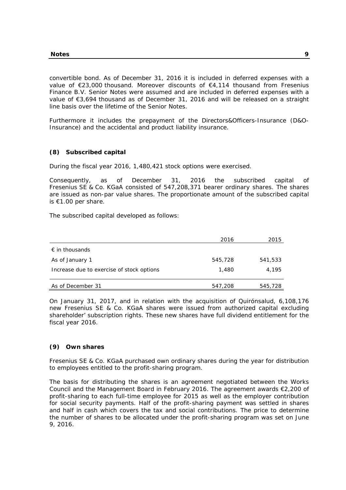convertible bond. As of December 31, 2016 it is included in deferred expenses with a value of €23,000 thousand. Moreover discounts of €4,114 thousand from Fresenius Finance B.V. Senior Notes were assumed and are included in deferred expenses with a value of €3,694 thousand as of December 31, 2016 and will be released on a straight line basis over the lifetime of the Senior Notes.

Furthermore it includes the prepayment of the Directors&Officers-Insurance (D&O-Insurance) and the accidental and product liability insurance.

# **(8) Subscribed capital**

During the fiscal year 2016, 1,480,421 stock options were exercised.

Consequently, as of December 31, 2016 the subscribed capital of Fresenius SE & Co. KGaA consisted of 547,208,371 bearer ordinary shares. The shares are issued as non-par value shares. The proportionate amount of the subscribed capital is €1.00 per share.

The subscribed capital developed as follows:

|                                           | 2016    | 2015    |
|-------------------------------------------|---------|---------|
| $\epsilon$ in thousands                   |         |         |
| As of January 1                           | 545,728 | 541,533 |
| Increase due to exercise of stock options | 1,480   | 4,195   |
|                                           |         |         |
| As of December 31                         | 547,208 | 545,728 |

On January 31, 2017, and in relation with the acquisition of Quirónsalud, 6,108,176 new Fresenius SE & Co. KGaA shares were issued from authorized capital excluding shareholder' subscription rights. These new shares have full dividend entitlement for the fiscal year 2016.

# **(9) Own shares**

Fresenius SE & Co. KGaA purchased own ordinary shares during the year for distribution to employees entitled to the profit-sharing program.

The basis for distributing the shares is an agreement negotiated between the Works Council and the Management Board in February 2016. The agreement awards €2,200 of profit-sharing to each full-time employee for 2015 as well as the employer contribution for social security payments. Half of the profit-sharing payment was settled in shares and half in cash which covers the tax and social contributions. The price to determine the number of shares to be allocated under the profit-sharing program was set on June 9, 2016.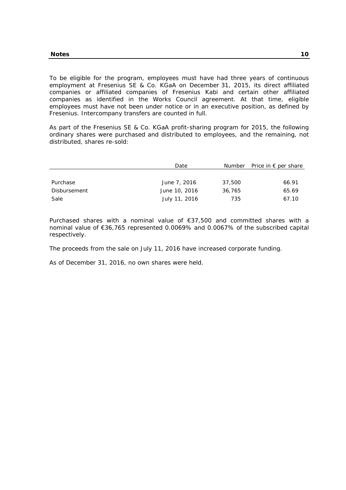To be eligible for the program, employees must have had three years of continuous employment at Fresenius SE & Co. KGaA on December 31, 2015, its direct affiliated companies or affiliated companies of Fresenius Kabi and certain other affiliated companies as identified in the Works Council agreement. At that time, eligible employees must have not been under notice or in an executive position, as defined by Fresenius. Intercompany transfers are counted in full.

As part of the Fresenius SE & Co. KGaA profit-sharing program for 2015, the following ordinary shares were purchased and distributed to employees, and the remaining, not distributed, shares re-sold:

|              | Date          |        | Number Price in $\epsilon$ per share |
|--------------|---------------|--------|--------------------------------------|
|              |               |        |                                      |
| Purchase     | June 7, 2016  | 37,500 | 66.91                                |
| Disbursement | June 10, 2016 | 36,765 | 65.69                                |
| Sale         | July 11, 2016 | 735    | 67.10                                |

Purchased shares with a nominal value of €37,500 and committed shares with a nominal value of €36,765 represented 0.0069% and 0.0067% of the subscribed capital respectively.

The proceeds from the sale on July 11, 2016 have increased corporate funding.

As of December 31, 2016, no own shares were held.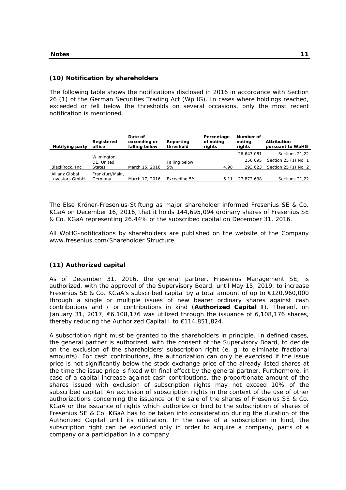# **(10) Notification by shareholders**

The following table shows the notifications disclosed in 2016 in accordance with Section 26 (1) of the German Securities Trading Act (WpHG). In cases where holdings reached, exceeded or fell below the thresholds on several occasions, only the most recent notification is mentioned.

| Notifying party                         | Registered<br>office       | Date of<br>exceeding or<br>falling below | Reporting<br>threshold | Percentage<br>of voting<br>rights | Number of<br>voting<br>rights | <b>Attribution</b><br>pursuant to WpHG |
|-----------------------------------------|----------------------------|------------------------------------------|------------------------|-----------------------------------|-------------------------------|----------------------------------------|
|                                         |                            |                                          |                        |                                   | 26.647.081                    | Sections 21,22                         |
|                                         | Wilmington,<br>DE, United  |                                          | Falling below          |                                   | 256.095                       | Section 25 (1) No. 1                   |
| BlackRock, Inc.                         | <b>States</b>              | March 15, 2016                           | 5%                     | 4.98                              | 293.623                       | Section 25 (1) No. 2                   |
| Allianz Global<br><b>Investors GmbH</b> | Frankfurt/Main.<br>Germany | March 17, 2016                           | Exceeding 5%           | 5.11                              | 27.872.638                    | Sections 21.22                         |

The Else Kröner-Fresenius-Stiftung as major shareholder informed Fresenius SE & Co. KGaA on December 16, 2016, that it holds 144,695,094 ordinary shares of Fresenius SE & Co. KGaA representing 26.44% of the subscribed capital on December 31, 2016.

All WpHG-notifications by shareholders are published on the website of the Company www.fresenius.com/Shareholder Structure.

# **(11) Authorized capital**

As of December 31, 2016, the general partner, Fresenius Management SE, is authorized, with the approval of the Supervisory Board, until May 15, 2019, to increase Fresenius SE & Co. KGaA's subscribed capital by a total amount of up to €120,960,000 through a single or multiple issues of new bearer ordinary shares against cash contributions and / or contributions in kind (**Authorized Capital I**). Thereof, on January 31, 2017, €6,108,176 was utilized through the issuance of 6,108,176 shares, thereby reducing the Authorized Capital I to €114,851,824.

A subscription right must be granted to the shareholders in principle. In defined cases, the general partner is authorized, with the consent of the Supervisory Board, to decide on the exclusion of the shareholders' subscription right (e. g. to eliminate fractional amounts). For cash contributions, the authorization can only be exercised if the issue price is not significantly below the stock exchange price of the already listed shares at the time the issue price is fixed with final effect by the general partner. Furthermore, in case of a capital increase against cash contributions, the proportionate amount of the shares issued with exclusion of subscription rights may not exceed 10% of the subscribed capital. An exclusion of subscription rights in the context of the use of other authorizations concerning the issuance or the sale of the shares of Fresenius SE & Co. KGaA or the issuance of rights which authorize or bind to the subscription of shares of Fresenius SE & Co. KGaA has to be taken into consideration during the duration of the Authorized Capital until its utilization. In the case of a subscription in kind, the subscription right can be excluded only in order to acquire a company, parts of a company or a participation in a company.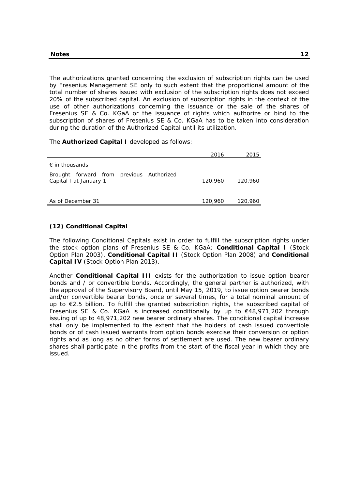The authorizations granted concerning the exclusion of subscription rights can be used by Fresenius Management SE only to such extent that the proportional amount of the total number of shares issued with exclusion of the subscription rights does not exceed 20% of the subscribed capital. An exclusion of subscription rights in the context of the use of other authorizations concerning the issuance or the sale of the shares of Fresenius SE & Co. KGaA or the issuance of rights which authorize or bind to the subscription of shares of Fresenius SE & Co. KGaA has to be taken into consideration during the duration of the Authorized Capital until its utilization.

The **Authorized Capital I** developed as follows:

|                                                                    | 2016    | 2015    |
|--------------------------------------------------------------------|---------|---------|
| $\epsilon$ in thousands                                            |         |         |
| Brought forward from previous Authorized<br>Capital I at January 1 | 120,960 | 120,960 |
| As of December 31                                                  | 120,960 | 120,960 |

# **(12) Conditional Capital**

The following Conditional Capitals exist in order to fulfill the subscription rights under the stock option plans of Fresenius SE & Co. KGaA: **Conditional Capital I** (Stock Option Plan 2003), **Conditional Capital II** (Stock Option Plan 2008) and **Conditional Capital IV** (Stock Option Plan 2013).

Another **Conditional Capital III** exists for the authorization to issue option bearer bonds and / or convertible bonds. Accordingly, the general partner is authorized, with the approval of the Supervisory Board, until May 15, 2019, to issue option bearer bonds and/or convertible bearer bonds, once or several times, for a total nominal amount of up to €2.5 billion. To fulfill the granted subscription rights, the subscribed capital of Fresenius SE & Co. KGaA is increased conditionally by up to €48,971,202 through issuing of up to 48,971,202 new bearer ordinary shares. The conditional capital increase shall only be implemented to the extent that the holders of cash issued convertible bonds or of cash issued warrants from option bonds exercise their conversion or option rights and as long as no other forms of settlement are used. The new bearer ordinary shares shall participate in the profits from the start of the fiscal year in which they are issued.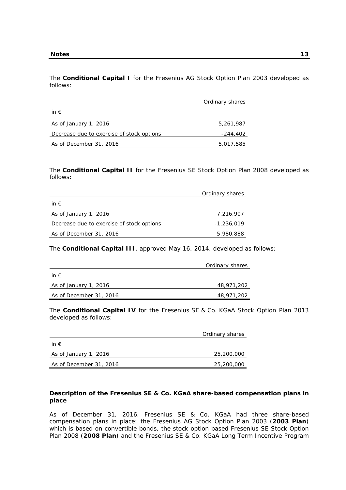The **Conditional Capital I** for the Fresenius AG Stock Option Plan 2003 developed as follows:

|                                           | Ordinary shares |
|-------------------------------------------|-----------------|
| in $\epsilon$                             |                 |
| As of January 1, 2016                     | 5,261,987       |
| Decrease due to exercise of stock options | -244,402        |
| As of December 31, 2016                   | 5,017,585       |

The **Conditional Capital II** for the Fresenius SE Stock Option Plan 2008 developed as follows:

|                                           | Ordinary shares |
|-------------------------------------------|-----------------|
| in $\epsilon$                             |                 |
| As of January 1, 2016                     | 7.216.907       |
| Decrease due to exercise of stock options | -1,236,019      |
| As of December 31, 2016                   | 5,980,888       |

The **Conditional Capital III**, approved May 16, 2014, developed as follows:

|                         | Ordinary shares |
|-------------------------|-----------------|
| in $\epsilon$           |                 |
| As of January 1, 2016   | 48,971,202      |
| As of December 31, 2016 | 48,971,202      |

The **Conditional Capital IV** for the Fresenius SE & Co. KGaA Stock Option Plan 2013 developed as follows:

|                         | Ordinary shares |
|-------------------------|-----------------|
| in $\epsilon$           |                 |
| As of January 1, 2016   | 25,200,000      |
| As of December 31, 2016 | 25,200,000      |

# **Description of the Fresenius SE & Co. KGaA share-based compensation plans in place**

As of December 31, 2016, Fresenius SE & Co. KGaA had three share-based compensation plans in place: the Fresenius AG Stock Option Plan 2003 (**2003 Plan**) which is based on convertible bonds, the stock option based Fresenius SE Stock Option Plan 2008 (**2008 Plan**) and the Fresenius SE & Co. KGaA Long Term Incentive Program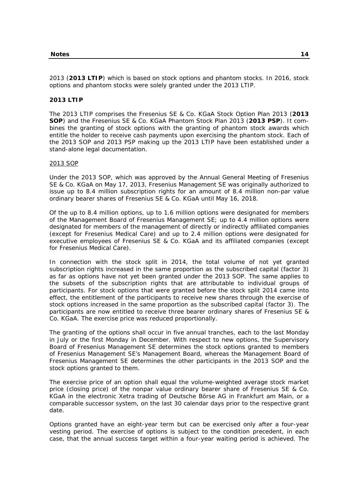2013 (**2013 LTIP**) which is based on stock options and phantom stocks. In 2016, stock options and phantom stocks were solely granted under the 2013 LTIP.

## **2013 LTIP**

The 2013 LTIP comprises the Fresenius SE & Co. KGaA Stock Option Plan 2013 (**2013 SOP**) and the Fresenius SE & Co. KGaA Phantom Stock Plan 2013 (**2013 PSP**). It combines the granting of stock options with the granting of phantom stock awards which entitle the holder to receive cash payments upon exercising the phantom stock. Each of the 2013 SOP and 2013 PSP making up the 2013 LTIP have been established under a stand-alone legal documentation.

#### 2013 SOP

Under the 2013 SOP, which was approved by the Annual General Meeting of Fresenius SE & Co. KGaA on May 17, 2013, Fresenius Management SE was originally authorized to issue up to 8.4 million subscription rights for an amount of 8.4 million non-par value ordinary bearer shares of Fresenius SE & Co. KGaA until May 16, 2018.

Of the up to 8.4 million options, up to 1.6 million options were designated for members of the Management Board of Fresenius Management SE; up to 4.4 million options were designated for members of the management of directly or indirectly affiliated companies (except for Fresenius Medical Care) and up to 2.4 million options were designated for executive employees of Fresenius SE & Co. KGaA and its affiliated companies (except for Fresenius Medical Care).

In connection with the stock split in 2014, the total volume of not yet granted subscription rights increased in the same proportion as the subscribed capital (factor 3) as far as options have not yet been granted under the 2013 SOP. The same applies to the subsets of the subscription rights that are attributable to individual groups of participants. For stock options that were granted before the stock split 2014 came into effect, the entitlement of the participants to receive new shares through the exercise of stock options increased in the same proportion as the subscribed capital (factor 3). The participants are now entitled to receive three bearer ordinary shares of Fresenius SE & Co. KGaA. The exercise price was reduced proportionally.

The granting of the options shall occur in five annual tranches, each to the last Monday in July or the first Monday in December. With respect to new options, the Supervisory Board of Fresenius Management SE determines the stock options granted to members of Fresenius Management SE's Management Board, whereas the Management Board of Fresenius Management SE determines the other participants in the 2013 SOP and the stock options granted to them.

The exercise price of an option shall equal the volume-weighted average stock market price (closing price) of the nonpar value ordinary bearer share of Fresenius SE & Co. KGaA in the electronic Xetra trading of Deutsche Börse AG in Frankfurt am Main, or a comparable successor system, on the last 30 calendar days prior to the respective grant date.

Options granted have an eight-year term but can be exercised only after a four-year vesting period. The exercise of options is subject to the condition precedent, in each case, that the annual success target within a four-year waiting period is achieved. The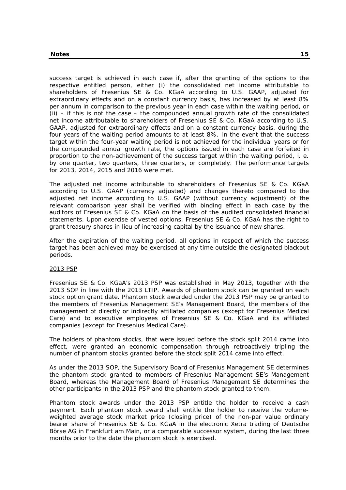success target is achieved in each case if, after the granting of the options to the respective entitled person, either (i) the consolidated net income attributable to shareholders of Fresenius SE & Co. KGaA according to U.S. GAAP, adjusted for extraordinary effects and on a constant currency basis, has increased by at least 8% per annum in comparison to the previous year in each case within the waiting period, or  $(i)$  – if this is not the case – the compounded annual growth rate of the consolidated net income attributable to shareholders of Fresenius SE & Co. KGaA according to U.S. GAAP, adjusted for extraordinary effects and on a constant currency basis, during the four years of the waiting period amounts to at least 8%. In the event that the success target within the four-year waiting period is not achieved for the individual years or for the compounded annual growth rate, the options issued in each case are forfeited in proportion to the non-achievement of the success target within the waiting period, i. e. by one quarter, two quarters, three quarters, or completely. The performance targets for 2013, 2014, 2015 and 2016 were met.

The adjusted net income attributable to shareholders of Fresenius SE & Co. KGaA according to U.S. GAAP (currency adjusted) and changes thereto compared to the adjusted net income according to U.S. GAAP (without currency adjustment) of the relevant comparison year shall be verified with binding effect in each case by the auditors of Fresenius SE & Co. KGaA on the basis of the audited consolidated financial statements. Upon exercise of vested options, Fresenius SE & Co. KGaA has the right to grant treasury shares in lieu of increasing capital by the issuance of new shares.

After the expiration of the waiting period, all options in respect of which the success target has been achieved may be exercised at any time outside the designated blackout periods.

## 2013 PSP

Fresenius SE & Co. KGaA's 2013 PSP was established in May 2013, together with the 2013 SOP in line with the 2013 LTIP. Awards of phantom stock can be granted on each stock option grant date. Phantom stock awarded under the 2013 PSP may be granted to the members of Fresenius Management SE's Management Board, the members of the management of directly or indirectly affiliated companies (except for Fresenius Medical Care) and to executive employees of Fresenius SE & Co. KGaA and its affiliated companies (except for Fresenius Medical Care).

The holders of phantom stocks, that were issued before the stock split 2014 came into effect, were granted an economic compensation through retroactively tripling the number of phantom stocks granted before the stock split 2014 came into effect.

As under the 2013 SOP, the Supervisory Board of Fresenius Management SE determines the phantom stock granted to members of Fresenius Management SE's Management Board, whereas the Management Board of Fresenius Management SE determines the other participants in the 2013 PSP and the phantom stock granted to them.

Phantom stock awards under the 2013 PSP entitle the holder to receive a cash payment. Each phantom stock award shall entitle the holder to receive the volumeweighted average stock market price (closing price) of the non-par value ordinary bearer share of Fresenius SE & Co. KGaA in the electronic Xetra trading of Deutsche Börse AG in Frankfurt am Main, or a comparable successor system, during the last three months prior to the date the phantom stock is exercised.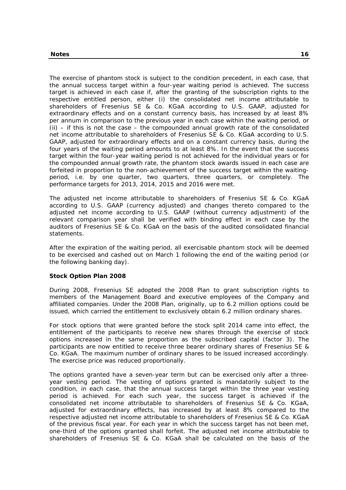The exercise of phantom stock is subject to the condition precedent, in each case, that the annual success target within a four-year waiting period is achieved. The success target is achieved in each case if, after the granting of the subscription rights to the respective entitled person, either (i) the consolidated net income attributable to shareholders of Fresenius SE & Co. KGaA according to U.S. GAAP, adjusted for extraordinary effects and on a constant currency basis, has increased by at least 8% per annum in comparison to the previous year in each case within the waiting period, or  $(i)$  – if this is not the case – the compounded annual growth rate of the consolidated net income attributable to shareholders of Fresenius SE & Co. KGaA according to U.S. GAAP, adjusted for extraordinary effects and on a constant currency basis, during the four years of the waiting period amounts to at least 8%. In the event that the success target within the four-year waiting period is not achieved for the individual years or for the compounded annual growth rate, the phantom stock awards issued in each case are forfeited in proportion to the non-achievement of the success target within the waitingperiod, i.e. by one quarter, two quarters, three quarters, or completely. The performance targets for 2013, 2014, 2015 and 2016 were met.

The adjusted net income attributable to shareholders of Fresenius SE & Co. KGaA according to U.S. GAAP (currency adjusted) and changes thereto compared to the adjusted net income according to U.S. GAAP (without currency adjustment) of the relevant comparison year shall be verified with binding effect in each case by the auditors of Fresenius SE & Co. KGaA on the basis of the audited consolidated financial statements.

After the expiration of the waiting period, all exercisable phantom stock will be deemed to be exercised and cashed out on March 1 following the end of the waiting period (or the following banking day).

# **Stock Option Plan 2008**

During 2008, Fresenius SE adopted the 2008 Plan to grant subscription rights to members of the Management Board and executive employees of the Company and affiliated companies. Under the 2008 Plan, originally, up to 6.2 million options could be issued, which carried the entitlement to exclusively obtain 6.2 million ordinary shares.

For stock options that were granted before the stock split 2014 came into effect, the entitlement of the participants to receive new shares through the exercise of stock options increased in the same proportion as the subscribed capital (factor 3). The participants are now entitled to receive three bearer ordinary shares of Fresenius SE & Co. KGaA. The maximum number of ordinary shares to be issued increased accordingly. The exercise price was reduced proportionally.

The options granted have a seven-year term but can be exercised only after a threeyear vesting period. The vesting of options granted is mandatorily subject to the condition, in each case, that the annual success target within the three year vesting period is achieved. For each such year, the success target is achieved if the consolidated net income attributable to shareholders of Fresenius SE & Co. KGaA, adjusted for extraordinary effects, has increased by at least 8% compared to the respective adjusted net income attributable to shareholders of Fresenius SE & Co. KGaA of the previous fiscal year. For each year in which the success target has not been met, one-third of the options granted shall forfeit. The adjusted net income attributable to shareholders of Fresenius SE & Co. KGaA shall be calculated on the basis of the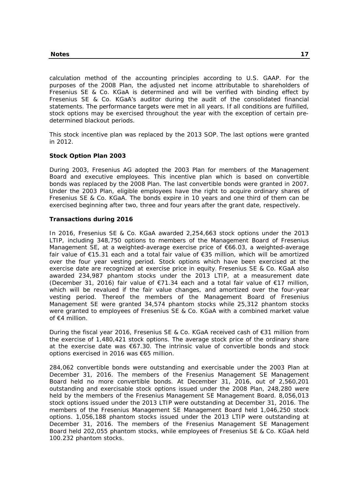calculation method of the accounting principles according to U.S. GAAP. For the purposes of the 2008 Plan, the adjusted net income attributable to shareholders of Fresenius SE & Co. KGaA is determined and will be verified with binding effect by Fresenius SE & Co. KGaA's auditor during the audit of the consolidated financial statements. The performance targets were met in all years. If all conditions are fulfilled, stock options may be exercised throughout the year with the exception of certain predetermined blackout periods.

This stock incentive plan was replaced by the 2013 SOP. The last options were granted in 2012.

## **Stock Option Plan 2003**

During 2003, Fresenius AG adopted the 2003 Plan for members of the Management Board and executive employees. This incentive plan which is based on convertible bonds was replaced by the 2008 Plan. The last convertible bonds were granted in 2007. Under the 2003 Plan, eligible employees have the right to acquire ordinary shares of Fresenius SE & Co. KGaA. The bonds expire in 10 years and one third of them can be exercised beginning after two, three and four years after the grant date, respectively.

## **Transactions during 2016**

In 2016, Fresenius SE & Co. KGaA awarded 2,254,663 stock options under the 2013 LTIP, including 348,750 options to members of the Management Board of Fresenius Management SE, at a weighted-average exercise price of €66.03, a weighted-average fair value of €15.31 each and a total fair value of €35 million, which will be amortized over the four year vesting period. Stock options which have been exercised at the exercise date are recognized at exercise price in equity. Fresenius SE & Co. KGaA also awarded 234,987 phantom stocks under the 2013 LTIP, at a measurement date (December 31, 2016) fair value of €71.34 each and a total fair value of €17 million, which will be revalued if the fair value changes, and amortized over the four-year vesting period. Thereof the members of the Management Board of Fresenius Management SE were granted 34,574 phantom stocks while 25,312 phantom stocks were granted to employees of Fresenius SE & Co. KGaA with a combined market value of €4 million.

During the fiscal year 2016, Fresenius SE & Co. KGaA received cash of €31 million from the exercise of 1,480,421 stock options. The average stock price of the ordinary share at the exercise date was €67.30. The intrinsic value of convertible bonds and stock options exercised in 2016 was €65 million.

284,062 convertible bonds were outstanding and exercisable under the 2003 Plan at December 31, 2016. The members of the Fresenius Management SE Management Board held no more convertible bonds. At December 31, 2016, out of 2,560,201 outstanding and exercisable stock options issued under the 2008 Plan, 248,280 were held by the members of the Fresenius Management SE Management Board. 8,056,013 stock options issued under the 2013 LTIP were outstanding at December 31, 2016. The members of the Fresenius Management SE Management Board held 1,046,250 stock options. 1,056,188 phantom stocks issued under the 2013 LTIP were outstanding at December 31, 2016. The members of the Fresenius Management SE Management Board held 202,055 phantom stocks, while employees of Fresenius SE & Co. KGaA held 100.232 phantom stocks.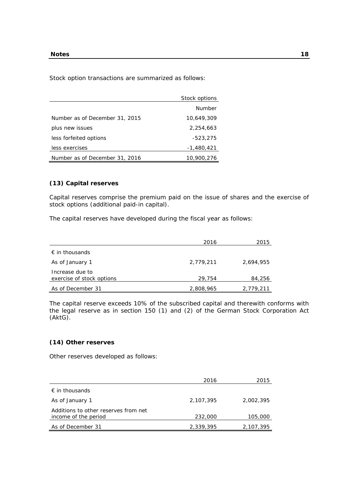Stock option transactions are summarized as follows:

|                                | Stock options |
|--------------------------------|---------------|
|                                | Number        |
| Number as of December 31, 2015 | 10,649,309    |
| plus new issues                | 2.254.663     |
| less forfeited options         | $-523,275$    |
| less exercises                 | -1,480,421    |
| Number as of December 31, 2016 | 10,900,276    |

# **(13) Capital reserves**

Capital reserves comprise the premium paid on the issue of shares and the exercise of stock options (additional paid-in capital).

The capital reserves have developed during the fiscal year as follows:

|                                              | 2016      | 2015      |
|----------------------------------------------|-----------|-----------|
| $\epsilon$ in thousands                      |           |           |
| As of January 1                              | 2,779,211 | 2.694.955 |
| Increase due to<br>exercise of stock options | 29,754    | 84,256    |
| As of December 31                            | 2,808,965 | 2,779,211 |

The capital reserve exceeds 10% of the subscribed capital and therewith conforms with the legal reserve as in section 150 (1) and (2) of the German Stock Corporation Act (AktG).

## **(14) Other reserves**

Other reserves developed as follows:

|                                                              | 2016      | 2015      |
|--------------------------------------------------------------|-----------|-----------|
| $\epsilon$ in thousands                                      |           |           |
| As of January 1                                              | 2,107,395 | 2,002,395 |
| Additions to other reserves from net<br>income of the period | 232,000   | 105,000   |
| As of December 31                                            | 2,339,395 | 2,107,395 |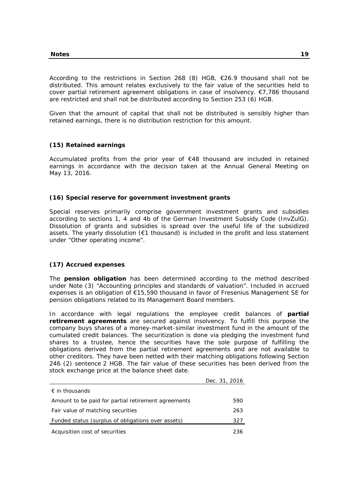According to the restrictions in Section 268 (8) HGB, €26.9 thousand shall not be distributed. This amount relates exclusively to the fair value of the securities held to cover partial retirement agreement obligations in case of insolvency. €7,786 thousand are restricted and shall not be distributed according to Section 253 (6) HGB.

Given that the amount of capital that shall not be distributed is sensibly higher than retained earnings, there is no distribution restriction for this amount.

## **(15) Retained earnings**

Accumulated profits from the prior year of €48 thousand are included in retained earnings in accordance with the decision taken at the Annual General Meeting on May 13, 2016.

## **(16) Special reserve for government investment grants**

Special reserves primarily comprise government investment grants and subsidies according to sections 1, 4 and 4b of the German Investment Subsidy Code (InvZulG). Dissolution of grants and subsidies is spread over the useful life of the subsidized assets. The yearly dissolution (€1 thousand) is included in the profit and loss statement under "Other operating income".

## **(17) Accrued expenses**

The **pension obligation** has been determined according to the method described under Note (3) "Accounting principles and standards of valuation". Included in accrued expenses is an obligation of €15,590 thousand in favor of Fresenius Management SE for pension obligations related to its Management Board members.

In accordance with legal regulations the employee credit balances of **partial retirement agreements** are secured against insolvency. To fulfill this purpose the company buys shares of a money-market-similar investment fund in the amount of the cumulated credit balances. The securitization is done via pledging the investment fund shares to a trustee, hence the securities have the sole purpose of fulfilling the obligations derived from the partial retirement agreements and are not available to other creditors. They have been netted with their matching obligations following Section 246 (2) sentence 2 HGB. The fair value of these securities has been derived from the stock exchange price at the balance sheet date.

|                                                     | Dec. 31, 2016 |
|-----------------------------------------------------|---------------|
| $\epsilon$ in thousands                             |               |
| Amount to be paid for partial retirement agreements | 590           |
| Fair value of matching securities                   | 263           |
| Funded status (surplus of obligations over assets)  | 327           |
| Acquisition cost of securities                      | 236           |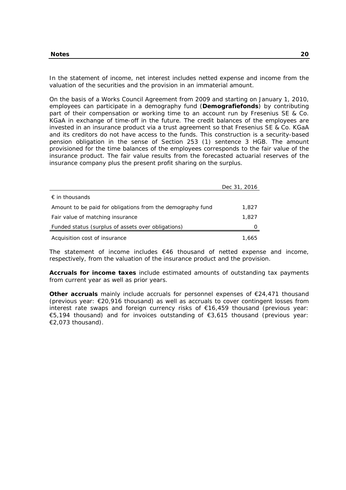In the statement of income, net interest includes netted expense and income from the valuation of the securities and the provision in an immaterial amount.

On the basis of a Works Council Agreement from 2009 and starting on January 1, 2010, employees can participate in a demography fund (**Demografiefonds**) by contributing part of their compensation or working time to an account run by Fresenius SE & Co. KGaA in exchange of time-off in the future. The credit balances of the employees are invested in an insurance product via a trust agreement so that Fresenius SE & Co. KGaA and its creditors do not have access to the funds. This construction is a security-based pension obligation in the sense of Section 253 (1) sentence 3 HGB. The amount provisioned for the time balances of the employees corresponds to the fair value of the insurance product. The fair value results from the forecasted actuarial reserves of the insurance company plus the present profit sharing on the surplus.

|                                                            | Dec 31, 2016 |
|------------------------------------------------------------|--------------|
| $\epsilon$ in thousands                                    |              |
| Amount to be paid for obligations from the demography fund | 1,827        |
| Fair value of matching insurance                           | 1.827        |
| Funded status (surplus of assets over obligations)         |              |
| Acquisition cost of insurance                              | 1.665        |

The statement of income includes  $€46$  thousand of netted expense and income, respectively, from the valuation of the insurance product and the provision.

**Accruals for income taxes** include estimated amounts of outstanding tax payments from current year as well as prior years.

**Other accruals** mainly include accruals for personnel expenses of €24,471 thousand (previous year: €20,916 thousand) as well as accruals to cover contingent losses from interest rate swaps and foreign currency risks of €16,459 thousand (previous year: €5,194 thousand) and for invoices outstanding of €3,615 thousand (previous year: €2,073 thousand).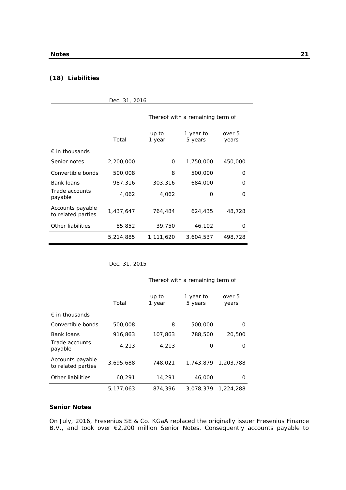# **(18) Liabilities**

| Dec. 31, 2016                          |           |                 |                                  |                 |  |
|----------------------------------------|-----------|-----------------|----------------------------------|-----------------|--|
|                                        |           |                 | Thereof with a remaining term of |                 |  |
|                                        | Total     | up to<br>1 year | 1 year to<br>5 years             | over 5<br>years |  |
| $\epsilon$ in thousands                |           |                 |                                  |                 |  |
| Senior notes                           | 2,200,000 | 0               | 1,750,000                        | 450,000         |  |
| Convertible bonds                      | 500,008   | 8               | 500,000                          | 0               |  |
| Bank loans                             | 987,316   | 303,316         | 684,000                          | O               |  |
| Trade accounts<br>payable              | 4,062     | 4,062           | 0                                | 0               |  |
| Accounts payable<br>to related parties | 1,437,647 | 764,484         | 624,435                          | 48,728          |  |
| Other liabilities                      | 85,852    | 39,750          | 46,102                           | 0               |  |
|                                        | 5,214,885 | 1,111,620       | 3,604,537                        | 498,728         |  |

Dec. 31, 2015

Thereof with a remaining term of

|                                        | Total     | up to<br>1 year | 1 year to<br>5 years | over 5<br>years |
|----------------------------------------|-----------|-----------------|----------------------|-----------------|
| $\epsilon$ in thousands                |           |                 |                      |                 |
| Convertible bonds                      | 500,008   | 8               | 500,000              | O               |
| Bank loans                             | 916,863   | 107,863         | 788,500              | 20,500          |
| Trade accounts<br>payable              | 4.213     | 4,213           | O                    | ∩               |
| Accounts payable<br>to related parties | 3,695,688 | 748.021         | 1,743,879            | 1,203,788       |
| Other liabilities                      | 60,291    | 14,291          | 46,000               | Ω               |
|                                        | 5.177.063 | 874,396         | 3,078,379            | 1,224,288       |

## **Senior Notes**

On July, 2016, Fresenius SE & Co. KGaA replaced the originally issuer Fresenius Finance B.V., and took over €2,200 million Senior Notes. Consequently accounts payable to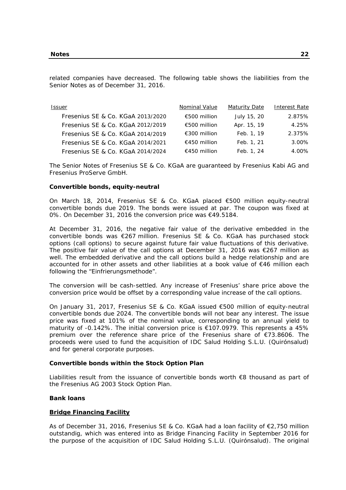related companies have decreased. The following table shows the liabilities from the Senior Notes as of December 31, 2016.

| Issuer                            | Nominal Value | <b>Maturity Date</b> | Interest Rate |
|-----------------------------------|---------------|----------------------|---------------|
| Fresenius SE & Co. KGaA 2013/2020 | €500 million  | July 15, 20          | 2.875%        |
| Fresenius SE & Co. KGaA 2012/2019 | €500 million  | Apr. 15, 19          | 4.25%         |
| Fresenius SE & Co. KGaA 2014/2019 | €300 million  | Feb. 1, 19           | 2.375%        |
| Fresenius SE & Co. KGaA 2014/2021 | €450 million  | Feb. 1, 21           | $3.00\%$      |
| Fresenius SE & Co. KGaA 2014/2024 | €450 million  | Feb. 1, 24           | 4.00%         |

The Senior Notes of Fresenius SE & Co. KGaA are guaranteed by Fresenius Kabi AG and Fresenius ProServe GmbH.

## **Convertible bonds, equity-neutral**

On March 18, 2014, Fresenius SE & Co. KGaA placed €500 million equity-neutral convertible bonds due 2019. The bonds were issued at par. The coupon was fixed at 0%. On December 31, 2016 the conversion price was €49.5184.

At December 31, 2016, the negative fair value of the derivative embedded in the convertible bonds was €267 million. Fresenius SE & Co. KGaA has purchased stock options (call options) to secure against future fair value fluctuations of this derivative. The positive fair value of the call options at December 31, 2016 was  $\epsilon$ 267 million as well. The embedded derivative and the call options build a hedge relationship and are accounted for in other assets and other liabilities at a book value of €46 million each following the "Einfrierungsmethode".

The conversion will be cash-settled. Any increase of Fresenius' share price above the conversion price would be offset by a corresponding value increase of the call options.

On January 31, 2017, Fresenius SE & Co. KGaA issued €500 million of equity-neutral convertible bonds due 2024. The convertible bonds will not bear any interest. The issue price was fixed at 101% of the nominal value, corresponding to an annual yield to maturity of -0.142%. The initial conversion price is  $\epsilon$ 107.0979. This represents a 45% premium over the reference share price of the Fresenius share of €73.8606. The proceeds were used to fund the acquisition of IDC Salud Holding S.L.U. (Quirónsalud) and for general corporate purposes.

## **Convertible bonds within the Stock Option Plan**

Liabilities result from the issuance of convertible bonds worth €8 thousand as part of the Fresenius AG 2003 Stock Option Plan.

## **Bank loans**

## **Bridge Financing Facility**

As of December 31, 2016, Fresenius SE & Co. KGaA had a loan facility of €2,750 million outstandig, which was entered into as Bridge Financing Facility in September 2016 for the purpose of the acquisition of IDC Salud Holding S.L.U. (Quirónsalud). The original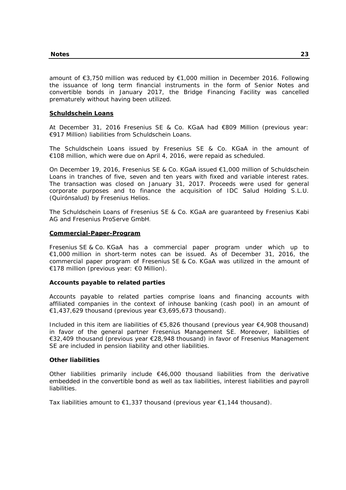amount of €3,750 million was reduced by €1,000 million in December 2016. Following the issuance of long term financial instruments in the form of Senior Notes and convertible bonds in January 2017, the Bridge Financing Facility was cancelled prematurely without having been utilized.

## **Schuldschein Loans**

At December 31, 2016 Fresenius SE & Co. KGaA had €809 Million (previous year: €917 Million) liabilities from Schuldschein Loans.

The Schuldschein Loans issued by Fresenius SE & Co. KGaA in the amount of €108 million, which were due on April 4, 2016, were repaid as scheduled.

On December 19, 2016, Fresenius SE & Co. KGaA issued €1,000 million of Schuldschein Loans in tranches of five, seven and ten years with fixed and variable interest rates. The transaction was closed on January 31, 2017. Proceeds were used for general corporate purposes and to finance the acquisition of IDC Salud Holding S.L.U. (Quirónsalud) by Fresenius Helios.

The Schuldschein Loans of Fresenius SE & Co. KGaA are guaranteed by Fresenius Kabi AG and Fresenius ProServe GmbH.

## **Commercial-Paper-Program**

Fresenius SE & Co. KGaA has a commercial paper program under which up to €1,000 million in short-term notes can be issued. As of December 31, 2016, the commercial paper program of Fresenius SE & Co. KGaA was utilized in the amount of €178 million (previous year: €0 Million).

# **Accounts payable to related parties**

Accounts payable to related parties comprise loans and financing accounts with affiliated companies in the context of inhouse banking (cash pool) in an amount of €1,437,629 thousand (previous year €3,695,673 thousand).

Included in this item are liabilities of €5,826 thousand (previous year €4,908 thousand) in favor of the general partner Fresenius Management SE. Moreover, liabilities of €32,409 thousand (previous year €28,948 thousand) in favor of Fresenius Management SE are included in pension liability and other liabilities.

## **Other liabilities**

Other liabilities primarily include  $€46,000$  thousand liabilities from the derivative embedded in the convertible bond as well as tax liabilities, interest liabilities and payroll liabilities.

Tax liabilities amount to  $\epsilon$ 1,337 thousand (previous year  $\epsilon$ 1,144 thousand).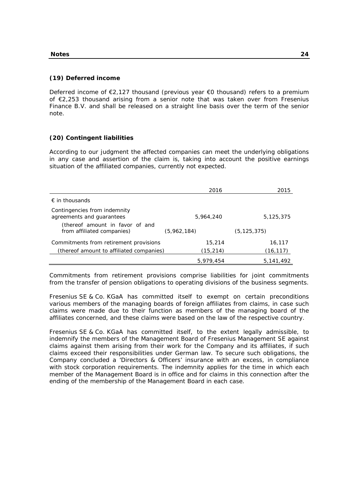#### **(19) Deferred income**

Deferred income of €2,127 thousand (previous year €0 thousand) refers to a premium of €2,253 thousand arising from a senior note that was taken over from Fresenius Finance B.V. and shall be released on a straight line basis over the term of the senior note.

## **(20) Contingent liabilities**

According to our judgment the affected companies can meet the underlying obligations in any case and assertion of the claim is, taking into account the positive earnings situation of the affiliated companies, currently not expected.

|                                                               | 2016        | 2015          |
|---------------------------------------------------------------|-------------|---------------|
| $\epsilon$ in thousands                                       |             |               |
| Contingencies from indemnity<br>agreements and guarantees     | 5,964,240   | 5,125,375     |
| (thereof amount in favor of and<br>from affiliated companies) | (5,962,184) | (5, 125, 375) |
| Commitments from retirement provisions                        | 15,214      | 16,117        |
| (thereof amount to affiliated companies)                      | (15, 214)   | (16, 117)     |
|                                                               | 5.979.454   | 5,141,492     |

Commitments from retirement provisions comprise liabilities for joint commitments from the transfer of pension obligations to operating divisions of the business segments.

Fresenius SE & Co. KGaA has committed itself to exempt on certain preconditions various members of the managing boards of foreign affiliates from claims, in case such claims were made due to their function as members of the managing board of the affiliates concerned, and these claims were based on the law of the respective country.

Fresenius SE & Co. KGaA has committed itself, to the extent legally admissible, to indemnify the members of the Management Board of Fresenius Management SE against claims against them arising from their work for the Company and its affiliates, if such claims exceed their responsibilities under German law. To secure such obligations, the Company concluded a 'Directors & Officers' insurance with an excess, in compliance with stock corporation requirements. The indemnity applies for the time in which each member of the Management Board is in office and for claims in this connection after the ending of the membership of the Management Board in each case.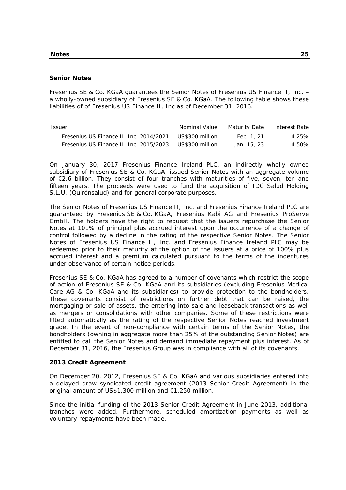#### **Senior Notes**

Fresenius SE & Co. KGaA guarantees the Senior Notes of Fresenius US Finance II, Inc. a wholly-owned subsidiary of Fresenius SE & Co. KGaA. The following table shows these liabilities of of Fresenius US Finance II, Inc as of December 31, 2016.

| Issuer                                  | Nominal Value   | Maturity Date | Interest Rate |
|-----------------------------------------|-----------------|---------------|---------------|
| Fresenius US Finance II, Inc. 2014/2021 | US\$300 million | Feb. 1, 21    | 4.25%         |
| Fresenius US Finance II, Inc. 2015/2023 | US\$300 million | Jan. 15, 23   | 4.50%         |

On January 30, 2017 Fresenius Finance Ireland PLC, an indirectly wholly owned subsidiary of Fresenius SE & Co. KGaA, issued Senior Notes with an aggregate volume of €2.6 billion. They consist of four tranches with maturities of five, seven, ten and fifteen years. The proceeds were used to fund the acquisition of IDC Salud Holding S.L.U. (Quirónsalud) and for general corporate purposes.

The Senior Notes of Fresenius US Finance II, Inc. and Fresenius Finance Ireland PLC are guaranteed by Fresenius SE & Co. KGaA, Fresenius Kabi AG and Fresenius ProServe GmbH. The holders have the right to request that the issuers repurchase the Senior Notes at 101% of principal plus accrued interest upon the occurrence of a change of control followed by a decline in the rating of the respective Senior Notes. The Senior Notes of Fresenius US Finance II, Inc. and Fresenius Finance Ireland PLC may be redeemed prior to their maturity at the option of the issuers at a price of 100% plus accrued interest and a premium calculated pursuant to the terms of the indentures under observance of certain notice periods.

Fresenius SE & Co. KGaA has agreed to a number of covenants which restrict the scope of action of Fresenius SE & Co. KGaA and its subsidiaries (excluding Fresenius Medical Care AG & Co. KGaA and its subsidiaries) to provide protection to the bondholders. These covenants consist of restrictions on further debt that can be raised, the mortgaging or sale of assets, the entering into sale and leaseback transactions as well as mergers or consolidations with other companies. Some of these restrictions were lifted automatically as the rating of the respective Senior Notes reached investment grade. In the event of non-compliance with certain terms of the Senior Notes, the bondholders (owning in aggregate more than 25% of the outstanding Senior Notes) are entitled to call the Senior Notes and demand immediate repayment plus interest. As of December 31, 2016, the Fresenius Group was in compliance with all of its covenants.

#### **2013 Credit Agreement**

On December 20, 2012, Fresenius SE & Co. KGaA and various subsidiaries entered into a delayed draw syndicated credit agreement (2013 Senior Credit Agreement) in the original amount of US\$1,300 million and €1,250 million.

Since the initial funding of the 2013 Senior Credit Agreement in June 2013, additional tranches were added. Furthermore, scheduled amortization payments as well as voluntary repayments have been made.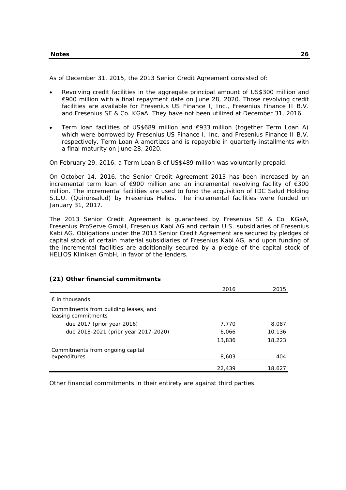As of December 31, 2015, the 2013 Senior Credit Agreement consisted of:

- Revolving credit facilities in the aggregate principal amount of US\$300 million and €900 million with a final repayment date on June 28, 2020. Those revolving credit facilities are available for Fresenius US Finance I, Inc., Fresenius Finance II B.V. and Fresenius SE & Co. KGaA. They have not been utilized at December 31, 2016.
- Term loan facilities of US\$689 million and €933 million (together Term Loan A) which were borrowed by Fresenius US Finance I, Inc. and Fresenius Finance II B.V. respectively. Term Loan A amortizes and is repayable in quarterly installments with a final maturity on June 28, 2020.

On February 29, 2016, a Term Loan B of US\$489 million was voluntarily prepaid.

On October 14, 2016, the Senior Credit Agreement 2013 has been increased by an incremental term loan of €900 million and an incremental revolving facility of €300 million. The incremental facilities are used to fund the acquisition of IDC Salud Holding S.L.U. (Quirónsalud) by Fresenius Helios. The incremental facilities were funded on January 31, 2017.

The 2013 Senior Credit Agreement is guaranteed by Fresenius SE & Co. KGaA, Fresenius ProServe GmbH, Fresenius Kabi AG and certain U.S. subsidiaries of Fresenius Kabi AG. Obligations under the 2013 Senior Credit Agreement are secured by pledges of capital stock of certain material subsidiaries of Fresenius Kabi AG, and upon funding of the incremental facilities are additionally secured by a pledge of the capital stock of HELIOS Kliniken GmbH, in favor of the lenders.

|                                                              | 2016   | 2015   |
|--------------------------------------------------------------|--------|--------|
| $\epsilon$ in thousands                                      |        |        |
| Commitments from building leases, and<br>leasing commitments |        |        |
| due 2017 (prior year 2016)                                   | 7,770  | 8,087  |
| due 2018-2021 (prior year 2017-2020)                         | 6,066  | 10,136 |
|                                                              | 13,836 | 18,223 |
| Commitments from ongoing capital                             |        |        |
| expenditures                                                 | 8,603  | 404    |
|                                                              | 22,439 | 18,627 |

# **(21) Other financial commitments**

Other financial commitments in their entirety are against third parties.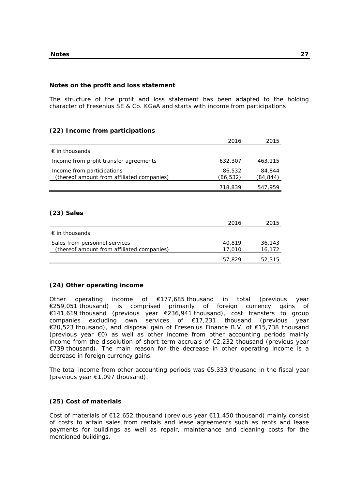## **Notes on the profit and loss statement**

The structure of the profit and loss statement has been adapted to the holding character of Fresenius SE & Co. KGaA and starts with income from participations

# **(22) Income from participations**

|                                                                          | 2016               | 2015               |
|--------------------------------------------------------------------------|--------------------|--------------------|
| $\epsilon$ in thousands                                                  |                    |                    |
| Income from profit transfer agreements                                   | 632,307            | 463,115            |
| Income from participations<br>(thereof amount from affiliated companies) | 86,532<br>(86,532) | 84,844<br>(84,844) |
|                                                                          | 718,839            | 547,959            |
|                                                                          |                    |                    |
|                                                                          |                    |                    |

# **(23) Sales**

|                                                                             | 2016             | 2015             |
|-----------------------------------------------------------------------------|------------------|------------------|
| $\epsilon$ in thousands                                                     |                  |                  |
| Sales from personnel services<br>(thereof amount from affiliated companies) | 40.819<br>17.010 | 36,143<br>16,172 |
|                                                                             | 57.829           | 52,315           |

# **(24) Other operating income**

Other operating income of €177,685 thousand in total (previous year €259,051 thousand) is comprised primarily of foreign currency gains of €141,619 thousand (previous year €236,941 thousand), cost transfers to group companies excluding own services of €17,231 thousand (previous year €20,523 thousand), and disposal gain of Fresenius Finance B.V. of €15,738 thousand (previous year €0) as well as other income from other accounting periods mainly income from the dissolution of short-term accruals of  $E$ 2,232 thousand (previous year €739 thousand). The main reason for the decrease in other operating income is a decrease in foreign currency gains.

The total income from other accounting periods was  $€5,333$  thousand in the fiscal year (previous year €1,097 thousand).

# **(25) Cost of materials**

Cost of materials of €12,652 thousand (previous year €11,450 thousand) mainly consist of costs to attain sales from rentals and lease agreements such as rents and lease payments for buildings as well as repair, maintenance and cleaning costs for the mentioned buildings.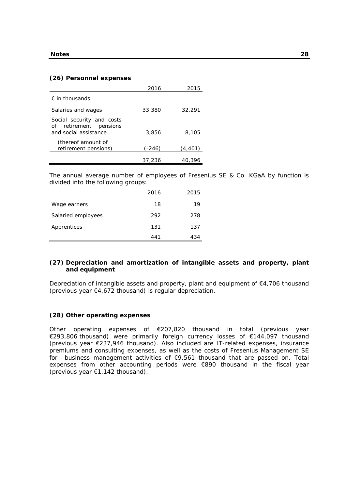## **(26) Personnel expenses**

|                                                                                 | 2016     | 2015     |
|---------------------------------------------------------------------------------|----------|----------|
| $\epsilon$ in thousands                                                         |          |          |
| Salaries and wages                                                              | 33,380   | 32,291   |
| Social security and costs<br>of retirement<br>pensions<br>and social assistance | 3,856    | 8,105    |
| (thereof amount of<br>retirement pensions)                                      | $(-246)$ | (4, 401) |
|                                                                                 | 37,236   | 40,396   |

The annual average number of employees of Fresenius SE & Co. KGaA by function is divided into the following groups:

|                    | 2016 | 2015 |
|--------------------|------|------|
| Wage earners       | 18   | 19   |
| Salaried employees | 292  | 278  |
| Apprentices        | 131  | 137  |
|                    | 441  | 434  |

# **(27) Depreciation and amortization of intangible assets and property, plant and equipment**

Depreciation of intangible assets and property, plant and equipment of  $\epsilon$ 4,706 thousand (previous year €4,672 thousand) is regular depreciation.

## **(28) Other operating expenses**

Other operating expenses of €207,820 thousand in total (previous year €293,806 thousand) were primarily foreign currency losses of €144,097 thousand (previous year €237,946 thousand). Also included are IT-related expenses, insurance premiums and consulting expenses, as well as the costs of Fresenius Management SE for business management activities of €9,561 thousand that are passed on. Total expenses from other accounting periods were €890 thousand in the fiscal year (previous year €1,142 thousand).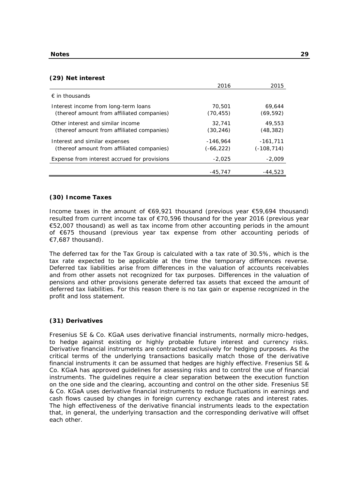### **(29) Net interest**

|                                                                                    | 2016                    | 2015                     |
|------------------------------------------------------------------------------------|-------------------------|--------------------------|
| $\epsilon$ in thousands                                                            |                         |                          |
| Interest income from long-term loans<br>(thereof amount from affiliated companies) | 70,501<br>(70, 455)     | 69.644<br>(69, 592)      |
| Other interest and similar income<br>(thereof amount from affiliated companies)    | 32,741<br>(30,246)      | 49,553<br>(48, 382)      |
| Interest and similar expenses<br>(thereof amount from affiliated companies)        | $-146.964$<br>(-66,222) | $-161,711$<br>(-108,714) |
| Expense from interest accrued for provisions                                       | $-2.025$                | $-2.009$                 |
|                                                                                    | $-45.747$               | -44,523                  |

## **(30) Income Taxes**

Income taxes in the amount of €69,921 thousand (previous year €59,694 thousand) resulted from current income tax of €70,596 thousand for the year 2016 (previous year €52,007 thousand) as well as tax income from other accounting periods in the amount of €675 thousand (previous year tax expense from other accounting periods of €7,687 thousand).

The deferred tax for the Tax Group is calculated with a tax rate of 30.5%, which is the tax rate expected to be applicable at the time the temporary differences reverse. Deferred tax liabilities arise from differences in the valuation of accounts receivables and from other assets not recognized for tax purposes. Differences in the valuation of pensions and other provisions generate deferred tax assets that exceed the amount of deferred tax liabilities. For this reason there is no tax gain or expense recognized in the profit and loss statement.

### **(31) Derivatives**

Fresenius SE & Co. KGaA uses derivative financial instruments, normally micro-hedges, to hedge against existing or highly probable future interest and currency risks. Derivative financial instruments are contracted exclusively for hedging purposes. As the critical terms of the underlying transactions basically match those of the derivative financial instruments it can be assumed that hedges are highly effective. Fresenius SE & Co. KGaA has approved guidelines for assessing risks and to control the use of financial instruments. The guidelines require a clear separation between the execution function on the one side and the clearing, accounting and control on the other side. Fresenius SE & Co. KGaA uses derivative financial instruments to reduce fluctuations in earnings and cash flows caused by changes in foreign currency exchange rates and interest rates. The high effectiveness of the derivative financial instruments leads to the expectation that, in general, the underlying transaction and the corresponding derivative will offset each other.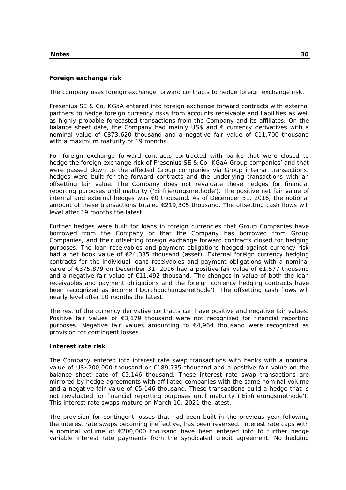# **Foreign exchange risk**

The company uses foreign exchange forward contracts to hedge foreign exchange risk.

Fresenius SE & Co. KGaA entered into foreign exchange forward contracts with external partners to hedge foreign currency risks from accounts receivable and liabilities as well as highly probable forecasted transactions from the Company and its affiliates. On the balance sheet date, the Company had mainly US\$ and  $\epsilon$  currency derivatives with a nominal value of €873,620 thousand and a negative fair value of €11,700 thousand with a maximum maturity of 19 months.

For foreign exchange forward contracts contracted with banks that were closed to hedge the foreign exchange risk of Fresenius SE & Co. KGaA Group companies' and that were passed down to the affected Group companies via Group internal transactions, hedges were built for the forward contracts and the underlying transactions with an offsetting fair value. The Company does not revaluate these hedges for financial reporting purposes until maturity ('Einfrierungsmethode'). The positive net fair value of internal and external hedges was €0 thousand. As of December 31, 2016, the notional amount of these transactions totaled  $\epsilon$ 219,305 thousand. The offsetting cash flows will level after 19 months the latest.

Further hedges were built for loans in foreign currencies that Group Companies have borrowed from the Company or that the Company has borrowed from Group Companies, and their offsetting foreign exchange forward contracts closed for hedging purposes. The loan receivables and payment obligations hedged against currency risk had a net book value of €24,335 thousand (asset). External foreign currency hedging contracts for the individual loans receivables and payment obligations with a nominal value of €375,879 on December 31, 2016 had a positive fair value of €1,577 thousand and a negative fair value of  $\epsilon$ 11,492 thousand. The changes in value of both the loan receivables and payment obligations and the foreign currency hedging contracts have been recognized as income ('Durchbuchungsmethode'). The offsetting cash flows will nearly level after 10 months the latest.

The rest of the currency derivative contracts can have positive and negative fair values. Positive fair values of €3,179 thousand were not recognized for financial reporting purposes. Negative fair values amounting to  $\epsilon$ 4,964 thousand were recognized as provision for contingent losses.

## **Interest rate risk**

The Company entered into interest rate swap transactions with banks with a nominal value of US\$200,000 thousand or €189,735 thousand and a positive fair value on the balance sheet date of €5,146 thousand. These interest rate swap transactions are mirrored by hedge agreements with affiliated companies with the same nominal volume and a negative fair value of €5,146 thousand. These transactions build a hedge that is not revaluated for financial reporting purposes until maturity ('Einfrierungsmethode'). This interest rate swaps mature on March 10, 2021 the latest.

The provision for contingent losses that had been built in the previous year following the interest rate swaps becoming ineffective, has been reversed. Interest rate caps with a nominal volume of €200,000 thousand have been entered into to further hedge variable interest rate payments from the syndicated credit agreement. No hedging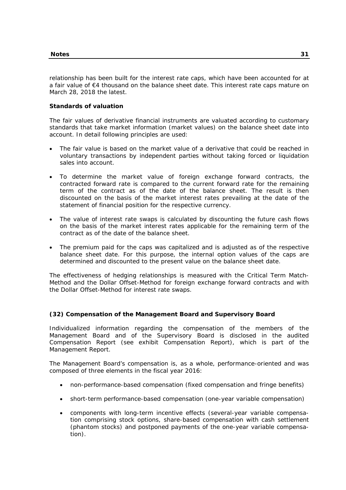relationship has been built for the interest rate caps, which have been accounted for at a fair value of €4 thousand on the balance sheet date. This interest rate caps mature on March 28, 2018 the latest.

## **Standards of valuation**

The fair values of derivative financial instruments are valuated according to customary standards that take market information (market values) on the balance sheet date into account. In detail following principles are used:

- The fair value is based on the market value of a derivative that could be reached in voluntary transactions by independent parties without taking forced or liquidation sales into account.
- To determine the market value of foreign exchange forward contracts, the contracted forward rate is compared to the current forward rate for the remaining term of the contract as of the date of the balance sheet. The result is then discounted on the basis of the market interest rates prevailing at the date of the statement of financial position for the respective currency.
- The value of interest rate swaps is calculated by discounting the future cash flows on the basis of the market interest rates applicable for the remaining term of the contract as of the date of the balance sheet.
- The premium paid for the caps was capitalized and is adjusted as of the respective balance sheet date. For this purpose, the internal option values of the caps are determined and discounted to the present value on the balance sheet date.

The effectiveness of hedging relationships is measured with the Critical Term Match-Method and the Dollar Offset-Method for foreign exchange forward contracts and with the Dollar Offset-Method for interest rate swaps.

# **(32) Compensation of the Management Board and Supervisory Board**

Individualized information regarding the compensation of the members of the Management Board and of the Supervisory Board is disclosed in the audited Compensation Report (see exhibit Compensation Report), which is part of the Management Report.

The Management Board's compensation is, as a whole, performance-oriented and was composed of three elements in the fiscal year 2016:

- non-performance-based compensation (fixed compensation and fringe benefits)
- short-term performance-based compensation (one-year variable compensation)
- components with long-term incentive effects (several-year variable compensation comprising stock options, share-based compensation with cash settlement (phantom stocks) and postponed payments of the one-year variable compensation).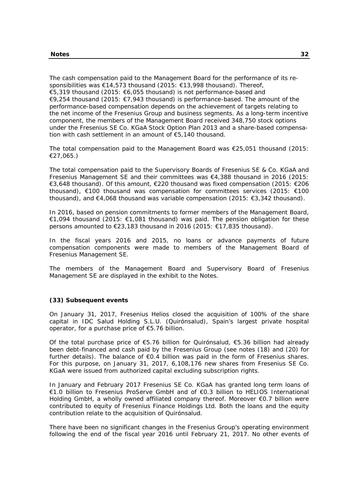The cash compensation paid to the Management Board for the performance of its responsibilities was €14,573 thousand (2015: €13,998 thousand). Thereof, €5,319 thousand (2015: €6,055 thousand) is not performance-based and €9,254 thousand (2015: €7,943 thousand) is performance-based. The amount of the performance-based compensation depends on the achievement of targets relating to the net income of the Fresenius Group and business segments. As a long-term incentive component, the members of the Management Board received 348,750 stock options under the Fresenius SE Co. KGaA Stock Option Plan 2013 and a share-based compensation with cash settlement in an amount of €5,140 thousand.

The total compensation paid to the Management Board was €25,051 thousand (2015: €27,065.)

The total compensation paid to the Supervisory Boards of Fresenius SE & Co. KGaA and Fresenius Management SE and their committees was €4,388 thousand in 2016 (2015: €3,648 thousand). Of this amount, €220 thousand was fixed compensation (2015: €206 thousand), €100 thousand was compensation for committees services (2015: €100 thousand), and €4,068 thousand was variable compensation (2015: €3,342 thousand).

In 2016, based on pension commitments to former members of the Management Board, €1,094 thousand (2015: €1,081 thousand) was paid. The pension obligation for these persons amounted to €23,183 thousand in 2016 (2015: €17,835 thousand).

In the fiscal years 2016 and 2015, no loans or advance payments of future compensation components were made to members of the Management Board of Fresenius Management SE.

The members of the Management Board and Supervisory Board of Fresenius Management SE are displayed in the exhibit to the Notes.

## **(33) Subsequent events**

On January 31, 2017, Fresenius Helios closed the acquisition of 100% of the share capital in IDC Salud Holding S.L.U. (Quirónsalud), Spain's largest private hospital operator, for a purchase price of €5.76 billion.

Of the total purchase price of €5.76 billion for Quirónsalud, €5.36 billion had already been debt-financed and cash paid by the Fresenius Group (see notes (18) and (20) for further details). The balance of €0.4 billion was paid in the form of Fresenius shares. For this purpose, on January 31, 2017, 6,108,176 new shares from Fresenius SE Co. KGaA were issued from authorized capital excluding subscription rights.

In January and February 2017 Fresenius SE Co. KGaA has granted long term loans of €1.0 billion to Fresenius ProServe GmbH and of €0.3 billion to HELIOS International Holding GmbH, a wholly owned affiliated company thereof. Moreover €0.7 billion were contributed to equity of Fresenius Finance Holdings Ltd. Both the loans and the equity contribution relate to the acquisition of Quirónsalud.

There have been no significant changes in the Fresenius Group's operating environment following the end of the fiscal year 2016 until February 21, 2017. No other events of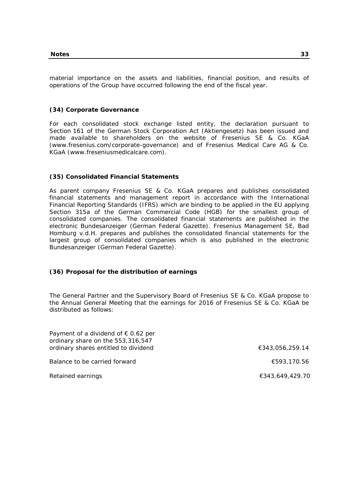material importance on the assets and liabilities, financial position, and results of operations of the Group have occurred following the end of the fiscal year.

#### **(34) Corporate Governance**

For each consolidated stock exchange listed entity, the declaration pursuant to Section 161 of the German Stock Corporation Act (Aktiengesetz) has been issued and made available to shareholders on the website of Fresenius SE & Co. KGaA (www.fresenius.com/corporate-governance) and of Fresenius Medical Care AG & Co. KGaA (www.freseniusmedicalcare.com).

#### **(35) Consolidated Financial Statements**

As parent company Fresenius SE & Co. KGaA prepares and publishes consolidated financial statements and management report in accordance with the International Financial Reporting Standards (IFRS) which are binding to be applied in the EU applying Section 315a of the German Commercial Code (HGB) for the smallest group of consolidated companies. The consolidated financial statements are published in the electronic Bundesanzeiger (German Federal Gazette). Fresenius Management SE, Bad Homburg v.d.H. prepares and publishes the consolidated financial statements for the largest group of consolidated companies which is also published in the electronic Bundesanzeiger (German Federal Gazette).

#### **(36) Proposal for the distribution of earnings**

The General Partner and the Supervisory Board of Fresenius SE & Co. KGaA propose to the Annual General Meeting that the earnings for 2016 of Fresenius SE & Co. KGaA be distributed as follows:

| Payment of a dividend of $\epsilon$ 0.62 per<br>ordinary share on the 553,316,547 |                 |
|-----------------------------------------------------------------------------------|-----------------|
| ordinary shares entitled to dividend                                              | €343,056,259.14 |
| Balance to be carried forward                                                     | €593,170.56     |
| Retained earnings                                                                 | €343,649,429.70 |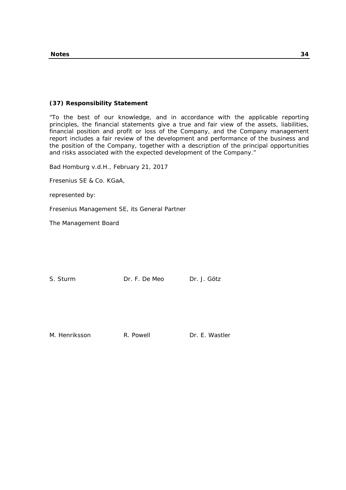#### **(37) Responsibility Statement**

"To the best of our knowledge, and in accordance with the applicable reporting principles, the financial statements give a true and fair view of the assets, liabilities, financial position and profit or loss of the Company, and the Company management report includes a fair review of the development and performance of the business and the position of the Company, together with a description of the principal opportunities and risks associated with the expected development of the Company."

Bad Homburg v.d.H., February 21, 2017

Fresenius SE & Co. KGaA,

represented by:

Fresenius Management SE, its General Partner

The Management Board

S. Sturm Dr. F. De Meo Dr. J. Götz

M. Henriksson **R. Powell Dr. E. Wastler**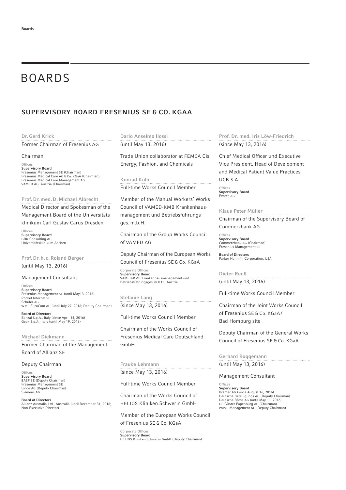# BOARDS

# SUPERVISORY BOARD FRESENIUS SE & CO. KGAA

#### Dr. Gerd Krick

Former Chairman of Fresenius AG

#### Chairman

Offices Supervisory Board Fresenius Management SE (Chairman) Fresenius Medical Care AG & Co. KGaA (Chairman) Fresenius Medical Care Management AG VAMED AG, Austria (Chairman)

Prof. Dr. med. D. Michael Albrecht

Medical Director and Spokesman of the

Management Board of the Universitäts-

klinikum Carl Gustav Carus Dresden

Office Supervisory Board GÖK Consulting AG Universitätsklinikum Aachen

Prof. Dr. h. c. Roland Berger (until May 13, 2016)

#### Management Consultant

Offices Supervisory Board Fresenius Management SE (until May13, 2016) Rocket Internet SE Schuler AG WMP EuroCom AG (until July 27, 2016; Deputy Chairman) Board of Directors

Banzai S.p.A., Italy (since April 14, 2016) Geox S.p.A., Italy (until May 19, 2016)

# Michael Diekmann

Former Chairman of the Management Board of Allianz SE

# Deputy Chairman

**Offices Supervisory Board**<br>BASF SE (Deputy Chairman) Fresenius Management SE Linde AG (Deputy Chairman) Siemens AG

Board of Directors Allianz Australia Ltd., Australia (until December 31, 2016; Non-Executive Director)

Dario Anselmo Ilossi

(until May 13, 2016)

Trade Union collaborator at FEMCA Cisl Energy, Fashion, and Chemicals

Konrad Kölbl Full-time Works Council Member

Member of the Manual Workers' Works Council of VAMED-KMB Krankenhausmanagement und Betriebsführungsges. m.b.H.

Chairman of the Group Works Council of VAMED AG

Deputy Chairman of the European Works Council of Fresenius SE & Co. KGaA

Corporate Offices Supervisory Board VAMED-KMB Krankenhausmanagement und Betriebsführungsges. m.b.H., Austria

Stefanie Lang (since May 13, 2016)

Full-time Works Council Member

Chairman of the Works Council of Fresenius Medical Care Deutschland GmbH

Frauke Lehmann (since May 13, 2016)

Full-time Works Council Member

Chairman of the Works Council of HELIOS Kliniken Schwerin GmbH

Member of the European Works Council of Fresenius SE & Co. KGaA

Corporate Offices Supervisory Board HELIOS Kliniken Schwerin GmbH (Deputy Chairman) Prof. Dr. med. Iris Löw-Friedrich (since May 13, 2016)

Chief Medical Officer und Executive Vice President, Head of Development and Medical Patient Value Practices, UCB S.A.

**Offices** Supersivory Board Evotec AG

#### Klaus-Peter Müller . . . . . . . . . . . . . . . . . . Chairman of the Supervisory Board of

Commerzbank AG **Offices** 

Supervisory Board Commerzbank AG (Chairman) Fresenius Management SE

Board of Directors Parker Hannifin Corporation, USA

Dieter Reuß (until May 13, 2016)

Full-time Works Council Member

Chairman of the Joint Works Council of Fresenius SE & Co. KGaA / Bad Homburg site

Deputy Chairman of the General Works Council of Fresenius SE & Co. KGaA

Gerhard Roggemann (until May 13, 2016)

#### Management Consultant

**Offices** Supervisory Board Bremer AG (since August 16, 2016) Deutsche Beteiligungs AG (Deputy Chairman) Deutsche Börse AG (until May 11, 2016) GP Günter Papenburg AG (Chairman) WAVE Management AG (Deputy Chairman)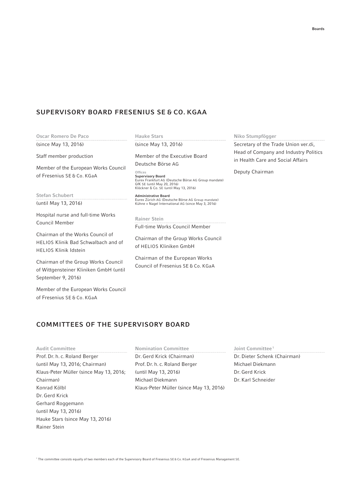# SUPERVISORY BOARD FRESENIUS SE & CO. KGAA

Oscar Romero De Paco (since May 13, 2016)

Staff member production

Member of the European Works Council of Fresenius SE & Co. KGaA

Stefan Schubert (until May 13, 2016)

Hospital nurse and full-time Works Council Member

Chairman of the Works Council of HELIOS Klinik Bad Schwalbach and of HELIOS Klinik Idstein

Chairman of the Group Works Council of Wittgensteiner Kliniken GmbH (until September 9, 2016)

Member of the European Works Council of Fresenius SE & Co. KGaA

Hauke Stars (since May 13, 2016)

Member of the Executive Board Deutsche Börse AG

Offices Supervisory Board Eurex Frankfurt AG (Deutsche Börse AG Group mandate) GfK SE (until May 20, 2016) Klöckner & Co. SE (until May 13, 2016)

Administrative Board Eurex Zürich AG (Deutsche Börse AG Group mandate) Kühne + Nagel International AG (since May 3, 2016)

Rainer Stein Full-time Works Council Member

Chairman of the Group Works Council of HELIOS Kliniken GmbH

Chairman of the European Works Council of Fresenius SE & Co. KGaA

# Niko Stumpfögger

Secretary of the Trade Union ver.di, Head of Company and Industry Politics in Health Care and Social Affairs

Deputy Chairman

# COMMITTEES OF THE SUPERVISORY BOARD

Audit Committee Prof. Dr. h. c. Roland Berger (until May 13, 2016; Chairman) Klaus-Peter Müller (since May 13, 2016; Chairman) Konrad Kölbl Dr. Gerd Krick Gerhard Roggemann (until May 13, 2016) Hauke Stars (since May 13, 2016) Rainer Stein

Nomination Committee Dr. Gerd Krick (Chairman) Prof. Dr. h. c. Roland Berger (until May 13, 2016) Michael Diekmann Klaus-Peter Müller (since May 13, 2016)

Joint Committee<sup>1</sup>

Dr. Dieter Schenk (Chairman) Michael Diekmann Dr. Gerd Krick Dr. Karl Schneider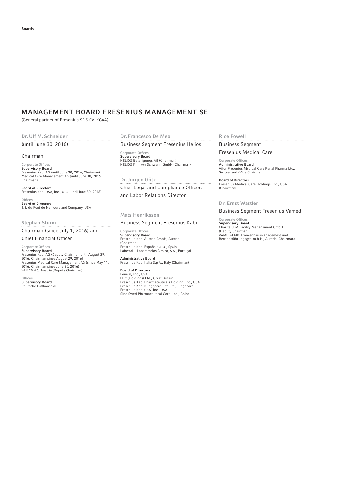# MANAGEMENT BOARD FRESENIUS MANAGEMENT SE

(General partner of Fresenius SE & Co. KGaA)

#### Dr. Ulf M. Schneider

#### (until June 30, 2016)

#### Chairman

Corporate Offices Supervisory Board Fresenius Kabi AG (until June 30, 2016; Chairman) Medical Care Management AG (until June 30, 2016; Chairman)

Board of Directors Fresenius Kabi USA, Inc., USA (until June 30, 2016)

**Offices Board of Directors**<br>E. I. du Pont de Nemours and Company, USA

#### Stephan Sturm

Chairman (since July 1, 2016) and

#### Chief Financial Officer

Corporate Offices **Supervisory Board**<br>Fresenius Kabi AG (Deputy Chairman until August 29, 2016; Chairman since August 29, 2016) Fresenius Medical Care Management AG (since May 11, 2016; Chairman since June 30, 2016) VAMED AG, Austria (Deputy Chairman)

Offices Supervisory Board Deutsche Lufthansa AG

# Dr. Francesco De Meo

Business Segment Fresenius Helios

Corporate Offices Supervisory Board HELIOS Beteiligungs AG (Chairman) HELIOS Kliniken Schwerin GmbH (Chairman)

Dr. Jürgen Götz Chief Legal and Compliance Officer, and Labor Relations Director

Mats Henriksson Business Segment Fresenius Kabi

Corporate Offices Supervisory Board Fresenius Kabi Austria GmbH, Austria (Chairman) Fresenius Kabi España S.A.U., Spain Labesfal – Laboratórios Almiro, S.A., Portugal

Administrative Board Fresenius Kabi Italia S.p.A., Italy (Chairman)

#### Board of Directors

Fenwal, Inc., USA<br>Fresenius Kabi Pharmaceuticals Holding, Inc., USA<br>Fresenius Kabi Pharmaceuticals Holding, Inc., USA<br>Fresenius Kabi (Singapore) Pte Ltd., Singapore<br>Sino-Swed Pharmaceutical Corp, Ltd., China<br>Sino-Swed Phar

#### Rice Powell

Business Segment

Fresenius Medical Care

Corporate Offices Administrative Board Vifor Fresenius Medical Care Renal Pharma Ltd., Switzerland (Vice Chairman)

Board of Directors Fresenius Medical Care Holdings, Inc., USA (Chairman)

Dr. Ernst Wastler Business Segment Fresenius Vamed

Corporate Offices Supervisory Board Charité CFM Facility Management GmbH (Deputy Chairman) VAMED-KMB Krankenhausmanagement und Betriebsführungsges. m.b.H., Austria (Chairman)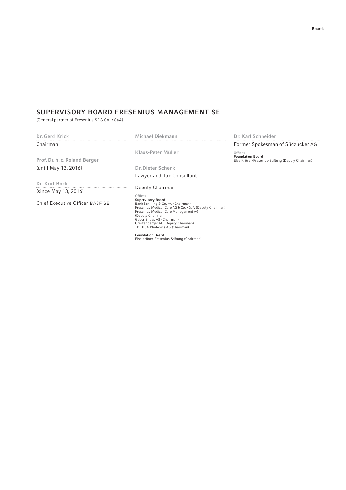# SUPERVISORY BOARD FRESENIUS MANAGEMENT SE

(General partner of Fresenius SE & Co. KGaA)

Dr. Gerd Krick **Chairman** 

Michael Diekmann 

Prof. Dr. h. c. Roland Berger (until May 13, 2016)

Dr. Kurt Bock 

(since May 13, 2016)

Chief Executive Officer BASF SE

Klaus-Peter Müller

Dr. Dieter Schenk Lawyer and Tax Consultant

Deputy Chairman

Offices<br>Supervisory Board<br>Bank Schilling & Co. AG (Chairman)<br>Fresenius Medical Care AG & Co. KGaA (Deputy Chairman)<br>Fresenius Medical Care Management AG<br>Gbeor Shoes AG (Chairman)<br>Greiffenberger AG (Deputy Chairman) Greiffenberger AG (Deputy Chairman)<br>TOPTICA Photonics AG (Chairman)

Foundation Board Else Kröner-Fresenius-Stiftung (Chairman)

Dr. Karl Schneider

Former Spokesman of Südzucker AG

Offices Foundation Board Else Kröner-Fresenius-Stiftung (Deputy Chairman)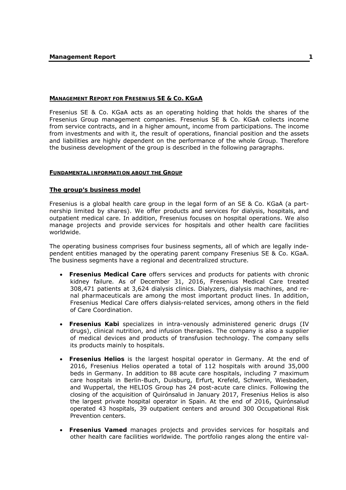#### **MANAGEMENT REPORT FOR FRESENIUS SE & CO. KGAA**

Fresenius SE & Co. KGaA acts as an operating holding that holds the shares of the Fresenius Group management companies. Fresenius SE & Co. KGaA collects income from service contracts, and in a higher amount, income from participations. The income from investments and with it, the result of operations, financial position and the assets and liabilities are highly dependent on the performance of the whole Group. Therefore the business development of the group is described in the following paragraphs.

#### **FUNDAMENTAL INFORMATION ABOUT THE GROUP**

#### **The group's business model**

Fresenius is a global health care group in the legal form of an SE & Co. KGaA (a partnership limited by shares). We offer products and services for dialysis, hospitals, and outpatient medical care. In addition, Fresenius focuses on hospital operations. We also manage projects and provide services for hospitals and other health care facilities worldwide.

The operating business comprises four business segments, all of which are legally independent entities managed by the operating parent company Fresenius SE & Co. KGaA. The business segments have a regional and decentralized structure.

- **Fresenius Medical Care** offers services and products for patients with chronic kidney failure. As of December 31, 2016, Fresenius Medical Care treated 308,471 patients at 3,624 dialysis clinics. Dialyzers, dialysis machines, and renal pharmaceuticals are among the most important product lines. In addition, Fresenius Medical Care offers dialysis-related services, among others in the field of Care Coordination.
- **Fresenius Kabi** specializes in intra-venously administered generic drugs (IV drugs), clinical nutrition, and infusion therapies. The company is also a supplier of medical devices and products of transfusion technology. The company sells its products mainly to hospitals.
- **Fresenius Helios** is the largest hospital operator in Germany. At the end of 2016, Fresenius Helios operated a total of 112 hospitals with around 35,000 beds in Germany. In addition to 88 acute care hospitals, including 7 maximum care hospitals in Berlin-Buch, Duisburg, Erfurt, Krefeld, Schwerin, Wiesbaden, and Wuppertal, the HELIOS Group has 24 post-acute care clinics. Following the closing of the acquisition of Quirónsalud in January 2017, Fresenius Helios is also the largest private hospital operator in Spain. At the end of 2016, Quirónsalud operated 43 hospitals, 39 outpatient centers and around 300 Occupational Risk Prevention centers.
- **Fresenius Vamed** manages projects and provides services for hospitals and other health care facilities worldwide. The portfolio ranges along the entire val-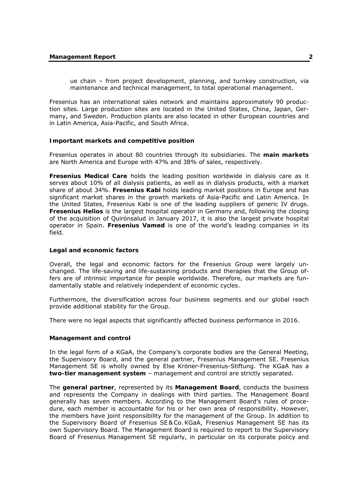ue chain – from project development, planning, and turnkey construction, via maintenance and technical management, to total operational management.

Fresenius has an international sales network and maintains approximately 90 production sites. Large production sites are located in the United States, China, Japan, Germany, and Sweden. Production plants are also located in other European countries and in Latin America, Asia-Pacific, and South Africa.

#### **Important markets and competitive position**

Fresenius operates in about 80 countries through its subsidiaries. The **main markets** are North America and Europe with 47% and 38% of sales, respectively.

**Fresenius Medical Care** holds the leading position worldwide in dialysis care as it serves about 10% of all dialysis patients, as well as in dialysis products, with a market share of about 34%. **Fresenius Kabi** holds leading market positions in Europe and has significant market shares in the growth markets of Asia-Pacific and Latin America. In the United States, Fresenius Kabi is one of the leading suppliers of generic IV drugs. **Fresenius Helios** is the largest hospital operator in Germany and, following the closing of the acquisition of Quirónsalud in January 2017, it is also the largest private hospital operator in Spain. **Fresenius Vamed** is one of the world's leading companies in its field.

#### **Legal and economic factors**

Overall, the legal and economic factors for the Fresenius Group were largely unchanged. The life-saving and life-sustaining products and therapies that the Group offers are of intrinsic importance for people worldwide. Therefore, our markets are fundamentally stable and relatively independent of economic cycles.

Furthermore, the diversification across four business segments and our global reach provide additional stability for the Group.

There were no legal aspects that significantly affected business performance in 2016.

#### **Management and control**

In the legal form of a KGaA, the Company's corporate bodies are the General Meeting, the Supervisory Board, and the general partner, Fresenius Management SE. Fresenius Management SE is wholly owned by Else Kröner-Fresenius-Stiftung. The KGaA has a **two-tier management system** – management and control are strictly separated.

The **general partner**, represented by its **Management Board**, conducts the business and represents the Company in dealings with third parties. The Management Board generally has seven members. According to the Management Board's rules of procedure, each member is accountable for his or her own area of responsibility. However, the members have joint responsibility for the management of the Group. In addition to the Supervisory Board of Fresenius SE & Co.KGaA, Fresenius Management SE has its own Supervisory Board. The Management Board is required to report to the Supervisory Board of Fresenius Management SE regularly, in particular on its corporate policy and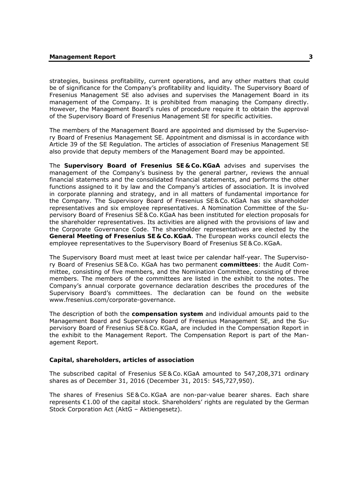strategies, business profitability, current operations, and any other matters that could be of significance for the Company's profitability and liquidity. The Supervisory Board of Fresenius Management SE also advises and supervises the Management Board in its management of the Company. It is prohibited from managing the Company directly. However, the Management Board's rules of procedure require it to obtain the approval of the Supervisory Board of Fresenius Management SE for specific activities.

The members of the Management Board are appointed and dismissed by the Supervisory Board of Fresenius Management SE. Appointment and dismissal is in accordance with Article 39 of the SE Regulation. The articles of association of Fresenius Management SE also provide that deputy members of the Management Board may be appointed.

The **Supervisory Board of Fresenius SE & Co. KGaA** advises and supervises the management of the Company's business by the general partner, reviews the annual financial statements and the consolidated financial statements, and performs the other functions assigned to it by law and the Company's articles of association. It is involved in corporate planning and strategy, and in all matters of fundamental importance for the Company. The Supervisory Board of Fresenius SE & Co.KGaA has six shareholder representatives and six employee representatives. A Nomination Committee of the Supervisory Board of Fresenius SE & Co.KGaA has been instituted for election proposals for the shareholder representatives. Its activities are aligned with the provisions of law and the Corporate Governance Code. The shareholder representatives are elected by the **General Meeting of Fresenius SE & Co. KGaA**. The European works council elects the employee representatives to the Supervisory Board of Fresenius SE & Co.KGaA.

The Supervisory Board must meet at least twice per calendar half-year. The Supervisory Board of Fresenius SE & Co. KGaA has two permanent **committees**: the Audit Committee, consisting of five members, and the Nomination Committee, consisting of three members. The members of the committees are listed in the exhibit to the notes. The Company's annual corporate governance declaration describes the procedures of the Supervisory Board's committees. The declaration can be found on the website www.fresenius.com/corporate-governance.

The description of both the **compensation system** and individual amounts paid to the Management Board and Supervisory Board of Fresenius Management SE, and the Supervisory Board of Fresenius SE & Co.KGaA, are included in the Compensation Report in the exhibit to the Management Report. The Compensation Report is part of the Management Report.

#### **Capital, shareholders, articles of association**

The subscribed capital of Fresenius SE & Co.KGaA amounted to 547,208,371 ordinary shares as of December 31, 2016 (December 31, 2015: 545,727,950).

The shares of Fresenius SE & Co.KGaA are non-par-value bearer shares. Each share represents €1.00 of the capital stock. Shareholders' rights are regulated by the German Stock Corporation Act (AktG – Aktiengesetz).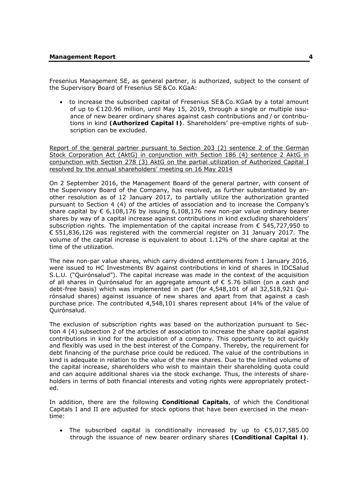Fresenius Management SE, as general partner, is authorized, subject to the consent of the Supervisory Board of Fresenius SE & Co.KGaA:

 to increase the subscribed capital of Fresenius SE & Co. KGaA by a total amount of up to €120.96 million, until May 15, 2019, through a single or multiple issuance of new bearer ordinary shares against cash contributions and / or contributions in kind **(Authorized Capital I)**. Shareholders' pre-emptive rights of subscription can be excluded.

Report of the general partner pursuant to Section 203 (2) sentence 2 of the German Stock Corporation Act (AktG) in conjunction with Section 186 (4) sentence 2 AktG in conjunction with Section 278 (3) AktG on the partial utilization of Authorized Capital I resolved by the annual shareholders' meeting on 16 May 2014

On 2 September 2016, the Management Board of the general partner, with consent of the Supervisory Board of the Company, has resolved, as further substantiated by another resolution as of 12 January 2017, to partially utilize the authorization granted pursuant to Section 4 (4) of the articles of association and to increase the Company's share capital by  $\epsilon$  6,108,176 by issuing 6,108,176 new non-par value ordinary bearer shares by way of a capital increase against contributions in kind excluding shareholders' subscription rights. The implementation of the capital increase from € 545,727,950 to € 551,836,126 was registered with the commercial register on 31 January 2017. The volume of the capital increase is equivalent to about 1.12% of the share capital at the time of the utilization.

The new non-par value shares, which carry dividend entitlements from 1 January 2016, were issued to HC Investments BV against contributions in kind of shares in IDCSalud S.L.U. ("Quirónsalud"). The capital increase was made in the context of the acquisition of all shares in Quirónsalud for an aggregate amount of € 5.76 billion (on a cash and debt-free basis) which was implemented in part (for 4,548,101 of all 32,518,921 Quirónsalud shares) against issuance of new shares and apart from that against a cash purchase price. The contributed 4,548,101 shares represent about 14% of the value of Quirónsalud.

The exclusion of subscription rights was based on the authorization pursuant to Section 4 (4) subsection 2 of the articles of association to increase the share capital against contributions in kind for the acquisition of a company. This opportunity to act quickly and flexibly was used in the best interest of the Company. Thereby, the requirement for debt financing of the purchase price could be reduced. The value of the contributions in kind is adequate in relation to the value of the new shares. Due to the limited volume of the capital increase, shareholders who wish to maintain their shareholding quota could and can acquire additional shares via the stock exchange. Thus, the interests of shareholders in terms of both financial interests and voting rights were appropriately protected.

In addition, there are the following **Conditional Capitals**, of which the Conditional Capitals I and II are adjusted for stock options that have been exercised in the meantime:

• The subscribed capital is conditionally increased by up to  $$5,017,585.00$ through the issuance of new bearer ordinary shares **(Conditional Capital I)**.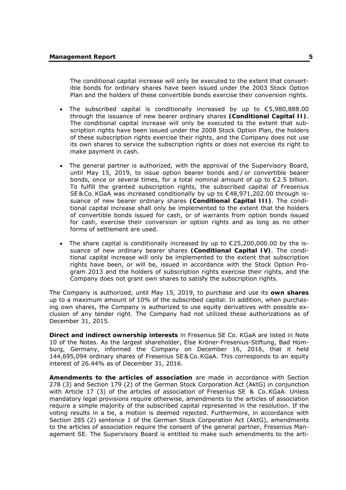The conditional capital increase will only be executed to the extent that convertible bonds for ordinary shares have been issued under the 2003 Stock Option Plan and the holders of these convertible bonds exercise their conversion rights.

- The subscribed capital is conditionally increased by up to  $$5,980,888.00$ through the issuance of new bearer ordinary shares **(Conditional Capital II)**. The conditional capital increase will only be executed to the extent that subscription rights have been issued under the 2008 Stock Option Plan, the holders of these subscription rights exercise their rights, and the Company does not use its own shares to service the subscription rights or does not exercise its right to make payment in cash.
- The general partner is authorized, with the approval of the Supervisory Board, until May 15, 2019, to issue option bearer bonds and / or convertible bearer bonds, once or several times, for a total nominal amount of up to €2.5 billion. To fulfill the granted subscription rights, the subscribed capital of Fresenius SE & Co. KGaA was increased conditionally by up to €48,971,202.00 through issuance of new bearer ordinary shares **(Conditional Capital III)**. The conditional capital increase shall only be implemented to the extent that the holders of convertible bonds issued for cash, or of warrants from option bonds issued for cash, exercise their conversion or option rights and as long as no other forms of settlement are used.
- The share capital is conditionally increased by up to  $\epsilon$ 25,200,000,00 by the issuance of new ordinary bearer shares **(Conditional Capital IV)**. The conditional capital increase will only be implemented to the extent that subscription rights have been, or will be, issued in accordance with the Stock Option Program 2013 and the holders of subscription rights exercise their rights, and the Company does not grant own shares to satisfy the subscription rights.

The Company is authorized, until May 15, 2019, to purchase and use its **own shares** up to a maximum amount of 10% of the subscribed capital. In addition, when purchasing own shares, the Company is authorized to use equity derivatives with possible exclusion of any tender right. The Company had not utilized these authorizations as of December 31, 2015.

**Direct and indirect ownership interests** in Fresenius SE Co. KGaA are listed in Note 10 of the Notes. As the largest shareholder, Else Kröner-Fresenius-Stiftung, Bad Homburg, Germany, informed the Company on December 16, 2016, that it held 144,695,094 ordinary shares of Fresenius SE & Co.KGaA. This corresponds to an equity interest of 26.44% as of December 31, 2016.

**Amendments to the articles of association** are made in accordance with Section 278 (3) and Section 179 (2) of the German Stock Corporation Act (AktG) in conjunction with Article 17 (3) of the articles of association of Fresenius SE & Co.KGaA. Unless mandatory legal provisions require otherwise, amendments to the articles of association require a simple majority of the subscribed capital represented in the resolution. If the voting results in a tie, a motion is deemed rejected. Furthermore, in accordance with Section 285 (2) sentence 1 of the German Stock Corporation Act (AktG), amendments to the articles of association require the consent of the general partner, Fresenius Management SE. The Supervisory Board is entitled to make such amendments to the arti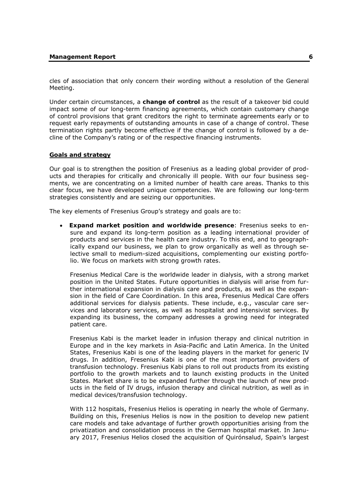cles of association that only concern their wording without a resolution of the General Meeting.

Under certain circumstances, a **change of control** as the result of a takeover bid could impact some of our long-term financing agreements, which contain customary change of control provisions that grant creditors the right to terminate agreements early or to request early repayments of outstanding amounts in case of a change of control. These termination rights partly become effective if the change of control is followed by a decline of the Company's rating or of the respective financing instruments.

#### **Goals and strategy**

Our goal is to strengthen the position of Fresenius as a leading global provider of products and therapies for critically and chronically ill people. With our four business segments, we are concentrating on a limited number of health care areas. Thanks to this clear focus, we have developed unique competencies. We are following our long-term strategies consistently and are seizing our opportunities.

The key elements of Fresenius Group's strategy and goals are to:

 **Expand market position and worldwide presence**: Fresenius seeks to ensure and expand its long-term position as a leading international provider of products and services in the health care industry. To this end, and to geographically expand our business, we plan to grow organically as well as through selective small to medium-sized acquisitions, complementing our existing portfolio. We focus on markets with strong growth rates.

Fresenius Medical Care is the worldwide leader in dialysis, with a strong market position in the United States. Future opportunities in dialysis will arise from further international expansion in dialysis care and products, as well as the expansion in the field of Care Coordination. In this area, Fresenius Medical Care offers additional services for dialysis patients. These include, e.g., vascular care services and laboratory services, as well as hospitalist and intensivist services. By expanding its business, the company addresses a growing need for integrated patient care.

Fresenius Kabi is the market leader in infusion therapy and clinical nutrition in Europe and in the key markets in Asia-Pacific and Latin America. In the United States, Fresenius Kabi is one of the leading players in the market for generic IV drugs. In addition, Fresenius Kabi is one of the most important providers of transfusion technology. Fresenius Kabi plans to roll out products from its existing portfolio to the growth markets and to launch existing products in the United States. Market share is to be expanded further through the launch of new products in the field of IV drugs, infusion therapy and clinical nutrition, as well as in medical devices/transfusion technology.

With 112 hospitals, Fresenius Helios is operating in nearly the whole of Germany. Building on this, Fresenius Helios is now in the position to develop new patient care models and take advantage of further growth opportunities arising from the privatization and consolidation process in the German hospital market. In January 2017, Fresenius Helios closed the acquisition of Quirónsalud, Spain's largest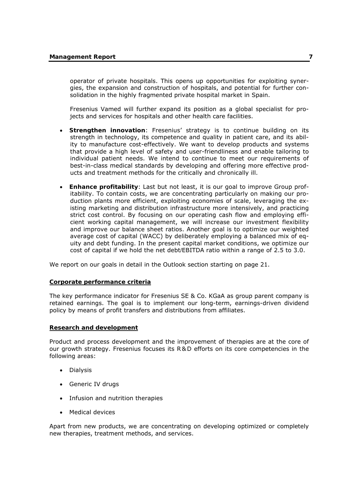operator of private hospitals. This opens up opportunities for exploiting synergies, the expansion and construction of hospitals, and potential for further consolidation in the highly fragmented private hospital market in Spain.

Fresenius Vamed will further expand its position as a global specialist for projects and services for hospitals and other health care facilities.

- **Strengthen innovation**: Fresenius' strategy is to continue building on its strength in technology, its competence and quality in patient care, and its ability to manufacture cost-effectively. We want to develop products and systems that provide a high level of safety and user-friendliness and enable tailoring to individual patient needs. We intend to continue to meet our requirements of best-in-class medical standards by developing and offering more effective products and treatment methods for the critically and chronically ill.
- **Enhance profitability**: Last but not least, it is our goal to improve Group profitability. To contain costs, we are concentrating particularly on making our production plants more efficient, exploiting economies of scale, leveraging the existing marketing and distribution infrastructure more intensively, and practicing strict cost control. By focusing on our operating cash flow and employing efficient working capital management, we will increase our investment flexibility and improve our balance sheet ratios. Another goal is to optimize our weighted average cost of capital (WACC) by deliberately employing a balanced mix of equity and debt funding. In the present capital market conditions, we optimize our cost of capital if we hold the net debt/EBITDA ratio within a range of 2.5 to 3.0.

We report on our goals in detail in the Outlook section starting on page 21.

#### **Corporate performance criteria**

The key performance indicator for Fresenius SE & Co. KGaA as group parent company is retained earnings. The goal is to implement our long-term, earnings-driven dividend policy by means of profit transfers and distributions from affiliates.

#### **Research and development**

Product and process development and the improvement of therapies are at the core of our growth strategy. Fresenius focuses its R & D efforts on its core competencies in the following areas:

- Dialysis
- Generic IV drugs
- Infusion and nutrition therapies
- Medical devices

Apart from new products, we are concentrating on developing optimized or completely new therapies, treatment methods, and services.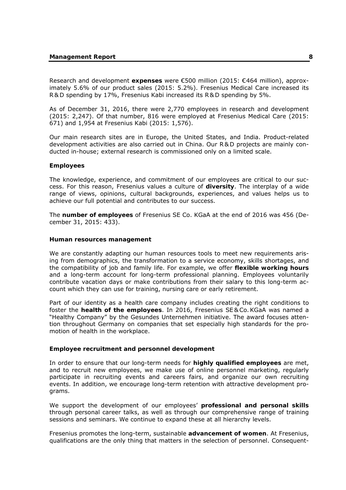Research and development **expenses** were €500 million (2015: €464 million), approximately 5.6% of our product sales (2015: 5.2%). Fresenius Medical Care increased its R & D spending by 17%, Fresenius Kabi increased its R & D spending by 5%.

As of December 31, 2016, there were 2,770 employees in research and development (2015: 2,247). Of that number, 816 were employed at Fresenius Medical Care (2015: 671) and 1,954 at Fresenius Kabi (2015: 1,576).

Our main research sites are in Europe, the United States, and India. Product-related development activities are also carried out in China. Our R & D projects are mainly conducted in-house; external research is commissioned only on a limited scale.

#### **Employees**

The knowledge, experience, and commitment of our employees are critical to our success. For this reason, Fresenius values a culture of **diversity**. The interplay of a wide range of views, opinions, cultural backgrounds, experiences, and values helps us to achieve our full potential and contributes to our success.

The **number of employees** of Fresenius SE Co. KGaA at the end of 2016 was 456 (December 31, 2015: 433).

#### **Human resources management**

We are constantly adapting our human resources tools to meet new requirements arising from demographics, the transformation to a service economy, skills shortages, and the compatibility of job and family life. For example, we offer **flexible working hours**  and a long-term account for long-term professional planning. Employees voluntarily contribute vacation days or make contributions from their salary to this long-term account which they can use for training, nursing care or early retirement.

Part of our identity as a health care company includes creating the right conditions to foster the **health of the employees**. In 2016, Fresenius SE & Co.KGaA was named a "Healthy Company" by the Gesundes Unternehmen initiative. The award focuses attention throughout Germany on companies that set especially high standards for the promotion of health in the workplace.

#### **Employee recruitment and personnel development**

In order to ensure that our long-term needs for **highly qualified employees** are met, and to recruit new employees, we make use of online personnel marketing, regularly participate in recruiting events and careers fairs, and organize our own recruiting events. In addition, we encourage long-term retention with attractive development programs.

We support the development of our employees' **professional and personal skills** through personal career talks, as well as through our comprehensive range of training sessions and seminars. We continue to expand these at all hierarchy levels.

Fresenius promotes the long-term, sustainable **advancement of women**. At Fresenius, qualifications are the only thing that matters in the selection of personnel. Consequent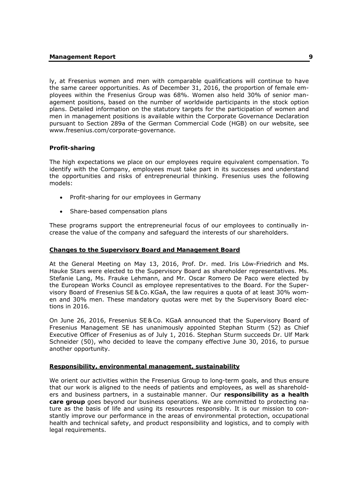ly, at Fresenius women and men with comparable qualifications will continue to have the same career opportunities. As of December 31, 2016, the proportion of female employees within the Fresenius Group was 68%. Women also held 30% of senior management positions, based on the number of worldwide participants in the stock option plans. Detailed information on the statutory targets for the participation of women and men in management positions is available within the Corporate Governance Declaration pursuant to Section 289a of the German Commercial Code (HGB) on our website, see www.fresenius.com/corporate-governance.

# **Profit-sharing**

The high expectations we place on our employees require equivalent compensation. To identify with the Company, employees must take part in its successes and understand the opportunities and risks of entrepreneurial thinking. Fresenius uses the following models:

- Profit-sharing for our employees in Germany
- Share-based compensation plans

These programs support the entrepreneurial focus of our employees to continually increase the value of the company and safeguard the interests of our shareholders.

#### **Changes to the Supervisory Board and Management Board**

At the General Meeting on May 13, 2016, Prof. Dr. med. Iris Löw-Friedrich and Ms. Hauke Stars were elected to the Supervisory Board as shareholder representatives. Ms. Stefanie Lang, Ms. Frauke Lehmann, and Mr. Oscar Romero De Paco were elected by the European Works Council as employee representatives to the Board. For the Supervisory Board of Fresenius SE & Co.KGaA, the law requires a quota of at least 30% women and 30% men. These mandatory quotas were met by the Supervisory Board elections in 2016.

On June 26, 2016, Fresenius SE & Co. KGaA announced that the Supervisory Board of Fresenius Management SE has unanimously appointed Stephan Sturm (52) as Chief Executive Officer of Fresenius as of July 1, 2016. Stephan Sturm succeeds Dr. Ulf Mark Schneider (50), who decided to leave the company effective June 30, 2016, to pursue another opportunity.

#### **Responsibility, environmental management, sustainability**

We orient our activities within the Fresenius Group to long-term goals, and thus ensure that our work is aligned to the needs of patients and employees, as well as shareholders and business partners, in a sustainable manner. Our **responsibility as a health care group** goes beyond our business operations. We are committed to protecting nature as the basis of life and using its resources responsibly. It is our mission to constantly improve our performance in the areas of environmental protection, occupational health and technical safety, and product responsibility and logistics, and to comply with legal requirements.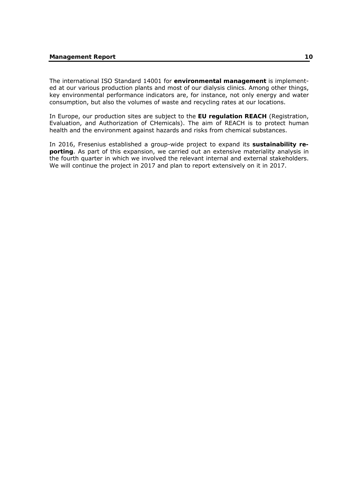The international ISO Standard 14001 for **environmental management** is implemented at our various production plants and most of our dialysis clinics. Among other things, key environmental performance indicators are, for instance, not only energy and water consumption, but also the volumes of waste and recycling rates at our locations.

In Europe, our production sites are subject to the **EU regulation REACH** (Registration, Evaluation, and Authorization of CHemicals). The aim of REACH is to protect human health and the environment against hazards and risks from chemical substances.

In 2016, Fresenius established a group-wide project to expand its **sustainability reporting**. As part of this expansion, we carried out an extensive materiality analysis in the fourth quarter in which we involved the relevant internal and external stakeholders. We will continue the project in 2017 and plan to report extensively on it in 2017.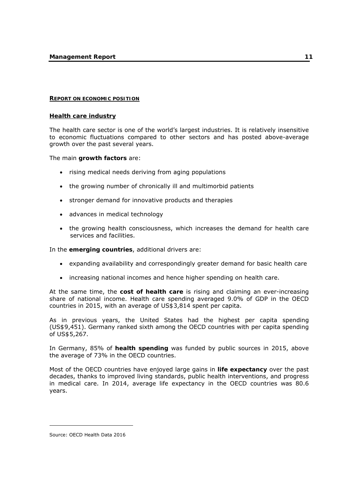#### **REPORT ON ECONOMIC POSITION**

#### **Health care industry**

The health care sector is one of the world's largest industries. It is relatively insensitive to economic fluctuations compared to other sectors and has posted above-average growth over the past several years.

The main **growth factors** are:

- rising medical needs deriving from aging populations
- the growing number of chronically ill and multimorbid patients
- stronger demand for innovative products and therapies
- advances in medical technology
- the growing health consciousness, which increases the demand for health care services and facilities.

In the **emerging countries**, additional drivers are:

- expanding availability and correspondingly greater demand for basic health care
- increasing national incomes and hence higher spending on health care.

At the same time, the **cost of health care** is rising and claiming an ever-increasing share of national income. Health care spending averaged 9.0% of GDP in the OECD countries in 2015, with an average of US\$3,814 spent per capita.

As in previous years, the United States had the highest per capita spending (US\$9,451). Germany ranked sixth among the OECD countries with per capita spending of US\$5,267.

In Germany, 85% of **health spending** was funded by public sources in 2015, above the average of 73% in the OECD countries.

Most of the OECD countries have enjoyed large gains in **life expectancy** over the past decades, thanks to improved living standards, public health interventions, and progress in medical care. In 2014, average life expectancy in the OECD countries was 80.6 years.

-

Source: OECD Health Data 2016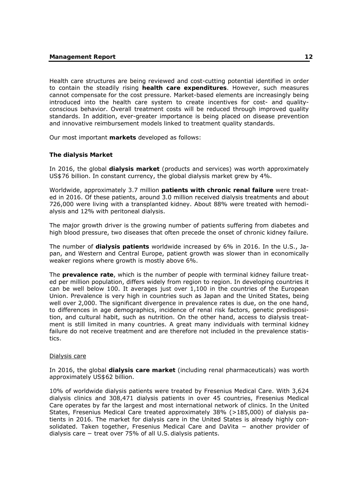Health care structures are being reviewed and cost-cutting potential identified in order to contain the steadily rising **health care expenditures**. However, such measures cannot compensate for the cost pressure. Market-based elements are increasingly being introduced into the health care system to create incentives for cost- and qualityconscious behavior. Overall treatment costs will be reduced through improved quality standards. In addition, ever-greater importance is being placed on disease prevention and innovative reimbursement models linked to treatment quality standards.

Our most important **markets** developed as follows:

#### **The dialysis Market**

In 2016, the global **dialysis market** (products and services) was worth approximately US\$76 billion. In constant currency, the global dialysis market grew by 4%.

Worldwide, approximately 3.7 million **patients with chronic renal failure** were treated in 2016. Of these patients, around 3.0 million received dialysis treatments and about 726,000 were living with a transplanted kidney. About 88% were treated with hemodialysis and 12% with peritoneal dialysis.

The major growth driver is the growing number of patients suffering from diabetes and high blood pressure, two diseases that often precede the onset of chronic kidney failure.

The number of **dialysis patients** worldwide increased by 6% in 2016. In the U.S., Japan, and Western and Central Europe, patient growth was slower than in economically weaker regions where growth is mostly above 6%.

The **prevalence rate**, which is the number of people with terminal kidney failure treated per million population, differs widely from region to region. In developing countries it can be well below 100. It averages just over 1,100 in the countries of the European Union. Prevalence is very high in countries such as Japan and the United States, being well over 2,000. The significant divergence in prevalence rates is due, on the one hand, to differences in age demographics, incidence of renal risk factors, genetic predisposition, and cultural habit, such as nutrition. On the other hand, access to dialysis treatment is still limited in many countries. A great many individuals with terminal kidney failure do not receive treatment and are therefore not included in the prevalence statistics.

#### Dialysis care

In 2016, the global **dialysis care market** (including renal pharmaceuticals) was worth approximately US\$62 billion.

10% of worldwide dialysis patients were treated by Fresenius Medical Care. With 3,624 dialysis clinics and 308,471 dialysis patients in over 45 countries, Fresenius Medical Care operates by far the largest and most international network of clinics. In the United States, Fresenius Medical Care treated approximately 38% (>185,000) of dialysis patients in 2016. The market for dialysis care in the United States is already highly consolidated. Taken together, Fresenius Medical Care and DaVita − another provider of dialysis care − treat over 75% of all U.S. dialysis patients.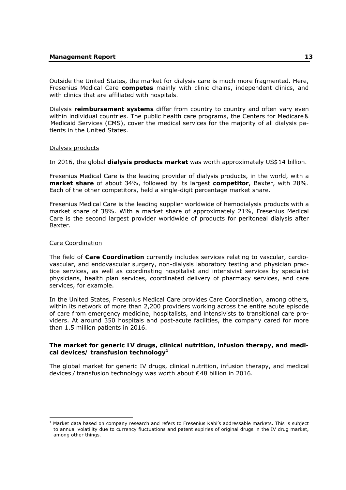Outside the United States, the market for dialysis care is much more fragmented. Here, Fresenius Medical Care **competes** mainly with clinic chains, independent clinics, and with clinics that are affiliated with hospitals.

Dialysis **reimbursement systems** differ from country to country and often vary even within individual countries. The public health care programs, the Centers for Medicare & Medicaid Services (CMS), cover the medical services for the majority of all dialysis patients in the United States.

#### Dialysis products

In 2016, the global **dialysis products market** was worth approximately US\$14 billion.

Fresenius Medical Care is the leading provider of dialysis products, in the world, with a **market share** of about 34%, followed by its largest **competitor**, Baxter, with 28%. Each of the other competitors, held a single-digit percentage market share.

Fresenius Medical Care is the leading supplier worldwide of hemodialysis products with a market share of 38%. With a market share of approximately 21%, Fresenius Medical Care is the second largest provider worldwide of products for peritoneal dialysis after Baxter.

#### Care Coordination

-

The field of **Care Coordination** currently includes services relating to vascular, cardiovascular, and endovascular surgery, non-dialysis laboratory testing and physician practice services, as well as coordinating hospitalist and intensivist services by specialist physicians, health plan services, coordinated delivery of pharmacy services, and care services, for example.

In the United States, Fresenius Medical Care provides Care Coordination, among others, within its network of more than 2,200 providers working across the entire acute episode of care from emergency medicine, hospitalists, and intensivists to transitional care providers. At around 350 hospitals and post-acute facilities, the company cared for more than 1.5 million patients in 2016.

#### **The market for generic IV drugs, clinical nutrition, infusion therapy, and medical devices/ transfusion technology1**

The global market for generic IV drugs, clinical nutrition, infusion therapy, and medical devices / transfusion technology was worth about €48 billion in 2016.

<sup>&</sup>lt;sup>1</sup> Market data based on company research and refers to Fresenius Kabi's addressable markets. This is subject to annual volatility due to currency fluctuations and patent expiries of original drugs in the IV drug market, among other things.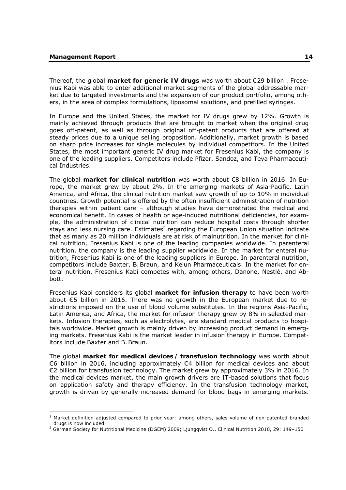-

Thereof, the global market for generic IV drugs was worth about €29 billion<sup>1</sup>. Fresenius Kabi was able to enter additional market segments of the global addressable market due to targeted investments and the expansion of our product portfolio, among others, in the area of complex formulations, liposomal solutions, and prefilled syringes.

In Europe and the United States, the market for IV drugs grew by 12%. Growth is mainly achieved through products that are brought to market when the original drug goes off-patent, as well as through original off-patent products that are offered at steady prices due to a unique selling proposition. Additionally, market growth is based on sharp price increases for single molecules by individual competitors. In the United States, the most important generic IV drug market for Fresenius Kabi, the company is one of the leading suppliers. Competitors include Pfizer, Sandoz, and Teva Pharmaceutical Industries.

The global **market for clinical nutrition** was worth about €8 billion in 2016. In Europe, the market grew by about 2%. In the emerging markets of Asia-Pacific, Latin America, and Africa, the clinical nutrition market saw growth of up to 10% in individual countries. Growth potential is offered by the often insufficient administration of nutrition therapies within patient care – although studies have demonstrated the medical and economical benefit. In cases of health or age-induced nutritional deficiencies, for example, the administration of clinical nutrition can reduce hospital costs through shorter stays and less nursing care. Estimates<sup>2</sup> regarding the European Union situation indicate that as many as 20 million individuals are at risk of malnutrition. In the market for clinical nutrition, Fresenius Kabi is one of the leading companies worldwide. In parenteral nutrition, the company is the leading supplier worldwide. In the market for enteral nutrition, Fresenius Kabi is one of the leading suppliers in Europe. In parenteral nutrition, competitors include Baxter, B.Braun, and Kelun Pharmaceuticals. In the market for enteral nutrition, Fresenius Kabi competes with, among others, Danone, Nestlé, and Abbott.

Fresenius Kabi considers its global **market for infusion therapy** to have been worth about €5 billion in 2016. There was no growth in the European market due to restrictions imposed on the use of blood volume substitutes. In the regions Asia-Pacific, Latin America, and Africa, the market for infusion therapy grew by 8% in selected markets. Infusion therapies, such as electrolytes, are standard medical products to hospitals worldwide. Market growth is mainly driven by increasing product demand in emerging markets. Fresenius Kabi is the market leader in infusion therapy in Europe. Competitors include Baxter and B.Braun.

The global **market for medical devices / transfusion technology** was worth about €6 billion in 2016, including approximately €4 billion for medical devices and about €2 billion for transfusion technology. The market grew by approximately 3% in 2016. In the medical devices market, the main growth drivers are IT-based solutions that focus on application safety and therapy efficiency. In the transfusion technology market, growth is driven by generally increased demand for blood bags in emerging markets.

<sup>&</sup>lt;sup>1</sup> Market definition adjusted compared to prior year: among others, sales volume of non-patented branded drugs is now included 2

<sup>&</sup>lt;sup>2</sup> German Society for Nutritional Medicine (DGEM) 2009; Ljungqvist O., Clinical Nutrition 2010, 29: 149-150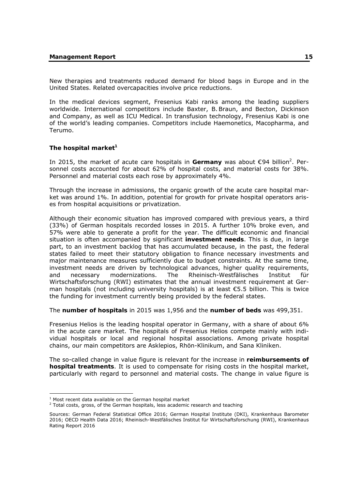New therapies and treatments reduced demand for blood bags in Europe and in the United States. Related overcapacities involve price reductions.

In the medical devices segment, Fresenius Kabi ranks among the leading suppliers worldwide. International competitors include Baxter, B.Braun, and Becton, Dickinson and Company, as well as ICU Medical. In transfusion technology, Fresenius Kabi is one of the world's leading companies. Competitors include Haemonetics, Macopharma, and Terumo.

# The hospital market<sup>1</sup>

In 2015, the market of acute care hospitals in Germany was about €94 billion<sup>2</sup>. Personnel costs accounted for about 62% of hospital costs, and material costs for 38%. Personnel and material costs each rose by approximately 4%.

Through the increase in admissions, the organic growth of the acute care hospital market was around 1%. In addition, potential for growth for private hospital operators arises from hospital acquisitions or privatization.

Although their economic situation has improved compared with previous years, a third (33%) of German hospitals recorded losses in 2015. A further 10% broke even, and 57% were able to generate a profit for the year. The difficult economic and financial situation is often accompanied by significant **investment needs**. This is due, in large part, to an investment backlog that has accumulated because, in the past, the federal states failed to meet their statutory obligation to finance necessary investments and major maintenance measures sufficiently due to budget constraints. At the same time, investment needs are driven by technological advances, higher quality requirements, and necessary modernizations. The Rheinisch-Westfälisches Institut für Wirtschaftsforschung (RWI) estimates that the annual investment requirement at German hospitals (not including university hospitals) is at least  $\epsilon$ 5.5 billion. This is twice the funding for investment currently being provided by the federal states.

The **number of hospitals** in 2015 was 1,956 and the **number of beds** was 499,351.

Fresenius Helios is the leading hospital operator in Germany, with a share of about 6% in the acute care market. The hospitals of Fresenius Helios compete mainly with individual hospitals or local and regional hospital associations. Among private hospital chains, our main competitors are Asklepios, Rhön-Klinikum, and Sana Kliniken.

The so-called change in value figure is relevant for the increase in **reimbursements of hospital treatments**. It is used to compensate for rising costs in the hospital market, particularly with regard to personnel and material costs. The change in value figure is

-

<sup>&</sup>lt;sup>1</sup> Most recent data available on the German hospital market  $\frac{2}{3}$  Total costs, gross of the German bespitals, loss asadomic

 $2$  Total costs, gross, of the German hospitals, less academic research and teaching

Sources: German Federal Statistical Office 2016; German Hospital Institute (DKI), Krankenhaus Barometer 2016; OECD Health Data 2016; Rheinisch-Westfälisches Institut für Wirtschaftsforschung (RWI), Krankenhaus Rating Report 2016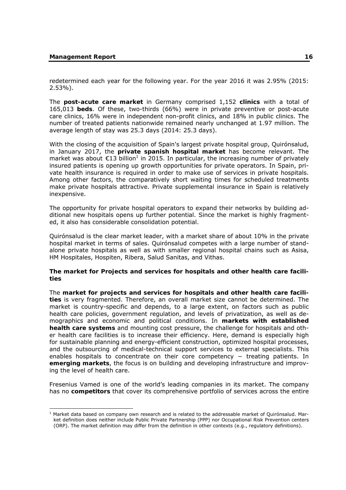-

redetermined each year for the following year. For the year 2016 it was 2.95% (2015: 2.53%).

The **post-acute care market** in Germany comprised 1,152 **clinics** with a total of 165,013 **beds**. Of these, two-thirds (66%) were in private preventive or post-acute care clinics, 16% were in independent non-profit clinics, and 18% in public clinics. The number of treated patients nationwide remained nearly unchanged at 1.97 million. The average length of stay was 25.3 days (2014: 25.3 days).

With the closing of the acquisition of Spain's largest private hospital group, Quirónsalud, in January 2017, the **private spanish hospital market** has become relevant. The market was about  $\epsilon$ 13 billion<sup>1</sup> in 2015. In particular, the increasing number of privately insured patients is opening up growth opportunities for private operators. In Spain, private health insurance is required in order to make use of services in private hospitals. Among other factors, the comparatively short waiting times for scheduled treatments make private hospitals attractive. Private supplemental insurance in Spain is relatively inexpensive.

The opportunity for private hospital operators to expand their networks by building additional new hospitals opens up further potential. Since the market is highly fragmented, it also has considerable consolidation potential.

Quirónsalud is the clear market leader, with a market share of about 10% in the private hospital market in terms of sales. Quirónsalud competes with a large number of standalone private hospitals as well as with smaller regional hospital chains such as Asisa, HM Hospitales, Hospiten, Ribera, Salud Sanitas, and Vithas.

#### **The market for Projects and services for hospitals and other health care facilities**

The **market for projects and services for hospitals and other health care facilities** is very fragmented. Therefore, an overall market size cannot be determined. The market is country-specific and depends, to a large extent, on factors such as public health care policies, government regulation, and levels of privatization, as well as demographics and economic and political conditions. In **markets with established health care systems** and mounting cost pressure, the challenge for hospitals and other health care facilities is to increase their efficiency. Here, demand is especially high for sustainable planning and energy-efficient construction, optimized hospital processes, and the outsourcing of medical-technical support services to external specialists. This enables hospitals to concentrate on their core competency – treating patients. In **emerging markets**, the focus is on building and developing infrastructure and improving the level of health care.

Fresenius Vamed is one of the world's leading companies in its market. The company has no **competitors** that cover its comprehensive portfolio of services across the entire

 $<sup>1</sup>$  Market data based on company own research and is related to the addressable market of Quirónsalud. Mar-</sup> ket definition does neither include Public Private Partnership (PPP) nor Occupational Risk Prevention centers (ORP). The market definition may differ from the definition in other contexts (e.g., regulatory definitions).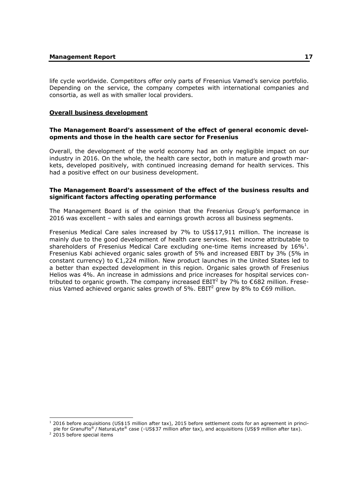life cycle worldwide. Competitors offer only parts of Fresenius Vamed's service portfolio. Depending on the service, the company competes with international companies and consortia, as well as with smaller local providers.

## **Overall business development**

## **The Management Board's assessment of the effect of general economic developments and those in the health care sector for Fresenius**

Overall, the development of the world economy had an only negligible impact on our industry in 2016. On the whole, the health care sector, both in mature and growth markets, developed positively, with continued increasing demand for health services. This had a positive effect on our business development.

## **The Management Board's assessment of the effect of the business results and significant factors affecting operating performance**

The Management Board is of the opinion that the Fresenius Group's performance in 2016 was excellent – with sales and earnings growth across all business segments.

Fresenius Medical Care sales increased by 7% to US\$17,911 million. The increase is mainly due to the good development of health care services. Net income attributable to shareholders of Fresenius Medical Care excluding one-time items increased by  $16\%$ <sup>1</sup>. Fresenius Kabi achieved organic sales growth of 5% and increased EBIT by 3% (5% in constant currency) to  $\epsilon$ 1,224 million. New product launches in the United States led to a better than expected development in this region. Organic sales growth of Fresenius Helios was 4%. An increase in admissions and price increases for hospital services contributed to organic growth. The company increased EBIT<sup>2</sup> by 7% to  $\epsilon$ 682 million. Fresenius Vamed achieved organic sales growth of 5%. EBIT<sup>2</sup> grew by 8% to  $\epsilon$ 69 million.

-

 $1$  2016 before acquisitions (US\$15 million after tax), 2015 before settlement costs for an agreement in principle for GranuFlo® / NaturaLyte® case (-US\$37 million after tax), and acquisitions (US\$9 million after tax).

 $2$  2015 before special items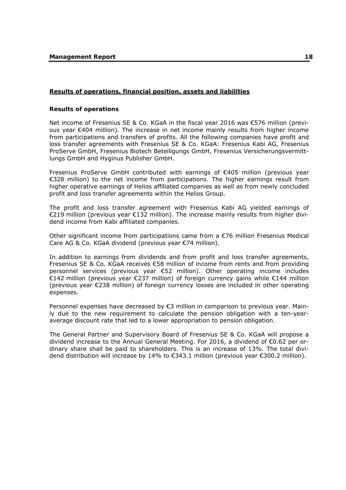#### **Results of operations, financial position, assets and liabilities**

#### **Results of operations**

Net income of Fresenius SE & Co. KGaA in the fiscal year 2016 was €576 million (previous year €404 million). The increase in net income mainly results from higher income from participations and transfers of profits. All the following companies have profit and loss transfer agreements with Fresenius SE & Co. KGaA: Fresenius Kabi AG, Fresenius ProServe GmbH, Fresenius Biotech Beteiligungs GmbH, Fresenius Versicherungsvermittlungs GmbH and Hyginus Publisher GmbH.

Fresenius ProServe GmbH contributed with earnings of €405 million (previous year €328 million) to the net income from participations. The higher earnings result from higher operative earnings of Helios affiliated companies as well as from newly concluded profit and loss transfer agreements within the Helios Group.

The profit and loss transfer agreement with Fresenius Kabi AG yielded earnings of €219 million (previous year €132 million). The increase mainly results from higher dividend income from Kabi affiliated companies.

Other significant income from participations came from a €76 million Fresenius Medical Care AG & Co. KGaA dividend (previous year €74 million).

In addition to earnings from dividends and from profit and loss transfer agreements, Fresenius SE & Co. KGaA receives €58 million of income from rents and from providing personnel services (previous year €52 million). Other operating income includes €142 million (previous year €237 million) of foreign currency gains while €144 million (previous year €238 million) of foreign currency losses are included in other operating expenses.

Personnel expenses have decreased by €3 million in comparison to previous year. Mainly due to the new requirement to calculate the pension obligation with a ten-yearaverage discount rate that led to a lower appropriation to pension obligation.

The General Partner and Supervisory Board of Fresenius SE & Co. KGaA will propose a dividend increase to the Annual General Meeting. For 2016, a dividend of €0.62 per ordinary share shall be paid to shareholders. This is an increase of 13%. The total dividend distribution will increase by 14% to €343.1 million (previous year €300.2 million).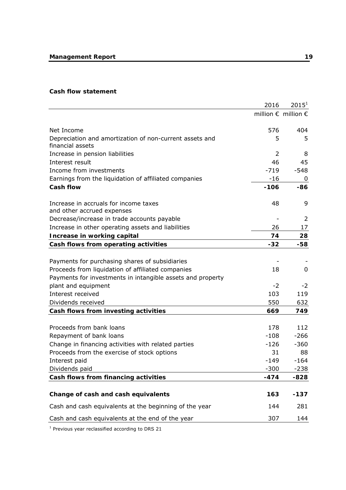#### **Cash flow statement**

|                                                                             | 2016           | $2015^1$                              |
|-----------------------------------------------------------------------------|----------------|---------------------------------------|
|                                                                             |                | million $\epsilon$ million $\epsilon$ |
| Net Income                                                                  | 576            | 404                                   |
| Depreciation and amortization of non-current assets and<br>financial assets | 5              | 5                                     |
| Increase in pension liabilities                                             | $\overline{2}$ | 8                                     |
| Interest result                                                             | 46             | 45                                    |
| Income from investments                                                     | $-719$         | $-548$                                |
| Earnings from the liquidation of affiliated companies                       | $-16$          | 0                                     |
| <b>Cash flow</b>                                                            | $-106$         | $-86$                                 |
| Increase in accruals for income taxes<br>and other accrued expenses         | 48             | 9                                     |
| Decrease/increase in trade accounts payable                                 |                | 2                                     |
| Increase in other operating assets and liabilities                          | 26             | 17                                    |
| Increase in working capital                                                 | 74             | 28                                    |
| Cash flows from operating activities                                        | $-32$          | -58                                   |
|                                                                             |                |                                       |
| Payments for purchasing shares of subsidiaries                              |                |                                       |
| Proceeds from liquidation of affiliated companies                           | 18             | 0                                     |
| Payments for investments in intangible assets and property                  |                |                                       |
| plant and equipment                                                         | $-2$           | $-2$                                  |
| Interest received                                                           | 103            | 119                                   |
| Dividends received                                                          | 550            | 632                                   |
| Cash flows from investing activities                                        | 669            | 749                                   |
|                                                                             |                |                                       |
| Proceeds from bank loans                                                    | 178            | 112                                   |
| Repayment of bank loans                                                     | $-108$         | $-266$                                |
| Change in financing activities with related parties                         | $-126$         | $-360$                                |
| Proceeds from the exercise of stock options                                 | 31             | 88                                    |
| Interest paid                                                               | $-149$         | $-164$                                |
| Dividends paid                                                              | $-300$         | $-238$                                |
| Cash flows from financing activities                                        | $-474$         | -828                                  |
|                                                                             |                |                                       |
| Change of cash and cash equivalents                                         | 163            | $-137$                                |
| Cash and cash equivalents at the beginning of the year                      | 144            | 281                                   |
| Cash and cash equivalents at the end of the year                            | 307            | 144                                   |

 $1$  Previous year reclassified according to DRS 21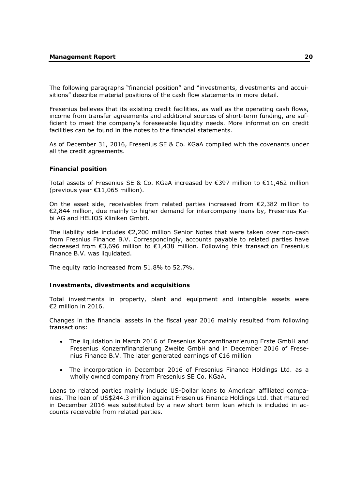The following paragraphs "financial position" and "investments, divestments and acquisitions" describe material positions of the cash flow statements in more detail.

Fresenius believes that its existing credit facilities, as well as the operating cash flows, income from transfer agreements and additional sources of short-term funding, are sufficient to meet the company's foreseeable liquidity needs. More information on credit facilities can be found in the notes to the financial statements.

As of December 31, 2016, Fresenius SE & Co. KGaA complied with the covenants under all the credit agreements.

#### **Financial position**

Total assets of Fresenius SE & Co. KGaA increased by €397 million to  $€11,462$  million (previous year €11,065 million).

On the asset side, receivables from related parties increased from  $\epsilon$ 2,382 million to €2,844 million, due mainly to higher demand for intercompany loans by, Fresenius Kabi AG and HELIOS Kliniken GmbH.

The liability side includes €2,200 million Senior Notes that were taken over non-cash from Fresnius Finance B.V. Correspondingly, accounts payable to related parties have decreased from €3,696 million to €1,438 million. Following this transaction Fresenius Finance B.V. was liquidated.

The equity ratio increased from 51.8% to 52.7%.

#### **Investments, divestments and acquisitions**

Total investments in property, plant and equipment and intangible assets were €2 million in 2016.

Changes in the financial assets in the fiscal year 2016 mainly resulted from following transactions:

- The liquidation in March 2016 of Fresenius Konzernfinanzierung Erste GmbH and Fresenius Konzernfinanzierung Zweite GmbH and in December 2016 of Fresenius Finance B.V. The later generated earnings of €16 million
- The incorporation in December 2016 of Fresenius Finance Holdings Ltd. as a wholly owned company from Fresenius SE Co. KGaA.

Loans to related parties mainly include US-Dollar loans to American affiliated companies. The loan of US\$244.3 million against Fresenius Finance Holdings Ltd. that matured in December 2016 was substituted by a new short term loan which is included in accounts receivable from related parties.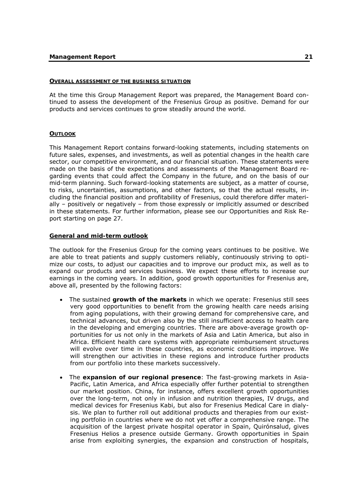#### **OVERALL ASSESSMENT OF THE BUSINESS SITUATION**

At the time this Group Management Report was prepared, the Management Board continued to assess the development of the Fresenius Group as positive. Demand for our products and services continues to grow steadily around the world.

#### **OUTLOOK**

This Management Report contains forward-looking statements, including statements on future sales, expenses, and investments, as well as potential changes in the health care sector, our competitive environment, and our financial situation. These statements were made on the basis of the expectations and assessments of the Management Board regarding events that could affect the Company in the future, and on the basis of our mid-term planning. Such forward-looking statements are subject, as a matter of course, to risks, uncertainties, assumptions, and other factors, so that the actual results, including the financial position and profitability of Fresenius, could therefore differ materially – positively or negatively – from those expressly or implicitly assumed or described in these statements. For further information, please see our Opportunities and Risk Report starting on page 27.

# **General and mid-term outlook**

The outlook for the Fresenius Group for the coming years continues to be positive. We are able to treat patients and supply customers reliably, continuously striving to optimize our costs, to adjust our capacities and to improve our product mix, as well as to expand our products and services business. We expect these efforts to increase our earnings in the coming years. In addition, good growth opportunities for Fresenius are, above all, presented by the following factors:

- The sustained **growth of the markets** in which we operate: Fresenius still sees very good opportunities to benefit from the growing health care needs arising from aging populations, with their growing demand for comprehensive care, and technical advances, but driven also by the still insufficient access to health care in the developing and emerging countries. There are above-average growth opportunities for us not only in the markets of Asia and Latin America, but also in Africa. Efficient health care systems with appropriate reimbursement structures will evolve over time in these countries, as economic conditions improve. We will strengthen our activities in these regions and introduce further products from our portfolio into these markets successively.
- The **expansion of our regional presence**: The fast-growing markets in Asia-Pacific, Latin America, and Africa especially offer further potential to strengthen our market position. China, for instance, offers excellent growth opportunities over the long-term, not only in infusion and nutrition therapies, IV drugs, and medical devices for Fresenius Kabi, but also for Fresenius Medical Care in dialysis. We plan to further roll out additional products and therapies from our existing portfolio in countries where we do not yet offer a comprehensive range. The acquisition of the largest private hospital operator in Spain, Quirónsalud, gives Fresenius Helios a presence outside Germany. Growth opportunities in Spain arise from exploiting synergies, the expansion and construction of hospitals,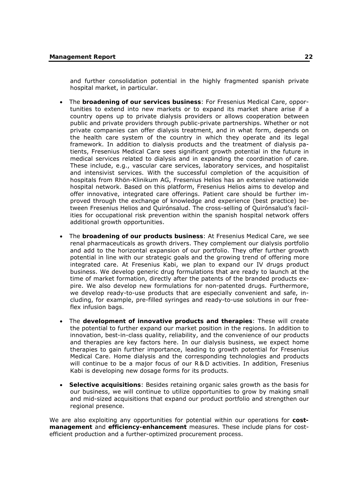and further consolidation potential in the highly fragmented spanish private hospital market, in particular.

- The **broadening of our services business**: For Fresenius Medical Care, opportunities to extend into new markets or to expand its market share arise if a country opens up to private dialysis providers or allows cooperation between public and private providers through public-private partnerships. Whether or not private companies can offer dialysis treatment, and in what form, depends on the health care system of the country in which they operate and its legal framework. In addition to dialysis products and the treatment of dialysis patients, Fresenius Medical Care sees significant growth potential in the future in medical services related to dialysis and in expanding the coordination of care. These include, e.g., vascular care services, laboratory services, and hospitalist and intensivist services. With the successful completion of the acquisition of hospitals from Rhön-Klinikum AG, Fresenius Helios has an extensive nationwide hospital network. Based on this platform, Fresenius Helios aims to develop and offer innovative, integrated care offerings. Patient care should be further improved through the exchange of knowledge and experience (best practice) between Fresenius Helios and Quirónsalud. The cross-selling of Quirónsalud's facilities for occupational risk prevention within the spanish hospital network offers additional growth opportunities.
- The **broadening of our products business**: At Fresenius Medical Care, we see renal pharmaceuticals as growth drivers. They complement our dialysis portfolio and add to the horizontal expansion of our portfolio. They offer further growth potential in line with our strategic goals and the growing trend of offering more integrated care. At Fresenius Kabi, we plan to expand our IV drugs product business. We develop generic drug formulations that are ready to launch at the time of market formation, directly after the patents of the branded products expire. We also develop new formulations for non-patented drugs. Furthermore, we develop ready-to-use products that are especially convenient and safe, including, for example, pre-filled syringes and ready-to-use solutions in our freeflex infusion bags.
- The **development of innovative products and therapies**: These will create the potential to further expand our market position in the regions. In addition to innovation, best-in-class quality, reliability, and the convenience of our products and therapies are key factors here. In our dialysis business, we expect home therapies to gain further importance, leading to growth potential for Fresenius Medical Care. Home dialysis and the corresponding technologies and products will continue to be a major focus of our R&D activities. In addition, Fresenius Kabi is developing new dosage forms for its products.
- **Selective acquisitions**: Besides retaining organic sales growth as the basis for our business, we will continue to utilize opportunities to grow by making small and mid-sized acquisitions that expand our product portfolio and strengthen our regional presence.

We are also exploiting any opportunities for potential within our operations for **costmanagement** and **efficiency-enhancement** measures. These include plans for costefficient production and a further-optimized procurement process.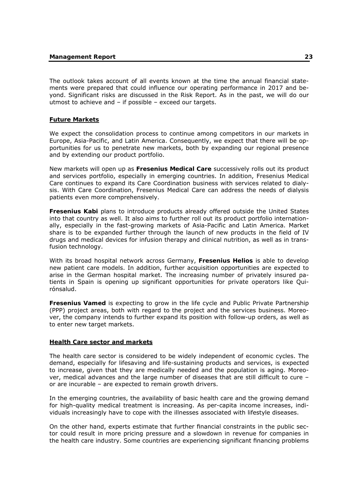The outlook takes account of all events known at the time the annual financial statements were prepared that could influence our operating performance in 2017 and beyond. Significant risks are discussed in the Risk Report. As in the past, we will do our utmost to achieve and – if possible – exceed our targets.

## **Future Markets**

We expect the consolidation process to continue among competitors in our markets in Europe, Asia-Pacific, and Latin America. Consequently, we expect that there will be opportunities for us to penetrate new markets, both by expanding our regional presence and by extending our product portfolio.

New markets will open up as **Fresenius Medical Care** successively rolls out its product and services portfolio, especially in emerging countries. In addition, Fresenius Medical Care continues to expand its Care Coordination business with services related to dialysis. With Care Coordination, Fresenius Medical Care can address the needs of dialysis patients even more comprehensively.

**Fresenius Kabi** plans to introduce products already offered outside the United States into that country as well. It also aims to further roll out its product portfolio internationally, especially in the fast-growing markets of Asia-Pacific and Latin America. Market share is to be expanded further through the launch of new products in the field of IV drugs and medical devices for infusion therapy and clinical nutrition, as well as in transfusion technology.

With its broad hospital network across Germany, **Fresenius Helios** is able to develop new patient care models. In addition, further acquisition opportunities are expected to arise in the German hospital market. The increasing number of privately insured patients in Spain is opening up significant opportunities for private operators like Quirónsalud.

**Fresenius Vamed** is expecting to grow in the life cycle and Public Private Partnership (PPP) project areas, both with regard to the project and the services business. Moreover, the company intends to further expand its position with follow-up orders, as well as to enter new target markets.

#### **Health Care sector and markets**

The health care sector is considered to be widely independent of economic cycles. The demand, especially for lifesaving and life-sustaining products and services, is expected to increase, given that they are medically needed and the population is aging. Moreover, medical advances and the large number of diseases that are still difficult to cure – or are incurable – are expected to remain growth drivers.

In the emerging countries, the availability of basic health care and the growing demand for high-quality medical treatment is increasing. As per-capita income increases, individuals increasingly have to cope with the illnesses associated with lifestyle diseases.

On the other hand, experts estimate that further financial constraints in the public sector could result in more pricing pressure and a slowdown in revenue for companies in the health care industry. Some countries are experiencing significant financing problems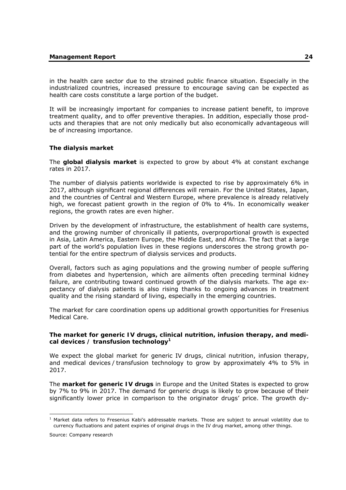in the health care sector due to the strained public finance situation. Especially in the industrialized countries, increased pressure to encourage saving can be expected as health care costs constitute a large portion of the budget.

It will be increasingly important for companies to increase patient benefit, to improve treatment quality, and to offer preventive therapies. In addition, especially those products and therapies that are not only medically but also economically advantageous will be of increasing importance.

# **The dialysis market**

The **global dialysis market** is expected to grow by about 4% at constant exchange rates in 2017.

The number of dialysis patients worldwide is expected to rise by approximately 6% in 2017, although significant regional differences will remain. For the United States, Japan, and the countries of Central and Western Europe, where prevalence is already relatively high, we forecast patient growth in the region of 0% to 4%. In economically weaker regions, the growth rates are even higher.

Driven by the development of infrastructure, the establishment of health care systems, and the growing number of chronically ill patients, overproportional growth is expected in Asia, Latin America, Eastern Europe, the Middle East, and Africa. The fact that a large part of the world's population lives in these regions underscores the strong growth potential for the entire spectrum of dialysis services and products.

Overall, factors such as aging populations and the growing number of people suffering from diabetes and hypertension, which are ailments often preceding terminal kidney failure, are contributing toward continued growth of the dialysis markets. The age expectancy of dialysis patients is also rising thanks to ongoing advances in treatment quality and the rising standard of living, especially in the emerging countries.

The market for care coordination opens up additional growth opportunities for Fresenius Medical Care.

#### **The market for generic IV drugs, clinical nutrition, infusion therapy, and medi**cal devices / transfusion technology<sup>1</sup>

We expect the global market for generic IV drugs, clinical nutrition, infusion therapy, and medical devices / transfusion technology to grow by approximately 4% to 5% in 2017.

The **market for generic IV drugs** in Europe and the United States is expected to grow by 7% to 9% in 2017. The demand for generic drugs is likely to grow because of their significantly lower price in comparison to the originator drugs' price. The growth dy-

-

<sup>&</sup>lt;sup>1</sup> Market data refers to Fresenius Kabi's addressable markets. Those are subject to annual volatility due to currency fluctuations and patent expiries of original drugs in the IV drug market, among other things.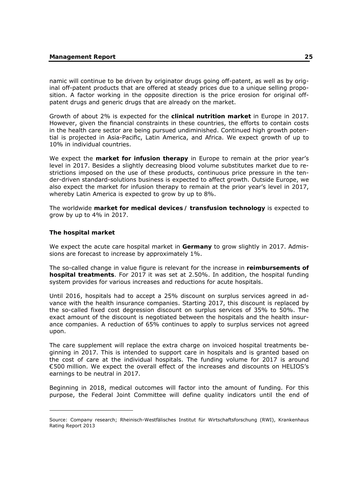namic will continue to be driven by originator drugs going off-patent, as well as by original off-patent products that are offered at steady prices due to a unique selling proposition. A factor working in the opposite direction is the price erosion for original offpatent drugs and generic drugs that are already on the market.

Growth of about 2% is expected for the **clinical nutrition market** in Europe in 2017. However, given the financial constraints in these countries, the efforts to contain costs in the health care sector are being pursued undiminished. Continued high growth potential is projected in Asia-Pacific, Latin America, and Africa. We expect growth of up to 10% in individual countries.

We expect the **market for infusion therapy** in Europe to remain at the prior year's level in 2017. Besides a slightly decreasing blood volume substitutes market due to restrictions imposed on the use of these products, continuous price pressure in the tender-driven standard-solutions business is expected to affect growth. Outside Europe, we also expect the market for infusion therapy to remain at the prior year's level in 2017, whereby Latin America is expected to grow by up to 8%.

The worldwide **market for medical devices / transfusion technology** is expected to grow by up to 4% in 2017.

#### **The hospital market**

-

We expect the acute care hospital market in **Germany** to grow slightly in 2017. Admissions are forecast to increase by approximately 1%.

The so-called change in value figure is relevant for the increase in **reimbursements of hospital treatments**. For 2017 it was set at 2.50%. In addition, the hospital funding system provides for various increases and reductions for acute hospitals.

Until 2016, hospitals had to accept a 25% discount on surplus services agreed in advance with the health insurance companies. Starting 2017, this discount is replaced by the so-called fixed cost degression discount on surplus services of 35% to 50%. The exact amount of the discount is negotiated between the hospitals and the health insurance companies. A reduction of 65% continues to apply to surplus services not agreed upon.

The care supplement will replace the extra charge on invoiced hospital treatments beginning in 2017. This is intended to support care in hospitals and is granted based on the cost of care at the individual hospitals. The funding volume for 2017 is around €500 million. We expect the overall effect of the increases and discounts on HELIOS's earnings to be neutral in 2017.

Beginning in 2018, medical outcomes will factor into the amount of funding. For this purpose, the Federal Joint Committee will define quality indicators until the end of

Source: Company research; Rheinisch-Westfälisches Institut für Wirtschaftsforschung (RWI), Krankenhaus Rating Report 2013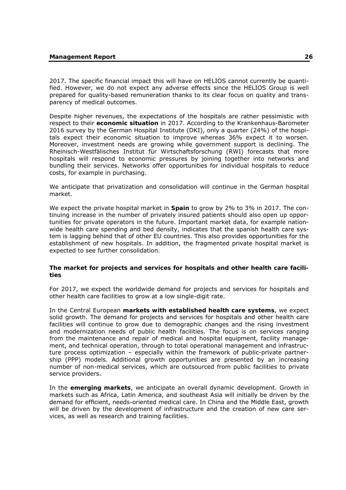2017. The specific financial impact this will have on HELIOS cannot currently be quantified. However, we do not expect any adverse effects since the HELIOS Group is well prepared for quality-based remuneration thanks to its clear focus on quality and transparency of medical outcomes.

Despite higher revenues, the expectations of the hospitals are rather pessimistic with respect to their **economic situation** in 2017. According to the Krankenhaus-Barometer 2016 survey by the German Hospital Institute (DKI), only a quarter (24%) of the hospitals expect their economic situation to improve whereas 36% expect it to worsen. Moreover, investment needs are growing while government support is declining. The Rheinisch-Westfälisches Institut für Wirtschaftsforschung (RWI) forecasts that more hospitals will respond to economic pressures by joining together into networks and bundling their services. Networks offer opportunities for individual hospitals to reduce costs, for example in purchasing.

We anticipate that privatization and consolidation will continue in the German hospital market.

We expect the private hospital market in **Spain** to grow by 2% to 3% in 2017. The continuing increase in the number of privately insured patients should also open up opportunities for private operators in the future. Important market data, for example nationwide health care spending and bed density, indicates that the spanish health care system is lagging behind that of other EU countries. This also provides opportunities for the establishment of new hospitals. In addition, the fragmented private hospital market is expected to see further consolidation.

#### **The market for projects and services for hospitals and other health care facilities**

For 2017, we expect the worldwide demand for projects and services for hospitals and other health care facilities to grow at a low single-digit rate.

In the Central European **markets with established health care systems**, we expect solid growth. The demand for projects and services for hospitals and other health care facilities will continue to grow due to demographic changes and the rising investment and modernization needs of public health facilities. The focus is on services ranging from the maintenance and repair of medical and hospital equipment, facility management, and technical operation, through to total operational management and infrastructure process optimization – especially within the framework of public-private partnership (PPP) models. Additional growth opportunities are presented by an increasing number of non-medical services, which are outsourced from public facilities to private service providers.

In the **emerging markets**, we anticipate an overall dynamic development. Growth in markets such as Africa, Latin America, and southeast Asia will initially be driven by the demand for efficient, needs-oriented medical care. In China and the Middle East, growth will be driven by the development of infrastructure and the creation of new care services, as well as research and training facilities.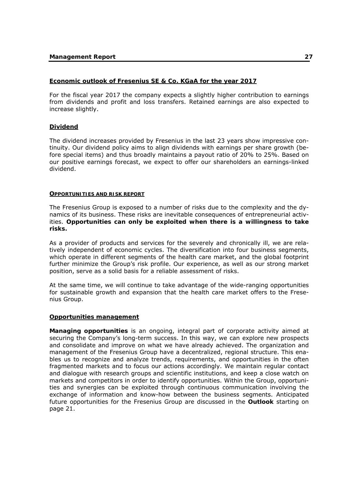## **Economic outlook of Fresenius SE & Co. KGaA for the year 2017**

For the fiscal year 2017 the company expects a slightly higher contribution to earnings from dividends and profit and loss transfers. Retained earnings are also expected to increase slightly.

# **Dividend**

The dividend increases provided by Fresenius in the last 23 years show impressive continuity. Our dividend policy aims to align dividends with earnings per share growth (before special items) and thus broadly maintains a payout ratio of 20% to 25%. Based on our positive earnings forecast, we expect to offer our shareholders an earnings-linked dividend.

#### **OPPORTUNITIES AND RISK REPORT**

The Fresenius Group is exposed to a number of risks due to the complexity and the dynamics of its business. These risks are inevitable consequences of entrepreneurial activities. **Opportunities can only be exploited when there is a willingness to take risks.**

As a provider of products and services for the severely and chronically ill, we are relatively independent of economic cycles. The diversification into four business segments, which operate in different segments of the health care market, and the global footprint further minimize the Group's risk profile. Our experience, as well as our strong market position, serve as a solid basis for a reliable assessment of risks.

At the same time, we will continue to take advantage of the wide-ranging opportunities for sustainable growth and expansion that the health care market offers to the Fresenius Group.

#### **Opportunities management**

**Managing opportunities** is an ongoing, integral part of corporate activity aimed at securing the Company's long-term success. In this way, we can explore new prospects and consolidate and improve on what we have already achieved. The organization and management of the Fresenius Group have a decentralized, regional structure. This enables us to recognize and analyze trends, requirements, and opportunities in the often fragmented markets and to focus our actions accordingly. We maintain regular contact and dialogue with research groups and scientific institutions, and keep a close watch on markets and competitors in order to identify opportunities. Within the Group, opportunities and synergies can be exploited through continuous communication involving the exchange of information and know-how between the business segments. Anticipated future opportunities for the Fresenius Group are discussed in the **Outlook** starting on page 21.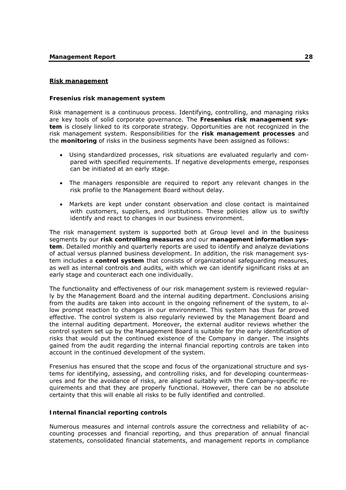#### **Risk management**

#### **Fresenius risk management system**

Risk management is a continuous process. Identifying, controlling, and managing risks are key tools of solid corporate governance. The **Fresenius risk management system** is closely linked to its corporate strategy. Opportunities are not recognized in the risk management system. Responsibilities for the **risk management processes** and the **monitoring** of risks in the business segments have been assigned as follows:

- Using standardized processes, risk situations are evaluated regularly and compared with specified requirements. If negative developments emerge, responses can be initiated at an early stage.
- The managers responsible are required to report any relevant changes in the risk profile to the Management Board without delay.
- Markets are kept under constant observation and close contact is maintained with customers, suppliers, and institutions. These policies allow us to swiftly identify and react to changes in our business environment.

The risk management system is supported both at Group level and in the business segments by our **risk controlling measures** and our **management information system**. Detailed monthly and quarterly reports are used to identify and analyze deviations of actual versus planned business development. In addition, the risk management system includes a **control system** that consists of organizational safeguarding measures, as well as internal controls and audits, with which we can identify significant risks at an early stage and counteract each one individually.

The functionality and effectiveness of our risk management system is reviewed regularly by the Management Board and the internal auditing department. Conclusions arising from the audits are taken into account in the ongoing refinement of the system, to allow prompt reaction to changes in our environment. This system has thus far proved effective. The control system is also regularly reviewed by the Management Board and the internal auditing department. Moreover, the external auditor reviews whether the control system set up by the Management Board is suitable for the early identification of risks that would put the continued existence of the Company in danger. The insights gained from the audit regarding the internal financial reporting controls are taken into account in the continued development of the system.

Fresenius has ensured that the scope and focus of the organizational structure and systems for identifying, assessing, and controlling risks, and for developing countermeasures and for the avoidance of risks, are aligned suitably with the Company-specific requirements and that they are properly functional. However, there can be no absolute certainty that this will enable all risks to be fully identified and controlled.

#### **Internal financial reporting controls**

Numerous measures and internal controls assure the correctness and reliability of accounting processes and financial reporting, and thus preparation of annual financial statements, consolidated financial statements, and management reports in compliance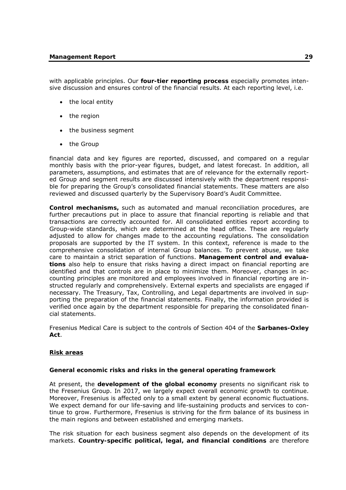#### **Management Report 29**

with applicable principles. Our **four-tier reporting process** especially promotes intensive discussion and ensures control of the financial results. At each reporting level, i.e.

- the local entity
- $\bullet$  the region
- the business segment
- the Group

financial data and key figures are reported, discussed, and compared on a regular monthly basis with the prior-year figures, budget, and latest forecast. In addition, all parameters, assumptions, and estimates that are of relevance for the externally reported Group and segment results are discussed intensively with the department responsible for preparing the Group's consolidated financial statements. These matters are also reviewed and discussed quarterly by the Supervisory Board's Audit Committee.

**Control mechanisms,** such as automated and manual reconciliation procedures, are further precautions put in place to assure that financial reporting is reliable and that transactions are correctly accounted for. All consolidated entities report according to Group-wide standards, which are determined at the head office. These are regularly adjusted to allow for changes made to the accounting regulations. The consolidation proposals are supported by the IT system. In this context, reference is made to the comprehensive consolidation of internal Group balances. To prevent abuse, we take care to maintain a strict separation of functions. **Management control and evaluations** also help to ensure that risks having a direct impact on financial reporting are identified and that controls are in place to minimize them. Moreover, changes in accounting principles are monitored and employees involved in financial reporting are instructed regularly and comprehensively. External experts and specialists are engaged if necessary. The Treasury, Tax, Controlling, and Legal departments are involved in supporting the preparation of the financial statements. Finally, the information provided is verified once again by the department responsible for preparing the consolidated financial statements.

Fresenius Medical Care is subject to the controls of Section 404 of the **Sarbanes-Oxley Act**.

#### **Risk areas**

#### **General economic risks and risks in the general operating framework**

At present, the **development of the global economy** presents no significant risk to the Fresenius Group. In 2017, we largely expect overall economic growth to continue. Moreover, Fresenius is affected only to a small extent by general economic fluctuations. We expect demand for our life-saving and life-sustaining products and services to continue to grow. Furthermore, Fresenius is striving for the firm balance of its business in the main regions and between established and emerging markets.

The risk situation for each business segment also depends on the development of its markets. **Country-specific political, legal, and financial conditions** are therefore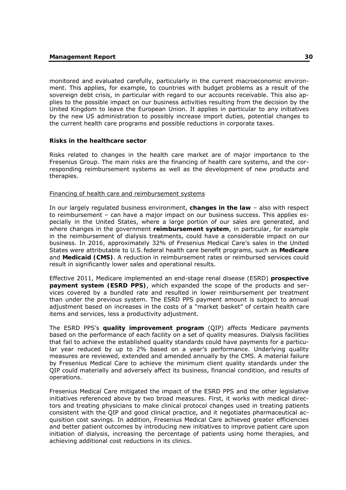monitored and evaluated carefully, particularly in the current macroeconomic environment. This applies, for example, to countries with budget problems as a result of the sovereign debt crisis, in particular with regard to our accounts receivable. This also applies to the possible impact on our business activities resulting from the decision by the United Kingdom to leave the European Union. It applies in particular to any initiatives by the new US administration to possibly increase import duties, potential changes to the current health care programs and possible reductions in corporate taxes.

#### **Risks in the healthcare sector**

Risks related to changes in the health care market are of major importance to the Fresenius Group. The main risks are the financing of health care systems, and the corresponding reimbursement systems as well as the development of new products and therapies.

#### Financing of health care and reimbursement systems

In our largely regulated business environment, **changes in the law** – also with respect to reimbursement – can have a major impact on our business success. This applies especially in the United States, where a large portion of our sales are generated, and where changes in the government **reimbursement system**, in particular, for example in the reimbursement of dialysis treatments, could have a considerable impact on our business. In 2016, approximately 32% of Fresenius Medical Care's sales in the United States were attributable to U.S.federal health care benefit programs, such as **Medicare** and **Medicaid (CMS)**. A reduction in reimbursement rates or reimbursed services could result in significantly lower sales and operational results.

Effective 2011, Medicare implemented an end-stage renal disease (ESRD) **prospective payment system (ESRD PPS)**, which expanded the scope of the products and services covered by a bundled rate and resulted in lower reimbursement per treatment than under the previous system. The ESRD PPS payment amount is subject to annual adjustment based on increases in the costs of a "market basket" of certain health care items and services, less a productivity adjustment.

The ESRD PPS's **quality improvement program** (QIP) affects Medicare payments based on the performance of each facility on a set of quality measures. Dialysis facilities that fail to achieve the established quality standards could have payments for a particular year reduced by up to 2% based on a year's performance. Underlying quality measures are reviewed, extended and amended annually by the CMS. A material failure by Fresenius Medical Care to achieve the minimum client quality standards under the QIP could materially and adversely affect its business, financial condition, and results of operations.

Fresenius Medical Care mitigated the impact of the ESRD PPS and the other legislative initiatives referenced above by two broad measures. First, it works with medical directors and treating physicians to make clinical protocol changes used in treating patients consistent with the QIP and good clinical practice, and it negotiates pharmaceutical acquisition cost savings. In addition, Fresenius Medical Care achieved greater efficiencies and better patient outcomes by introducing new initiatives to improve patient care upon initiation of dialysis, increasing the percentage of patients using home therapies, and achieving additional cost reductions in its clinics.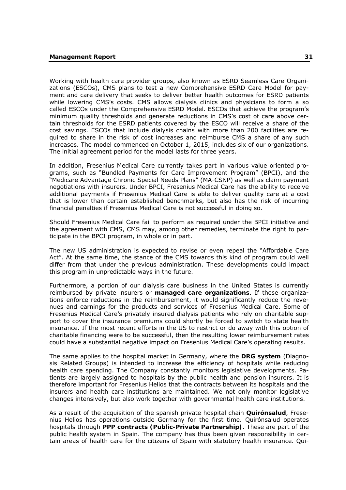Working with health care provider groups, also known as ESRD Seamless Care Organizations (ESCOs), CMS plans to test a new Comprehensive ESRD Care Model for payment and care delivery that seeks to deliver better health outcomes for ESRD patients while lowering CMS's costs. CMS allows dialysis clinics and physicians to form a so called ESCOs under the Comprehensive ESRD Model. ESCOs that achieve the program's minimum quality thresholds and generate reductions in CMS's cost of care above certain thresholds for the ESRD patients covered by the ESCO will receive a share of the cost savings. ESCOs that include dialysis chains with more than 200 facilities are required to share in the risk of cost increases and reimburse CMS a share of any such increases. The model commenced on October 1, 2015, includes six of our organizations. The initial agreement period for the model lasts for three years.

In addition, Fresenius Medical Care currently takes part in various value oriented programs, such as "Bundled Payments for Care Improvement Program" (BPCI), and the "Medicare Advantage Chronic Special Needs Plans" (MA-CSNP) as well as claim payment negotiations with insurers. Under BPCI, Fresenius Medical Care has the ability to receive additional payments if Fresenius Medical Care is able to deliver quality care at a cost that is lower than certain established benchmarks, but also has the risk of incurring financial penalties if Fresenius Medical Care is not successful in doing so.

Should Fresenius Medical Care fail to perform as required under the BPCI initiative and the agreement with CMS, CMS may, among other remedies, terminate the right to participate in the BPCI program, in whole or in part.

The new US administration is expected to revise or even repeal the "Affordable Care Act". At the same time, the stance of the CMS towards this kind of program could well differ from that under the previous administration. These developments could impact this program in unpredictable ways in the future.

Furthermore, a portion of our dialysis care business in the United States is currently reimbursed by private insurers or **managed care organizations**. If these organizations enforce reductions in the reimbursement, it would significantly reduce the revenues and earnings for the products and services of Fresenius Medical Care. Some of Fresenius Medical Care's privately insured dialysis patients who rely on charitable support to cover the insurance premiums could shortly be forced to switch to state health insurance. If the most recent efforts in the US to restrict or do away with this option of charitable financing were to be successful, then the resulting lower reimbursement rates could have a substantial negative impact on Fresenius Medical Care's operating results.

The same applies to the hospital market in Germany, where the **DRG system** (Diagnosis Related Groups) is intended to increase the efficiency of hospitals while reducing health care spending. The Company constantly monitors legislative developments. Patients are largely assigned to hospitals by the public health and pension insurers. It is therefore important for Fresenius Helios that the contracts between its hospitals and the insurers and health care institutions are maintained. We not only monitor legislative changes intensively, but also work together with governmental health care institutions.

As a result of the acquisition of the spanish private hospital chain **Quirónsalud**, Fresenius Helios has operations outside Germany for the first time. Quirónsalud operates hospitals through **PPP contracts (Public-Private Partnership)**. These are part of the public health system in Spain. The company has thus been given responsibility in certain areas of health care for the citizens of Spain with statutory health insurance. Qui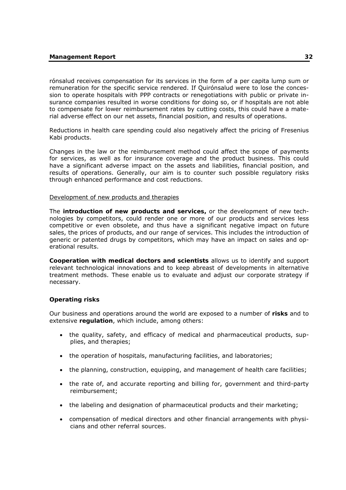rónsalud receives compensation for its services in the form of a per capita lump sum or remuneration for the specific service rendered. If Quirónsalud were to lose the concession to operate hospitals with PPP contracts or renegotiations with public or private insurance companies resulted in worse conditions for doing so, or if hospitals are not able to compensate for lower reimbursement rates by cutting costs, this could have a material adverse effect on our net assets, financial position, and results of operations.

Reductions in health care spending could also negatively affect the pricing of Fresenius Kabi products.

Changes in the law or the reimbursement method could affect the scope of payments for services, as well as for insurance coverage and the product business. This could have a significant adverse impact on the assets and liabilities, financial position, and results of operations. Generally, our aim is to counter such possible regulatory risks through enhanced performance and cost reductions.

## Development of new products and therapies

The **introduction of new products and services,** or the development of new technologies by competitors, could render one or more of our products and services less competitive or even obsolete, and thus have a significant negative impact on future sales, the prices of products, and our range of services. This includes the introduction of generic or patented drugs by competitors, which may have an impact on sales and operational results.

**Cooperation with medical doctors and scientists** allows us to identify and support relevant technological innovations and to keep abreast of developments in alternative treatment methods. These enable us to evaluate and adjust our corporate strategy if necessary.

# **Operating risks**

Our business and operations around the world are exposed to a number of **risks** and to extensive **regulation**, which include, among others:

- the quality, safety, and efficacy of medical and pharmaceutical products, supplies, and therapies;
- the operation of hospitals, manufacturing facilities, and laboratories;
- the planning, construction, equipping, and management of health care facilities;
- the rate of, and accurate reporting and billing for, government and third-party reimbursement;
- the labeling and designation of pharmaceutical products and their marketing:
- compensation of medical directors and other financial arrangements with physicians and other referral sources.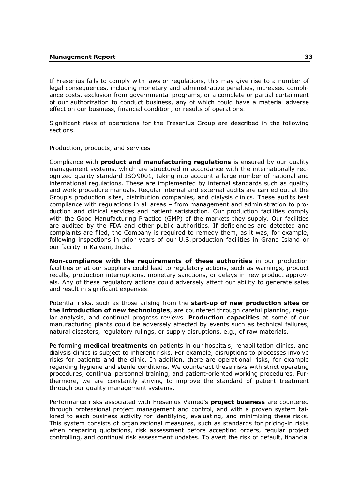If Fresenius fails to comply with laws or regulations, this may give rise to a number of legal consequences, including monetary and administrative penalties, increased compliance costs, exclusion from governmental programs, or a complete or partial curtailment of our authorization to conduct business, any of which could have a material adverse effect on our business, financial condition, or results of operations.

Significant risks of operations for the Fresenius Group are described in the following sections.

## Production, products, and services

Compliance with **product and manufacturing regulations** is ensured by our quality management systems, which are structured in accordance with the internationally recognized quality standard ISO 9001, taking into account a large number of national and international regulations. These are implemented by internal standards such as quality and work procedure manuals. Regular internal and external audits are carried out at the Group's production sites, distribution companies, and dialysis clinics. These audits test compliance with regulations in all areas – from management and administration to production and clinical services and patient satisfaction. Our production facilities comply with the Good Manufacturing Practice (GMP) of the markets they supply. Our facilities are audited by the FDA and other public authorities. If deficiencies are detected and complaints are filed, the Company is required to remedy them, as it was, for example, following inspections in prior years of our U.S. production facilities in Grand Island or our facility in Kalyani, India.

**Non-compliance with the requirements of these authorities** in our production facilities or at our suppliers could lead to regulatory actions, such as warnings, product recalls, production interruptions, monetary sanctions, or delays in new product approvals. Any of these regulatory actions could adversely affect our ability to generate sales and result in significant expenses.

Potential risks, such as those arising from the **start-up of new production sites or the introduction of new technologies**, are countered through careful planning, regular analysis, and continual progress reviews. **Production capacities** at some of our manufacturing plants could be adversely affected by events such as technical failures, natural disasters, regulatory rulings, or supply disruptions, e.g., of raw materials.

Performing **medical treatments** on patients in our hospitals, rehabilitation clinics, and dialysis clinics is subject to inherent risks. For example, disruptions to processes involve risks for patients and the clinic. In addition, there are operational risks, for example regarding hygiene and sterile conditions. We counteract these risks with strict operating procedures, continual personnel training, and patient-oriented working procedures. Furthermore, we are constantly striving to improve the standard of patient treatment through our quality management systems.

Performance risks associated with Fresenius Vamed's **project business** are countered through professional project management and control, and with a proven system tailored to each business activity for identifying, evaluating, and minimizing these risks. This system consists of organizational measures, such as standards for pricing-in risks when preparing quotations, risk assessment before accepting orders, regular project controlling, and continual risk assessment updates. To avert the risk of default, financial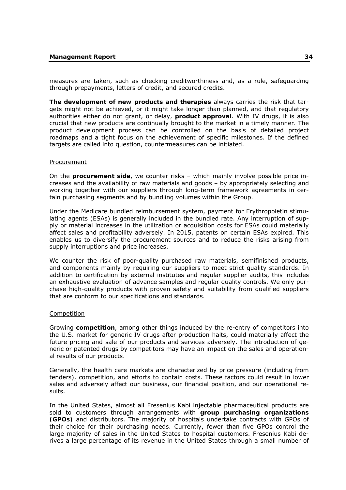measures are taken, such as checking creditworthiness and, as a rule, safeguarding through prepayments, letters of credit, and secured credits.

**The development of new products and therapies** always carries the risk that targets might not be achieved, or it might take longer than planned, and that regulatory authorities either do not grant, or delay, **product approval**. With IV drugs, it is also crucial that new products are continually brought to the market in a timely manner. The product development process can be controlled on the basis of detailed project roadmaps and a tight focus on the achievement of specific milestones. If the defined targets are called into question, countermeasures can be initiated.

## Procurement

On the **procurement side**, we counter risks – which mainly involve possible price increases and the availability of raw materials and goods – by appropriately selecting and working together with our suppliers through long-term framework agreements in certain purchasing segments and by bundling volumes within the Group.

Under the Medicare bundled reimbursement system, payment for Erythropoietin stimulating agents (ESAs) is generally included in the bundled rate. Any interruption of supply or material increases in the utilization or acquisition costs for ESAs could materially affect sales and profitability adversely. In 2015, patents on certain ESAs expired. This enables us to diversify the procurement sources and to reduce the risks arising from supply interruptions and price increases.

We counter the risk of poor-quality purchased raw materials, semifinished products, and components mainly by requiring our suppliers to meet strict quality standards. In addition to certification by external institutes and regular supplier audits, this includes an exhaustive evaluation of advance samples and regular quality controls. We only purchase high-quality products with proven safety and suitability from qualified suppliers that are conform to our specifications and standards.

## Competition

Growing **competition**, among other things induced by the re-entry of competitors into the U.S. market for generic IV drugs after production halts, could materially affect the future pricing and sale of our products and services adversely. The introduction of generic or patented drugs by competitors may have an impact on the sales and operational results of our products.

Generally, the health care markets are characterized by price pressure (including from tenders), competition, and efforts to contain costs. These factors could result in lower sales and adversely affect our business, our financial position, and our operational results.

In the United States, almost all Fresenius Kabi injectable pharmaceutical products are sold to customers through arrangements with **group purchasing organizations (GPOs)** and distributors. The majority of hospitals undertake contracts with GPOs of their choice for their purchasing needs. Currently, fewer than five GPOs control the large majority of sales in the United States to hospital customers. Fresenius Kabi derives a large percentage of its revenue in the United States through a small number of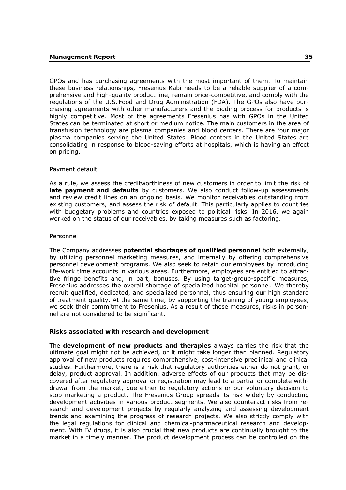GPOs and has purchasing agreements with the most important of them. To maintain these business relationships, Fresenius Kabi needs to be a reliable supplier of a comprehensive and high-quality product line, remain price-competitive, and comply with the regulations of the U.S. Food and Drug Administration (FDA). The GPOs also have purchasing agreements with other manufacturers and the bidding process for products is highly competitive. Most of the agreements Fresenius has with GPOs in the United States can be terminated at short or medium notice. The main customers in the area of transfusion technology are plasma companies and blood centers. There are four major plasma companies serving the United States. Blood centers in the United States are consolidating in response to blood-saving efforts at hospitals, which is having an effect on pricing.

# Payment default

As a rule, we assess the creditworthiness of new customers in order to limit the risk of **late payment and defaults** by customers. We also conduct follow-up assessments and review credit lines on an ongoing basis. We monitor receivables outstanding from existing customers, and assess the risk of default. This particularly applies to countries with budgetary problems and countries exposed to political risks. In 2016, we again worked on the status of our receivables, by taking measures such as factoring.

## Personnel

The Company addresses **potential shortages of qualified personnel** both externally, by utilizing personnel marketing measures, and internally by offering comprehensive personnel development programs. We also seek to retain our employees by introducing life-work time accounts in various areas. Furthermore, employees are entitled to attractive fringe benefits and, in part, bonuses. By using target-group-specific measures, Fresenius addresses the overall shortage of specialized hospital personnel. We thereby recruit qualified, dedicated, and specialized personnel, thus ensuring our high standard of treatment quality. At the same time, by supporting the training of young employees, we seek their commitment to Fresenius. As a result of these measures, risks in personnel are not considered to be significant.

## **Risks associated with research and development**

The **development of new products and therapies** always carries the risk that the ultimate goal might not be achieved, or it might take longer than planned. Regulatory approval of new products requires comprehensive, cost-intensive preclinical and clinical studies. Furthermore, there is a risk that regulatory authorities either do not grant, or delay, product approval. In addition, adverse effects of our products that may be discovered after regulatory approval or registration may lead to a partial or complete withdrawal from the market, due either to regulatory actions or our voluntary decision to stop marketing a product. The Fresenius Group spreads its risk widely by conducting development activities in various product segments. We also counteract risks from research and development projects by regularly analyzing and assessing development trends and examining the progress of research projects. We also strictly comply with the legal regulations for clinical and chemical-pharmaceutical research and development. With IV drugs, it is also crucial that new products are continually brought to the market in a timely manner. The product development process can be controlled on the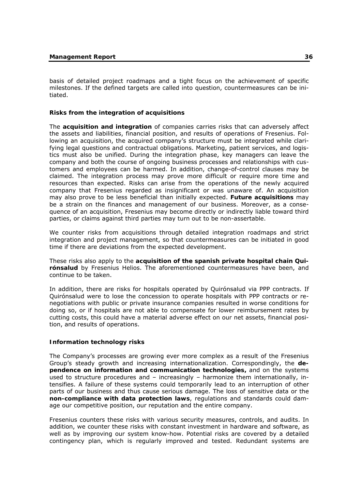basis of detailed project roadmaps and a tight focus on the achievement of specific milestones. If the defined targets are called into question, countermeasures can be initiated.

# **Risks from the integration of acquisitions**

The **acquisition and integration** of companies carries risks that can adversely affect the assets and liabilities, financial position, and results of operations of Fresenius. Following an acquisition, the acquired company's structure must be integrated while clarifying legal questions and contractual obligations. Marketing, patient services, and logistics must also be unified. During the integration phase, key managers can leave the company and both the course of ongoing business processes and relationships with customers and employees can be harmed. In addition, change-of-control clauses may be claimed. The integration process may prove more difficult or require more time and resources than expected. Risks can arise from the operations of the newly acquired company that Fresenius regarded as insignificant or was unaware of. An acquisition may also prove to be less beneficial than initially expected. **Future acquisitions** may be a strain on the finances and management of our business. Moreover, as a consequence of an acquisition, Fresenius may become directly or indirectly liable toward third parties, or claims against third parties may turn out to be non-assertable.

We counter risks from acquisitions through detailed integration roadmaps and strict integration and project management, so that countermeasures can be initiated in good time if there are deviations from the expected development.

These risks also apply to the **acquisition of the spanish private hospital chain Quirónsalud** by Fresenius Helios. The aforementioned countermeasures have been, and continue to be taken.

In addition, there are risks for hospitals operated by Quirónsalud via PPP contracts. If Quirónsalud were to lose the concession to operate hospitals with PPP contracts or renegotiations with public or private insurance companies resulted in worse conditions for doing so, or if hospitals are not able to compensate for lower reimbursement rates by cutting costs, this could have a material adverse effect on our net assets, financial position, and results of operations.

# **Information technology risks**

The Company's processes are growing ever more complex as a result of the Fresenius Group's steady growth and increasing internationalization. Correspondingly, the **dependence on information and communication technologies,** and on the systems used to structure procedures and  $-$  increasingly  $-$  harmonize them internationally, intensifies. A failure of these systems could temporarily lead to an interruption of other parts of our business and thus cause serious damage. The loss of sensitive data or the **non-compliance with data protection laws**, regulations and standards could damage our competitive position, our reputation and the entire company.

Fresenius counters these risks with various security measures, controls, and audits. In addition, we counter these risks with constant investment in hardware and software, as well as by improving our system know-how. Potential risks are covered by a detailed contingency plan, which is regularly improved and tested. Redundant systems are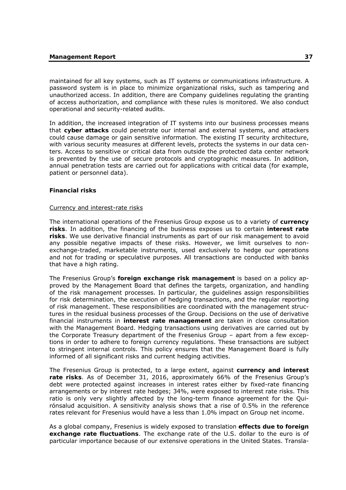maintained for all key systems, such as IT systems or communications infrastructure. A password system is in place to minimize organizational risks, such as tampering and unauthorized access. In addition, there are Company guidelines regulating the granting of access authorization, and compliance with these rules is monitored. We also conduct operational and security-related audits.

In addition, the increased integration of IT systems into our business processes means that **cyber attacks** could penetrate our internal and external systems, and attackers could cause damage or gain sensitive information. The existing IT security architecture, with various security measures at different levels, protects the systems in our data centers. Access to sensitive or critical data from outside the protected data center network is prevented by the use of secure protocols and cryptographic measures. In addition, annual penetration tests are carried out for applications with critical data (for example, patient or personnel data).

# **Financial risks**

## Currency and interest-rate risks

The international operations of the Fresenius Group expose us to a variety of **currency risks**. In addition, the financing of the business exposes us to certain **interest rate risks**. We use derivative financial instruments as part of our risk management to avoid any possible negative impacts of these risks. However, we limit ourselves to nonexchange-traded, marketable instruments, used exclusively to hedge our operations and not for trading or speculative purposes. All transactions are conducted with banks that have a high rating.

The Fresenius Group's **foreign exchange risk management** is based on a policy approved by the Management Board that defines the targets, organization, and handling of the risk management processes. In particular, the guidelines assign responsibilities for risk determination, the execution of hedging transactions, and the regular reporting of risk management. These responsibilities are coordinated with the management structures in the residual business processes of the Group. Decisions on the use of derivative financial instruments in **interest rate management** are taken in close consultation with the Management Board. Hedging transactions using derivatives are carried out by the Corporate Treasury department of the Fresenius Group – apart from a few exceptions in order to adhere to foreign currency regulations. These transactions are subject to stringent internal controls. This policy ensures that the Management Board is fully informed of all significant risks and current hedging activities.

The Fresenius Group is protected, to a large extent, against **currency and interest rate risks**. As of December 31, 2016, approximately 66% of the Fresenius Group's debt were protected against increases in interest rates either by fixed-rate financing arrangements or by interest rate hedges; 34%, were exposed to interest rate risks. This ratio is only very slightly affected by the long-term finance agreement for the Quirónsalud acquisition. A sensitivity analysis shows that a rise of 0.5% in the reference rates relevant for Fresenius would have a less than 1.0% impact on Group net income.

As a global company, Fresenius is widely exposed to translation **effects due to foreign exchange rate fluctuations**. The exchange rate of the U.S. dollar to the euro is of particular importance because of our extensive operations in the United States. Transla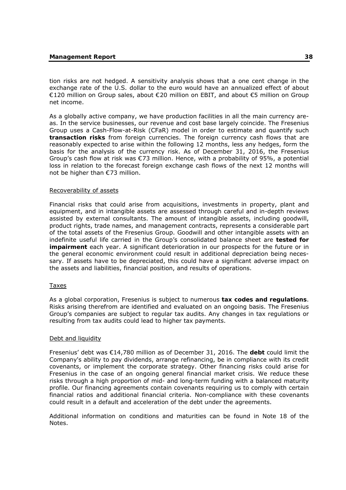tion risks are not hedged. A sensitivity analysis shows that a one cent change in the exchange rate of the U.S. dollar to the euro would have an annualized effect of about €120 million on Group sales, about €20 million on EBIT, and about €5 million on Group net income.

As a globally active company, we have production facilities in all the main currency areas. In the service businesses, our revenue and cost base largely coincide. The Fresenius Group uses a Cash-Flow-at-Risk (CFaR) model in order to estimate and quantify such **transaction risks** from foreign currencies. The foreign currency cash flows that are reasonably expected to arise within the following 12 months, less any hedges, form the basis for the analysis of the currency risk. As of December 31, 2016, the Fresenius Group's cash flow at risk was  $\epsilon$ 73 million. Hence, with a probability of 95%, a potential loss in relation to the forecast foreign exchange cash flows of the next 12 months will not be higher than €73 million.

## Recoverability of assets

Financial risks that could arise from acquisitions, investments in property, plant and equipment, and in intangible assets are assessed through careful and in-depth reviews assisted by external consultants. The amount of intangible assets, including goodwill, product rights, trade names, and management contracts, represents a considerable part of the total assets of the Fresenius Group. Goodwill and other intangible assets with an indefinite useful life carried in the Group's consolidated balance sheet are **tested for impairment** each year. A significant deterioration in our prospects for the future or in the general economic environment could result in additional depreciation being necessary. If assets have to be depreciated, this could have a significant adverse impact on the assets and liabilities, financial position, and results of operations.

# Taxes

As a global corporation, Fresenius is subject to numerous **tax codes and regulations**. Risks arising therefrom are identified and evaluated on an ongoing basis. The Fresenius Group's companies are subject to regular tax audits. Any changes in tax regulations or resulting from tax audits could lead to higher tax payments.

# Debt and liquidity

Fresenius' debt was €14,780 million as of December 31, 2016. The **debt** could limit the Company's ability to pay dividends, arrange refinancing, be in compliance with its credit covenants, or implement the corporate strategy. Other financing risks could arise for Fresenius in the case of an ongoing general financial market crisis. We reduce these risks through a high proportion of mid- and long-term funding with a balanced maturity profile. Our financing agreements contain covenants requiring us to comply with certain financial ratios and additional financial criteria. Non-compliance with these covenants could result in a default and acceleration of the debt under the agreements.

Additional information on conditions and maturities can be found in Note 18 of the Notes.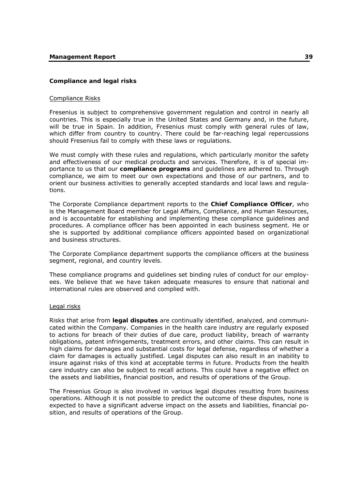# **Compliance and legal risks**

# Compliance Risks

Fresenius is subject to comprehensive government regulation and control in nearly all countries. This is especially true in the United States and Germany and, in the future, will be true in Spain. In addition, Fresenius must comply with general rules of law, which differ from country to country. There could be far-reaching legal repercussions should Fresenius fail to comply with these laws or regulations.

We must comply with these rules and regulations, which particularly monitor the safety and effectiveness of our medical products and services. Therefore, it is of special importance to us that our **compliance programs** and guidelines are adhered to. Through compliance, we aim to meet our own expectations and those of our partners, and to orient our business activities to generally accepted standards and local laws and regulations.

The Corporate Compliance department reports to the **Chief Compliance Officer**, who is the Management Board member for Legal Affairs, Compliance, and Human Resources, and is accountable for establishing and implementing these compliance guidelines and procedures. A compliance officer has been appointed in each business segment. He or she is supported by additional compliance officers appointed based on organizational and business structures.

The Corporate Compliance department supports the compliance officers at the business segment, regional, and country levels.

These compliance programs and guidelines set binding rules of conduct for our employees. We believe that we have taken adequate measures to ensure that national and international rules are observed and complied with.

## Legal risks

Risks that arise from **legal disputes** are continually identified, analyzed, and communicated within the Company. Companies in the health care industry are regularly exposed to actions for breach of their duties of due care, product liability, breach of warranty obligations, patent infringements, treatment errors, and other claims. This can result in high claims for damages and substantial costs for legal defense, regardless of whether a claim for damages is actually justified. Legal disputes can also result in an inability to insure against risks of this kind at acceptable terms in future. Products from the health care industry can also be subject to recall actions. This could have a negative effect on the assets and liabilities, financial position, and results of operations of the Group.

The Fresenius Group is also involved in various legal disputes resulting from business operations. Although it is not possible to predict the outcome of these disputes, none is expected to have a significant adverse impact on the assets and liabilities, financial position, and results of operations of the Group.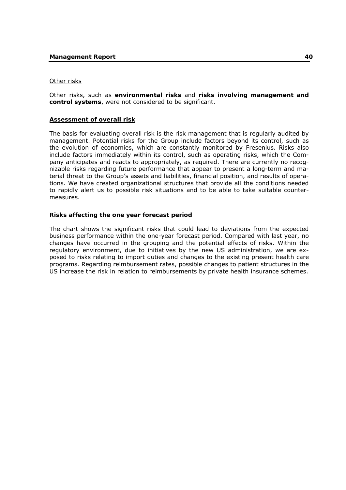# Other risks

Other risks, such as **environmental risks** and **risks involving management and control systems**, were not considered to be significant.

# **Assessment of overall risk**

The basis for evaluating overall risk is the risk management that is regularly audited by management. Potential risks for the Group include factors beyond its control, such as the evolution of economies, which are constantly monitored by Fresenius. Risks also include factors immediately within its control, such as operating risks, which the Company anticipates and reacts to appropriately, as required. There are currently no recognizable risks regarding future performance that appear to present a long-term and material threat to the Group's assets and liabilities, financial position, and results of operations. We have created organizational structures that provide all the conditions needed to rapidly alert us to possible risk situations and to be able to take suitable countermeasures.

## **Risks affecting the one year forecast period**

The chart shows the significant risks that could lead to deviations from the expected business performance within the one-year forecast period. Compared with last year, no changes have occurred in the grouping and the potential effects of risks. Within the regulatory environment, due to initiatives by the new US administration, we are exposed to risks relating to import duties and changes to the existing present health care programs. Regarding reimbursement rates, possible changes to patient structures in the US increase the risk in relation to reimbursements by private health insurance schemes.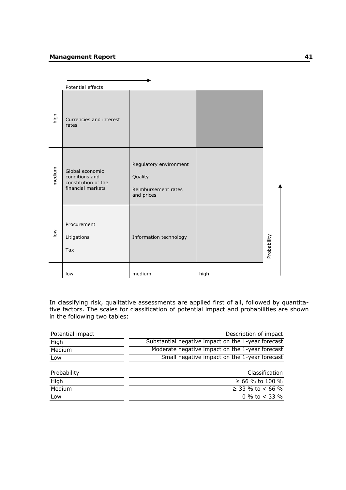# **Management Report 61 and 1999 12:00 Management Report**

|                       | Potential effects                                                             |                                                                        |      |             |
|-----------------------|-------------------------------------------------------------------------------|------------------------------------------------------------------------|------|-------------|
| high                  | Currencies and interest<br>rates                                              |                                                                        |      |             |
| medium                | Global economic<br>conditions and<br>constitution of the<br>financial markets | Regulatory environment<br>Quality<br>Reimbursement rates<br>and prices |      |             |
| $\sum_{i=1}^{\infty}$ | Procurement<br>Litigations<br><b>Tax</b>                                      | Information technology                                                 |      | Probability |
|                       | low                                                                           | medium                                                                 | high |             |

In classifying risk, qualitative assessments are applied first of all, followed by quantitative factors. The scales for classification of potential impact and probabilities are shown in the following two tables:

| Potential impact | Description of impact                              |
|------------------|----------------------------------------------------|
| High             | Substantial negative impact on the 1-year forecast |
| Medium           | Moderate negative impact on the 1-year forecast    |
| Low              | Small negative impact on the 1-year forecast       |
|                  |                                                    |
| Probability      | Classification                                     |
| High             | ≥ 66 % to 100 %                                    |
| Medium           | ≥ 33 % to < 66 %                                   |
| Low              | 0 % to $<$ 33 %                                    |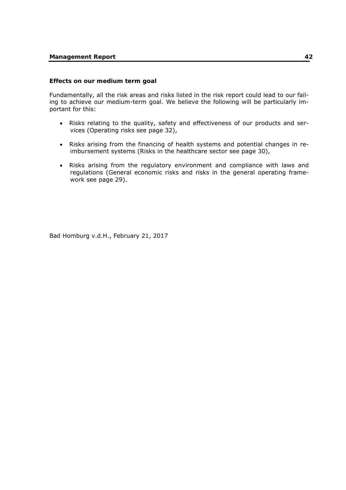## **Effects on our medium term goal**

Fundamentally, all the risk areas and risks listed in the risk report could lead to our failing to achieve our medium-term goal. We believe the following will be particularly important for this:

- Risks relating to the quality, safety and effectiveness of our products and services (Operating risks see page 32),
- Risks arising from the financing of health systems and potential changes in reimbursement systems (Risks in the healthcare sector see page 30),
- Risks arising from the regulatory environment and compliance with laws and regulations (General economic risks and risks in the general operating framework see page 29).

Bad Homburg v.d.H., February 21, 2017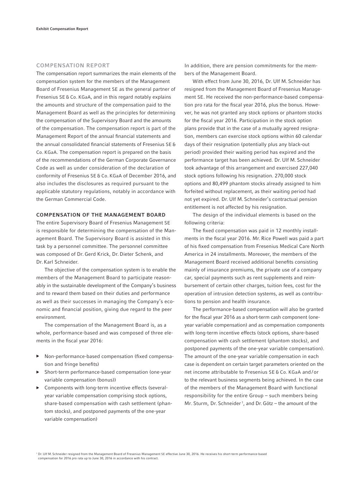#### COMPENSATION REPORT

The compensation report summarizes the main elements of the compensation system for the members of the Management Board of Fresenius Management SE as the general partner of Fresenius SE & Co. KGaA, and in this regard notably explains the amounts and structure of the compensation paid to the Management Board as well as the principles for determining the compensation of the Supervisory Board and the amounts of the compensation. The compensation report is part of the Management Report of the annual financial statements and the annual consolidated financial statements of Fresenius SE & Co. KGaA. The compensation report is prepared on the basis of the recommendations of the German Corporate Governance Code as well as under consideration of the declaration of conformity of Fresenius SE & Co. KGaA of December 2016, and also includes the disclosures as required pursuant to the applicable statutory regulations, notably in accordance with the German Commercial Code.

## COMPENSATION OF THE MANAGEMENT BOARD

The entire Supervisory Board of Fresenius Management SE is responsible for determining the compensation of the Management Board. The Supervisory Board is assisted in this task by a personnel committee. The personnel committee was composed of Dr. Gerd Krick, Dr. Dieter Schenk, and Dr. Karl Schneider.

The objective of the compensation system is to enable the members of the Management Board to participate reasonably in the sustainable development of the Company's business and to reward them based on their duties and performance as well as their successes in managing the Company's economic and financial position, giving due regard to the peer environment.

The compensation of the Management Board is, as a whole, performance-based and was composed of three elements in the fiscal year 2016:

- ▶ Non-performance-based compensation (fixed compensation and fringe benefits)
- Short-term performance-based compensation (one-year variable compensation (bonus))
- ▶ Components with long-term incentive effects (severalyear variable compensation comprising stock options, share-based compensation with cash settlement (phantom stocks), and postponed payments of the one-year variable compensation)

In addition, there are pension commitments for the members of the Management Board.

With effect from June 30, 2016, Dr. Ulf M. Schneider has resigned from the Management Board of Fresenius Management SE. He received the non-performance-based compensation pro rata for the fiscal year 2016, plus the bonus. However, he was not granted any stock options or phantom stocks for the fiscal year 2016. Participation in the stock option plans provide that in the case of a mutually agreed resignation, members can exercise stock options within 60 calendar days of their resignation (potentially plus any black-out period) provided their waiting period has expired and the performance target has been achieved. Dr. Ulf M. Schneider took advantage of this arrangement and exercised 227,040 stock options following his resignation. 270,000 stock options and 80,499 phantom stocks already assigned to him forfeited without replacement, as their waiting period had not yet expired. Dr. Ulf M. Schneider's contractual pension entitlement is not affected by his resignation.

The design of the individual elements is based on the following criteria:

The fixed compensation was paid in 12 monthly installments in the fiscal year 2016. Mr. Rice Powell was paid a part of his fixed compensation from Fresenius Medical Care North America in 24 installments. Moreover, the members of the Management Board received additional benefits consisting mainly of insurance premiums, the private use of a company car, special payments such as rent supplements and reimbursement of certain other charges, tuition fees, cost for the operation of intrusion detection systems, as well as contributions to pension and health insurance.

The performance-based compensation will also be granted for the fiscal year 2016 as a short-term cash component (oneyear variable compensation) and as compensation components with long-term incentive effects (stock options, share-based compensation with cash settlement (phantom stocks), and postponed payments of the one-year variable compensation). The amount of the one-year variable compensation in each case is dependent on certain target parameters oriented on the net income attributable to Fresenius SE & Co. KGaA and / or to the relevant business segments being achieved. In the case of the members of the Management Board with functional responsibility for the entire Group – such members being Mr. Sturm, Dr. Schneider<sup>1</sup>, and Dr. Götz – the amount of the

1 Dr. Ulf M. Schneider resigned from the Management Board of Fresenius Management SE effective June 30, 2016. He receives his short-term performance-based compensation for 2016 pro rata up to June 30, 2016 in accordance with his contract.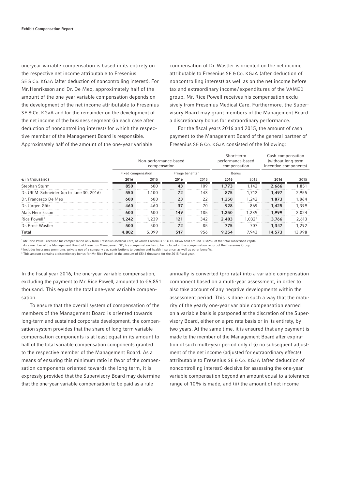one-year variable compensation is based in its entirety on the respective net income attributable to Fresenius SE & Co. KGaA (after deduction of noncontrolling interest). For Mr. Henriksson and Dr. De Meo, approximately half of the amount of the one-year variable compensation depends on the development of the net income attributable to Fresenius SE & Co. KGaA and for the remainder on the development of the net income of the business segment (in each case after deduction of noncontrolling interest) for which the respective member of the Management Board is responsible. Approximately half of the amount of the one-year variable

compensation of Dr. Wastler is oriented on the net income attributable to Fresenius SE & Co. KGaA (after deduction of non controlling interest) as well as on the net income before tax and extraordinary income/expenditures of the VAMED group. Mr. Rice Powell receives his compensation exclusively from Fresenius Medical Care. Furthermore, the Supervisory Board may grant members of the Management Board a discretionary bonus for extraordinary performance.

For the fiscal years 2016 and 2015, the amount of cash payment to the Management Board of the general partner of Fresenius SE & Co. KGaA consisted of the following:

|                                            |                    | Non-performance-based<br>compensation |                              |      | Short-term<br>performance-based<br>compensation |                    | Cash compensation<br>(without long-term<br>incentive components) |        |
|--------------------------------------------|--------------------|---------------------------------------|------------------------------|------|-------------------------------------------------|--------------------|------------------------------------------------------------------|--------|
|                                            | Fixed compensation |                                       | Fringe benefits <sup>2</sup> |      | Bonus                                           |                    |                                                                  |        |
| $\epsilon$ in thousands                    | 2016               | 2015                                  | 2016                         | 2015 | 2016                                            | 2015               | 2016                                                             | 2015   |
| Stephan Sturm                              | 850                | 600                                   | 43                           | 109  | 1,773                                           | 1.142              | 2.666                                                            | 1,851  |
| Dr. Ulf M. Schneider (up to June 30, 2016) | 550                | 1.100                                 | 72                           | 143  | 875                                             | 1.712              | 1,497                                                            | 2,955  |
| Dr. Francesco De Meo                       | 600                | 600                                   | 23                           | 22   | 1,250                                           | 1.242              | 1,873                                                            | 1.864  |
| Dr. Jürgen Götz                            | 460                | 460                                   | 37                           | 70   | 928                                             | 869                | 1,425                                                            | 1.399  |
| Mats Henriksson                            | 600                | 600                                   | 149                          | 185  | 1,250                                           | 1.239              | 1,999                                                            | 2,024  |
| Rice Powell <sup>1</sup>                   | 1,242              | 1.239                                 | 121                          | 342  | 2,403                                           | 1.032 <sup>3</sup> | 3.766                                                            | 2,613  |
| Dr. Ernst Wastler                          | 500                | 500                                   | 72                           | 85   | 775                                             | 707                | 1,347                                                            | 1,292  |
| Total                                      | 4,802              | 5.099                                 | 517                          | 956  | 9.254                                           | 7.943              | 14,573                                                           | 13,998 |

1 Mr. Rice Powell received his compensation only from Fresenius Medical Care, of which Fresenius SE & Co. KGaA held around 30.82% of the total subscribed capital.

As a member of the Management Board of Fresenius Management SE, his compensation has to be included in the compensation report of the Fresenius Group.

<sup>2</sup> Includes insurance premiums, private use of a company car, contributions to pension and health insurance, as well as other benefits.  $^3$  This amount contains a discretionary bonus for Mr. Rice Powell in the amount of €541 thousand for the 2015 fiscal year.

In the fiscal year 2016, the one-year variable compensation, excluding the payment to Mr. Rice Powell, amounted to  $\epsilon$ 6,851 thousand. This equals the total one-year variable compensation.

To ensure that the overall system of compensation of the members of the Management Board is oriented towards long-term and sustained corporate development, the compensation system provides that the share of long-term variable compensation components is at least equal in its amount to half of the total variable compensation components granted to the respective member of the Management Board. As a means of ensuring this minimum ratio in favor of the compensation components oriented towards the long term, it is expressly provided that the Supervisory Board may determine that the one-year variable compensation to be paid as a rule

annually is converted (pro rata) into a variable compensation component based on a multi-year assessment, in order to also take account of any negative developments within the assessment period. This is done in such a way that the maturity of the yearly one-year variable compensation earned on a variable basis is postponed at the discretion of the Supervisory Board, either on a pro rata basis or in its entirety, by two years. At the same time, it is ensured that any payment is made to the member of the Management Board after expiration of such multi-year period only if (i) no subsequent adjustment of the net income (adjusted for extraordinary effects) attributable to Fresenius SE & Co. KGaA (after deduction of noncontrolling interest) decisive for assessing the one-year variable compensation beyond an amount equal to a tolerance range of 10% is made, and (ii) the amount of net income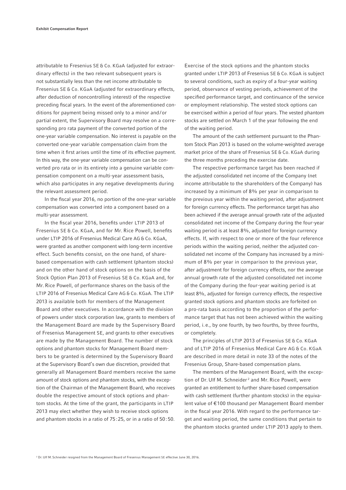attributable to Fresenius SE & Co. KGaA (adjusted for extraordinary effects) in the two relevant subsequent years is not substantially less than the net income attributable to Fresenius SE & Co. KGaA (adjusted for extraordinary effects, after deduction of noncontrolling interest) of the respective preceding fiscal years. In the event of the aforementioned conditions for payment being missed only to a minor and / or partial extent, the Supervisory Board may resolve on a corresponding pro rata payment of the converted portion of the one-year variable compensation. No interest is payable on the converted one-year variable compensation claim from the time when it first arises until the time of its effective payment. In this way, the one-year variable compensation can be converted pro rata or in its entirety into a genuine variable compensation component on a multi-year assessment basis, which also participates in any negative developments during the relevant assessment period.

In the fiscal year 2016, no portion of the one-year variable compensation was converted into a component based on a multi-year assessment.

In the fiscal year 2016, benefits under LTIP 2013 of Fresenius SE & Co. KGaA, and for Mr. Rice Powell, benefits under LTIP 2016 of Fresenius Medical Care AG & Co. KGaA, were granted as another component with long-term incentive effect. Such benefits consist, on the one hand, of sharebased compensation with cash settlement (phantom stocks) and on the other hand of stock options on the basis of the Stock Option Plan 2013 of Fresenius SE & Co. KGaA and, for Mr. Rice Powell, of performance shares on the basis of the LTIP 2016 of Fresenius Medical Care AG & Co. KGaA. The LTIP 2013 is available both for members of the Management Board and other executives. In accordance with the division of powers under stock corporation law, grants to members of the Management Board are made by the Supervisory Board of Fresenius Management SE, and grants to other executives are made by the Management Board. The number of stock options and phantom stocks for Management Board members to be granted is determined by the Supervisory Board at the Supervisory Board's own due discretion, provided that generally all Management Board members receive the same amount of stock options and phantom stocks, with the exception of the Chairman of the Management Board, who receives double the respective amount of stock options and phantom stocks. At the time of the grant, the participants in LTIP 2013 may elect whether they wish to receive stock options and phantom stocks in a ratio of 75 : 25, or in a ratio of 50 : 50.

Exercise of the stock options and the phantom stocks granted under LTIP 2013 of Fresenius SE & Co. KGaA is subject to several conditions, such as expiry of a four-year waiting period, observance of vesting periods, achievement of the specified performance target, and continuance of the service or employment relationship. The vested stock options can be exercised within a period of four years. The vested phantom stocks are settled on March 1 of the year following the end of the waiting period.

The amount of the cash settlement pursuant to the Phantom Stock Plan 2013 is based on the volume-weighted average market price of the share of Fresenius SE & Co. KGaA during the three months preceding the exercise date.

The respective performance target has been reached if the adjusted consolidated net income of the Company (net income attributable to the shareholders of the Company) has increased by a minimum of  $8\%$  per year in comparison to the previous year within the waiting period, after adjustment for foreign currency effects. The performance target has also been achieved if the average annual growth rate of the adjusted consolidated net income of the Company during the four-year waiting period is at least 8%, adjusted for foreign currency effects. If, with respect to one or more of the four reference periods within the waiting period, neither the adjusted consolidated net income of the Company has increased by a minimum of 8% per year in comparison to the previous year, after adjustment for foreign currency effects, nor the average annual growth rate of the adjusted consolidated net income of the Company during the four-year waiting period is at least 8%, adjusted for foreign currency effects, the respective granted stock options and phantom stocks are forfeited on a pro-rata basis according to the proportion of the performance target that has not been achieved within the waiting period, i. e., by one fourth, by two fourths, by three fourths, or completely.

The principles of LTIP 2013 of Fresenius SE & Co. KGaA and of LTIP 2016 of Fresenius Medical Care AG & Co. KGaA are described in more detail in note 33 of the notes of the Fresenius Group, Share-based compensation plans.

The members of the Management Board, with the exception of Dr. Ulf M. Schneider<sup>2</sup> and Mr. Rice Powell, were granted an entitlement to further share-based compensation with cash settlement (further phantom stocks) in the equivalent value of € 100 thousand per Management Board member in the fiscal year 2016. With regard to the performance target and waiting period, the same conditions that pertain to the phantom stocks granted under LTIP 2013 apply to them.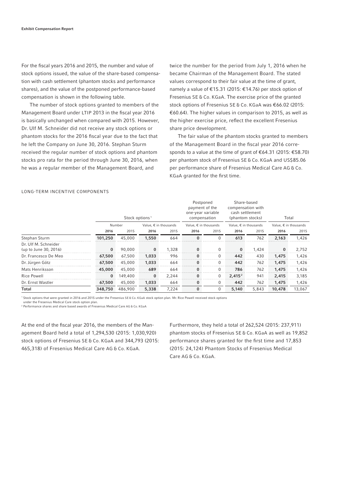For the fiscal years 2016 and 2015, the number and value of stock options issued, the value of the share-based compensation with cash settlement (phantom stocks and performance shares), and the value of the postponed performance-based compensation is shown in the following table.

The number of stock options granted to members of the Management Board under LTIP 2013 in the fiscal year 2016 is basically unchanged when compared with 2015. However, Dr. Ulf M. Schneider did not receive any stock options or phantom stocks for the 2016 fiscal year due to the fact that he left the Company on June 30, 2016. Stephan Sturm received the regular number of stock options and phantom stocks pro rata for the period through June 30, 2016, when he was a regular member of the Management Board, and

twice the number for the period from July 1, 2016 when he became Chairman of the Management Board. The stated values correspond to their fair value at the time of grant, namely a value of €15.31 (2015: €14.76) per stock option of Fresenius SE & Co. KGaA. The exercise price of the granted stock options of Fresenius SE & Co. KGaA was €66.02 (2015: € 60.64). The higher values in comparison to 2015, as well as the higher exercise price, reflect the excellent Fresenius share price development.

The fair value of the phantom stocks granted to members of the Management Board in the fiscal year 2016 corresponds to a value at the time of grant of  $\epsilon$ 64.31 (2015:  $\epsilon$ 58.70) per phantom stock of Fresenius SE & Co. KGaA and US\$ 85.06 per performance share of Fresenius Medical Care AG & Co. KGaA granted for the first time.

## LONG-TERM INCENTIVE COMPONENTS

|                                               |          | Stock options <sup>1</sup> |          |                                | Postponed<br>payment of the<br>one-year variable<br>compensation |          | Share-based<br>compensation with<br>cash settlement<br>(phantom stocks) |       | Total                          |        |  |
|-----------------------------------------------|----------|----------------------------|----------|--------------------------------|------------------------------------------------------------------|----------|-------------------------------------------------------------------------|-------|--------------------------------|--------|--|
|                                               |          | Number                     |          | Value, $\epsilon$ in thousands | Value, $\epsilon$ in thousands                                   |          | Value, $\epsilon$ in thousands                                          |       | Value, $\epsilon$ in thousands |        |  |
|                                               | 2016     | 2015                       | 2016     | 2015                           | 2016                                                             | 2015     | 2016                                                                    | 2015  | 2016                           | 2015   |  |
| Stephan Sturm                                 | 101,250  | 45,000                     | 1,550    | 664                            | $\Omega$                                                         | 0        | 613                                                                     | 762   | 2,163                          | 1,426  |  |
| Dr. Ulf M. Schneider<br>(up to June 30, 2016) | $\bf{0}$ | 90,000                     | 0        | 1,328                          | $\Omega$                                                         | $\Omega$ | $\bf{0}$                                                                | 1.424 | $\bf{0}$                       | 2,752  |  |
| Dr. Francesco De Meo                          | 67,500   | 67,500                     | 1,033    | 996                            | $\bf{0}$                                                         | $\Omega$ | 442                                                                     | 430   | 1,475                          | 1,426  |  |
| Dr. Jürgen Götz                               | 67,500   | 45,000                     | 1,033    | 664                            | $\bf{0}$                                                         | 0        | 442                                                                     | 762   | 1,475                          | 1,426  |  |
| Mats Henriksson                               | 45,000   | 45,000                     | 689      | 664                            | $\Omega$                                                         | $\Omega$ | 786                                                                     | 762   | 1,475                          | 1,426  |  |
| Rice Powell                                   | $\bf{0}$ | 149,400                    | $\bf{0}$ | 2.244                          | $\bf{0}$                                                         | 0        | 2.415 <sup>2</sup>                                                      | 941   | 2,415                          | 3,185  |  |
| Dr. Ernst Wastler                             | 67,500   | 45,000                     | 1,033    | 664                            | $\bf{0}$                                                         | $\Omega$ | 442                                                                     | 762   | 1,475                          | 1,426  |  |
| Total                                         | 348,750  | 486,900                    | 5,338    | 7,224                          | $\mathbf{0}$                                                     | 0        | 5,140                                                                   | 5,843 | 10,478                         | 13,067 |  |

1 Stock options that were granted in 2016 and 2015 under the Fresenius SE & Co. KGaA stock option plan. Mr. Rice Powell received stock options

under the Fresenius Medical Care stock option plan.

2 Performance shares and share based awards of Fresenius Medical Care AG & Co. KGaA

At the end of the fiscal year 2016, the members of the Management Board held a total of 1,294,530 (2015: 1,030,920) stock options of Fresenius SE & Co. KGaA and 344,793 (2015: 465,318) of Fresenius Medical Care AG & Co. KGaA.

Furthermore, they held a total of 262,524 (2015: 237,911) phantom stocks of Fresenius SE & Co. KGaA as well as 19,852 performance shares granted for the first time and 17,853 (2015: 24,124) Phantom Stocks of Fresenius Medical Care AG & Co. KGaA.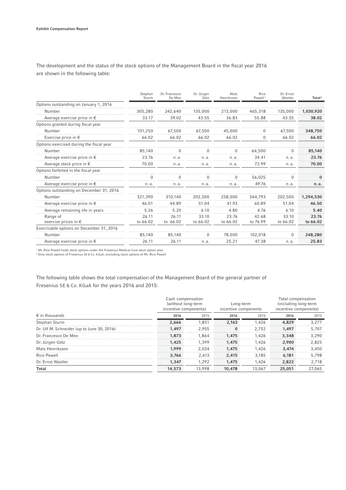The development and the status of the stock options of the Management Board in the fiscal year 2016 are shown in the following table:

|                                           | Stephan<br>Sturm  | Dr. Francesco<br>De Meo | Dr. Jürgen<br>Götz | Mats<br>Henriksson | Rice<br>Powell <sup>1</sup> | Dr. Ernst<br>Wastler | Total <sup>2</sup> |
|-------------------------------------------|-------------------|-------------------------|--------------------|--------------------|-----------------------------|----------------------|--------------------|
| Options outstanding on January 1, 2016    |                   |                         |                    |                    |                             |                      |                    |
| Number                                    | 305,280           | 242,640                 | 135,000            | 213,000            | 465,318                     | 135,000              | 1,030,920          |
| Average exercise price in $\epsilon$      | 33.17             | 39.02                   | 43.55              | 36.83              | 55.88                       | 43.55                | 38.02              |
| Options granted during fiscal year        |                   |                         |                    |                    |                             |                      |                    |
| Number                                    | 101,250           | 67,500                  | 67,500             | 45,000             |                             | 67,500               | 348,750            |
| Exercise price in $\epsilon$              | 66.02             | 66.02                   | 66.02              | 66.02              | $\mathbf{0}$                | 66.02                | 66.02              |
| Options exercised during the fiscal year  |                   |                         |                    |                    |                             |                      |                    |
| Number                                    | 85,140            |                         |                    |                    | 64,500                      |                      | 85,140             |
| Average exercise price in $\epsilon$      | 23.76             | n. a.                   | n. a.              | n.a.               | 34.41                       | n. a.                | 23.76              |
| Average stock price in $\epsilon$         | 70.00             | n.a.                    | n.a.               | n. a.              | 72.99                       | n. a.                | 70.00              |
| Options forfeited in the fiscal year      |                   |                         |                    |                    |                             |                      |                    |
| Number                                    |                   |                         |                    |                    | 56.025                      |                      |                    |
| Average exercise price in $\epsilon$      | n. a.             | n. a.                   | n.a.               | n.a.               | 49.76                       | n. a.                | n.a.               |
| Options outstanding on December 31, 2016  |                   |                         |                    |                    |                             |                      |                    |
| Number                                    | 321.390           | 310,140                 | 202,500            | 258,000            | 344,793                     | 202,500              | 1,294,530          |
| Average exercise price in $\epsilon$      | 46.01             | 44.89                   | 51.04              | 41.93              | 60.89                       | 51.04                | 46.50              |
| Average remaining life in years           | 5.26              | 5.20                    | 6.10               | 4.80               | 4.76                        | 6.10                 | 5.40               |
| Range of<br>exercise prices in $\epsilon$ | 26.11<br>to 66.02 | 26.11<br>to 66.02       | 33.10<br>to 66.02  | 23.76<br>to 66.02  | 42.68<br>to 76.99           | 33.10<br>to 66.02    | 23.76<br>to 66.02  |
| Exercisable options on December 31, 2016  |                   |                         |                    |                    |                             |                      |                    |
| Number                                    | 85,140            | 85,140                  |                    | 78,000             | 102,018                     |                      | 248,280            |
| Average exercise price in $\epsilon$      | 26.11             | 26.11                   | n.a.               | 25.21              | 47.38                       | n. a.                | 25.83              |

<sup>1</sup> Mr. Rice Powell holds stock options under the Fresenius Medical Care stock option plan.<br><sup>2</sup> Only stock options of Fresenius SE & Co. KGaA, excluding stock options of Mr. Rice Powell

The following table shows the total compensation of the Management Board of the general partner of Fresenius SE & Co. KGaA for the years 2016 and 2015:

|                                            | Cash compensation<br>(without long-term<br>incentive components) |        | Long-term<br>incentive components |        | Total compensation<br>(including long-term<br>incentive components) |        |  |
|--------------------------------------------|------------------------------------------------------------------|--------|-----------------------------------|--------|---------------------------------------------------------------------|--------|--|
| $\epsilon$ in thousands                    | 2016                                                             | 2015   | 2016                              | 2015   | 2016                                                                | 2015   |  |
| Stephan Sturm                              | 2.666                                                            | 1.851  | 2.163                             | 1.426  | 4,829                                                               | 3.277  |  |
| Dr. Ulf M. Schneider (up to June 30, 2016) | 1.497                                                            | 2.955  | $\Omega$                          | 2.752  | 1.497                                                               | 5.707  |  |
| Dr. Francesco De Meo                       | 1,873                                                            | 1.864  | 1.475                             | 1.426  | 3,348                                                               | 3.290  |  |
| Dr. Jürgen Götz                            | 1,425                                                            | 1.399  | 1.475                             | 1.426  | 2.900                                                               | 2.825  |  |
| Mats Henriksson                            | 1.999                                                            | 2.024  | 1.475                             | 1.426  | 3,474                                                               | 3.450  |  |
| Rice Powell                                | 3,766                                                            | 2.613  | 2,415                             | 3.185  | 6.181                                                               | 5.798  |  |
| Dr. Ernst Wastler                          | 1,347                                                            | 1,292  | 1,475                             | 1.426  | 2,822                                                               | 2,718  |  |
| Total                                      | 14,573                                                           | 13,998 | 10,478                            | 13,067 | 25,051                                                              | 27,065 |  |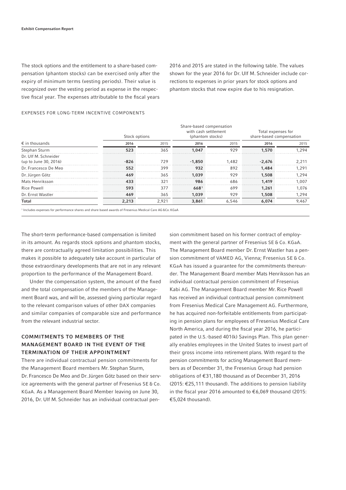The stock options and the entitlement to a share-based compensation (phantom stocks) can be exercised only after the expiry of minimum terms (vesting periods). Their value is recognized over the vesting period as expense in the respective fiscal year. The expenses attributable to the fiscal years 2016 and 2015 are stated in the following table. The values shown for the year 2016 for Dr. Ulf M. Schneider include corrections to expenses in prior years for stock options and phantom stocks that now expire due to his resignation.

#### Stock options Share-based compensation with cash settlement (phantom stocks) Total expenses for share-based compensation  $€$  in thousands 2015 2015 2016 2015 2016 2015 2016 2015 2016 2015 Stephan Sturm 523 523 523 565 1,047 929 1,570 1,294 Dr. Ulf M. Schneider (up to June 30, 2016) - 826 - 826 729 - 1,850 1,482 - 2,676 2,211 Dr. Francesco De Meo 552 552 399 932 892 1,484 1,291 Dr. Jürgen Götz 469 365 1,039 929 1,508 1,294 Mats Henriksson **433** 321 986 686 1,419 1,007 Rice Powell 593 593 377 6681 699 1,261 1,076 1,076 Dr. Ernst Wastler 469 365 1,039 929 1,508 1,294 Total 2,213 2,921 3,861 6,546 6,074 9,467

## EXPENSES FOR LONG-TERM INCENTIVE COMPONENTS

1 Includes expenses for performance shares and share based awards of Fresenius Medical Care AG &Co. KGaA

The short-term performance-based compensation is limited in its amount. As regards stock options and phantom stocks, there are contractually agreed limitation possibilities. This makes it possible to adequately take account in particular of those extraordinary developments that are not in any relevant proportion to the performance of the Management Board.

Under the compensation system, the amount of the fixed and the total compensation of the members of the Management Board was, and will be, assessed giving particular regard to the relevant comparison values of other DAX companies and similar companies of comparable size and performance from the relevant industrial sector.

# COMMITMENTS TO MEMBERS OF THE MANAGEMENT BOARD IN THE EVENT OF THE TERMINATION OF THEIR APPOINTMENT

There are individual contractual pension commitments for the Management Board members Mr. Stephan Sturm, Dr. Francesco De Meo and Dr. Jürgen Götz based on their service agreements with the general partner of Fresenius SE & Co. KGaA. As a Management Board Member leaving on June 30, 2016, Dr. Ulf M. Schneider has an individual contractual pension commitment based on his former contract of employment with the general partner of Fresenius SE & Co. KGaA. The Management Board member Dr. Ernst Wastler has a pension commitment of VAMED AG, Vienna; Fresenius SE & Co. KGaA has issued a guarantee for the commitments thereunder. The Management Board member Mats Henriksson has an individual contractual pension commitment of Fresenius Kabi AG. The Management Board member Mr. Rice Powell has received an individual contractual pension commitment from Fresenius Medical Care Management AG. Furthermore, he has acquired non-forfeitable entitlements from participating in pension plans for employees of Fresenius Medical Care North America, and during the fiscal year 2016, he participated in the U.S.-based 401(k) Savings Plan. This plan generally enables employees in the United States to invest part of their gross income into retirement plans. With regard to the pension commitments for acting Management Board members as of December 31, the Fresenius Group had pension obligations of € 31,180 thousand as of December 31, 2016 (2015: €25,111 thousand). The additions to pension liability in the fiscal year 2016 amounted to €6,069 thousand (2015: € 5,024 thousand).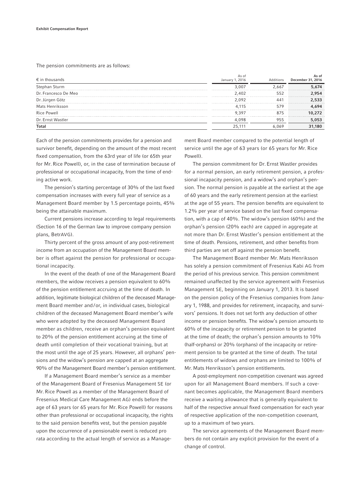The pension commitments are as follows:

| $\epsilon$ in thousands | As of<br>January 1, 2016 | Additions    | As of<br>December 31, 2016 |
|-------------------------|--------------------------|--------------|----------------------------|
| Stephan Sturm           | 3.007                    | 2.667        | 5.674                      |
| Dr. Francesco De Meo    | 2.402                    | 552          | .954                       |
| Dr. Jürgen Götz         | 2.092                    | $44^{\circ}$ | 2,533                      |
| Mats Henriksson         | 4 1 1 5                  | 579          | 4,694                      |
| <b>Rice Powell</b>      | 9 3 9 7                  | 875          | 10,272                     |
| Dr. Ernst Wastler       | 4.098                    | 955          | 5,053                      |
| <b>Total</b>            | 25.111                   | 6,069        | 31,180                     |

Each of the pension commitments provides for a pension and survivor benefit, depending on the amount of the most recent fixed compensation, from the 63rd year of life (or 65th year for Mr. Rice Powell), or, in the case of termination because of professional or occupational incapacity, from the time of ending active work.

The pension's starting percentage of 30% of the last fixed compensation increases with every full year of service as a Management Board member by 1.5 percentage points, 45% being the attainable maximum.

Current pensions increase according to legal requirements (Section 16 of the German law to improve company pension plans, BetrAVG).

Thirty percent of the gross amount of any post-retirement income from an occupation of the Management Board member is offset against the pension for professional or occupational incapacity.

In the event of the death of one of the Management Board members, the widow receives a pension equivalent to 60% of the pension entitlement accruing at the time of death. In addition, legitimate biological children of the deceased Management Board member and / or, in individual cases, biological children of the deceased Management Board member's wife who were adopted by the deceased Management Board member as children, receive an orphan's pension equivalent to 20% of the pension entitlement accruing at the time of death until completion of their vocational training, but at the most until the age of 25 years. However, all orphans' pensions and the widow's pension are capped at an aggregate 90% of the Management Board member's pension entitlement.

If a Management Board member's service as a member of the Management Board of Fresenius Management SE (or Mr. Rice Powell as a member of the Management Board of Fresenius Medical Care Management AG) ends before the age of 63 years (or 65 years for Mr. Rice Powell) for reasons other than professional or occupational incapacity, the rights to the said pension benefits vest, but the pension payable upon the occurrence of a pensionable event is reduced pro rata according to the actual length of service as a Management Board member compared to the potential length of service until the age of 63 years (or 65 years for Mr. Rice Powell).

The pension commitment for Dr. Ernst Wastler provides for a normal pension, an early retirement pension, a professional incapacity pension, and a widow's and orphan's pension. The normal pension is payable at the earliest at the age of 60 years and the early retirement pension at the earliest at the age of 55 years. The pension benefits are equivalent to 1.2% per year of service based on the last fixed compensation, with a cap of 40%. The widow's pension (60%) and the orphan's pension (20% each) are capped in aggregate at not more than Dr. Ernst Wastler's pension entitlement at the time of death. Pensions, retirement, and other benefits from third parties are set off against the pension benefit.

The Management Board member Mr. Mats Henriksson has solely a pension commitment of Fresenius Kabi AG from the period of his previous service. This pension commitment remained unaffected by the service agreement with Fresenius Management SE, beginning on January 1, 2013. It is based on the pension policy of the Fresenius companies from January 1, 1988, and provides for retirement, incapacity, and survivors' pensions. It does not set forth any deduction of other income or pension benefits. The widow's pension amounts to 60% of the incapacity or retirement pension to be granted at the time of death; the orphan's pension amounts to 10% (half-orphans) or 20% (orphans) of the incapacity or retirement pension to be granted at the time of death. The total entitlements of widows and orphans are limited to 100% of Mr. Mats Henriksson's pension entitlements.

A post-employment non-competition covenant was agreed upon for all Management Board members. If such a covenant becomes applicable, the Management Board members receive a waiting allowance that is generally equivalent to half of the respective annual fixed compensation for each year of respective application of the non-competition covenant, up to a maximum of two years.

The service agreements of the Management Board members do not contain any explicit provision for the event of a change of control.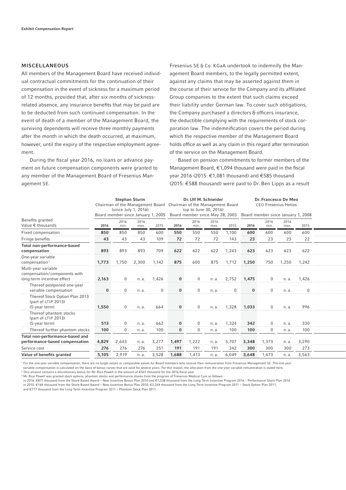## MISCELLANEOUS

All members of the Management Board have received individual contractual commitments for the continuation of their compensation in the event of sickness for a maximum period of 12 months, provided that, after six months of sicknessrelated absence, any insurance benefits that may be paid are to be deducted from such continued compensation. In the event of death of a member of the Management Board, the surviving dependents will receive three monthly payments after the month in which the death occurred, at maximum, however, until the expiry of the respective employment agreement.

During the fiscal year 2016, no loans or advance payment on future compensation components were granted to any member of the Management Board of Fresenius Management SE.

Fresenius SE & Co. KGaA undertook to indemnify the Management Board members, to the legally permitted extent, against any claims that may be asserted against them in the course of their service for the Company and its affiliated Group companies to the extent that such claims exceed their liability under German law. To cover such obligations, the Company purchased a directors & officers insurance, the deductible complying with the requirements of stock corporation law. The indemnification covers the period during which the respective member of the Management Board holds office as well as any claim in this regard after termination of the service on the Management Board.

Based on pension commitments to former members of the Management Board,  $€1,094$  thousand were paid in the fiscal year 2016 (2015: €1,081 thousand) and €585 thousand (2015: € 588 thousand) were paid to Dr. Ben Lipps as a result

|                                                                                   |          | <b>Stephan Sturm</b><br>Chairman of the Management Board<br>(since July 1, 2016)<br>Board member since January 1, 2005 |              | Dr. Ulf M. Schneider<br>Chairman of the Management Board<br>(up to June 30, 2016)<br>Board member since May 28, 2003 |          |              | Dr. Francesco De Meo<br><b>CEO Fresenius Helios</b><br>Board member since January 1, 2008 |          |       |              |              |       |  |
|-----------------------------------------------------------------------------------|----------|------------------------------------------------------------------------------------------------------------------------|--------------|----------------------------------------------------------------------------------------------------------------------|----------|--------------|-------------------------------------------------------------------------------------------|----------|-------|--------------|--------------|-------|--|
| Benefits granted<br>Value $\epsilon$ thousands                                    | 2016     | 2016<br>min.                                                                                                           | 2016<br>max. | 2015                                                                                                                 | 2016     | 2016<br>min. | 2016<br>max.                                                                              | 2015     | 2016  | 2016<br>min. | 2016<br>max. | 2015  |  |
| Fixed compensation                                                                | 850      | 850                                                                                                                    | 850          | 600                                                                                                                  | 550      | 550          | 550                                                                                       | 1,100    | 600   | 600          | 600          | 600   |  |
| Fringe benefits                                                                   | 43       | 43                                                                                                                     | 43           | 109                                                                                                                  | 72       | 72           | 72                                                                                        | 143      | 23    | 23           | 23           | 22    |  |
| Total non-performance-based<br>compensation                                       | 893      | 893                                                                                                                    | 893          | 709                                                                                                                  | 622      | 622          | 622                                                                                       | 1,243    | 623   | 623          | 623          | 622   |  |
| One-year variable<br>compensation <sup>1</sup>                                    | 1,773    | 1,750                                                                                                                  | 2,300        | 1,142                                                                                                                | 875      | 600          | 875                                                                                       | 1,712    | 1,250 | 750          | 1,250        | 1,242 |  |
| Multi-year variable<br>compensation/components with<br>long-term incentive effect | 2,163    | $\mathbf 0$                                                                                                            | n.a.         | 1,426                                                                                                                | $\bf{0}$ | $\mathbf 0$  | n. a.                                                                                     | 2,752    | 1,475 | $\mathbf 0$  | n.a.         | 1.426 |  |
| Thereof postponed one-year<br>variable compensation                               | $\bf{0}$ | $\Omega$                                                                                                               | n. a.        | $\Omega$                                                                                                             | $\bf{0}$ | $\Omega$     | n.a.                                                                                      | $\Omega$ | 0     | $\Omega$     | n. a.        |       |  |
| Thereof Stock Option Plan 2013<br>(part of LTIP 2013)<br>$(5$ -year term)         | 1,550    | 0                                                                                                                      | n.a.         | 664                                                                                                                  | $\bf{0}$ | $\mathbf 0$  | n. a.                                                                                     | 1,328    | 1,033 | 0            | n.a.         | 996   |  |
| Thereof phantom stocks<br>(part of LTIP 2013)<br>$(5$ -year term)                 | 513      | $\mathbf 0$                                                                                                            | n.a.         | 662                                                                                                                  | $\bf{0}$ | $\mathbf 0$  | n.a.                                                                                      | 1,324    | 342   | $\mathbf 0$  | n.a.         | 330   |  |
| Thereof further phantom stocks                                                    | 100      | $\mathbf 0$                                                                                                            | n.a.         | 100                                                                                                                  | $\bf{0}$ | $\mathbf 0$  | n. a.                                                                                     | 100      | 100   | $\mathbf 0$  | n.a.         | 100   |  |
| Total non-performance-based and<br>performance-based compensation                 | 4,829    | 2,643                                                                                                                  | n.a.         | 3,277                                                                                                                | 1,497    | 1,222        | n.a.                                                                                      | 5,707    | 3,348 | 1,373        | n.a.         | 3,290 |  |
| Service cost                                                                      | 276      | 276                                                                                                                    | 276          | 251                                                                                                                  | 191      | 191          | 191                                                                                       | 342      | 300   | 300          | 300          | 273   |  |
| Value of benefits granted                                                         | 5,105    | 2,919                                                                                                                  | n.a.         | 3,528                                                                                                                | 1,688    | 1,413        | n. a.                                                                                     | 6,049    | 3,648 | 1,673        | n.a.         | 3,563 |  |

<sup>1</sup> For the one-year variable compensation, there are no target values or comparable values for Board members who receive their remuneration from Fresenius Management SE. The one-year variable compensation is calculated on the basis of bonus curves that are valid for several years. For this reason, the allocation from the one-year variable remuneration is stated here.

<sup>2</sup> This amount contains a discretionary bonus for Mr. Rice Powell in the amount of €541 thousand for the 2016 fiscal year.  $^{\rm 3}$  Mr. Rice Powell was granted stock options, phantom stocks and performance shares from the program of Fresenius Medical Care as follows:

in 2016: € 877 thousand from the Share Based Award – New Incentive Bonus Plan 2010 and € 1,538 thousand from the Long Term Incentive Program 2016 – Performance Share Plan 2016

in 2015: € 164 thousand from the Share Based Award – New Incentive Bonus Plan 2010, € 2,244 thousand from the Long Term Incentive Program 2011 – Stock Option Plan 2011, and €777 thousand from the Long Term Incentive Program 2011 – Phantom Stock Plan 2011.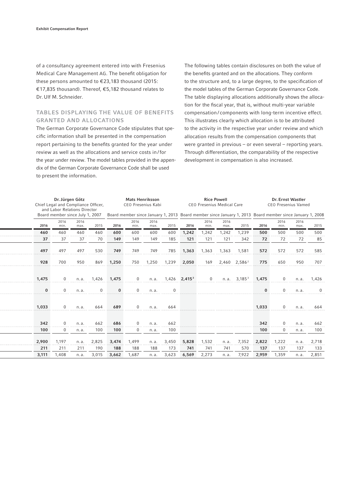of a consultancy agreement entered into with Fresenius Medical Care Management AG. The benefit obligation for these persons amounted to  $\epsilon$ 23,183 thousand (2015: € 17,835 thousand). Thereof, € 5,182 thousand relates to Dr. Ulf M. Schneider.

## TABLES DISPLAYING THE VALUE OF BENEFITS GRANTED AND ALLOCATIONS

The German Corporate Governance Code stipulates that specific information shall be presented in the compensation report pertaining to the benefits granted for the year under review as well as the allocations and service costs in / for the year under review. The model tables provided in the appendix of the German Corporate Governance Code shall be used to present the information.

The following tables contain disclosures on both the value of the benefits granted and on the allocations. They conform to the structure and, to a large degree, to the specification of the model tables of the German Corporate Governance Code. The table displaying allocations additionally shows the allocation for the fiscal year, that is, without multi-year variable compensation / components with long-term incentive effect. This illustrates clearly which allocation is to be attributed to the activity in the respective year under review and which allocation results from the compensation components that were granted in previous – or even several – reporting years. Through differentiation, the comparability of the respective development in compensation is also increased.

|          | Dr. Jürgen Götz<br>Chief Legal and Compliance Officer,<br>and Labor Relations Director |              |             | <b>Mats Henriksson</b><br>CEO Fresenius Kabi |              |              |            | <b>Rice Powell</b><br><b>CEO Fresenius Medical Care</b> |              |              |                          | Dr. Ernst Wastler<br><b>CEO Fresenius Vamed</b>                                                          |              |              |          |
|----------|----------------------------------------------------------------------------------------|--------------|-------------|----------------------------------------------|--------------|--------------|------------|---------------------------------------------------------|--------------|--------------|--------------------------|----------------------------------------------------------------------------------------------------------|--------------|--------------|----------|
|          | Board member since July 1, 2007                                                        |              |             |                                              |              |              |            |                                                         |              |              |                          | Board member since January 1, 2013 Board member since January 1, 2013 Board member since January 1, 2008 |              |              |          |
| 2016     | 2016<br>min.                                                                           | 2016<br>max. | 2015        | 2016                                         | 2016<br>min. | 2016<br>max. | 2015       | 2016                                                    | 2016<br>min. | 2016<br>max. | 2015                     | 2016                                                                                                     | 2016<br>min. | 2016<br>max. | 2015     |
| 460      | 460                                                                                    | 460          | 460         | 600                                          | 600          | 600          | 600        | 1,242                                                   | 1,242        | 1,242        | 1,239                    | 500                                                                                                      | 500          | 500          | 500      |
| 37       | 37                                                                                     | 37           | 70          | 149                                          | 149          | 149          | 185        | 121                                                     | 121          | 121          | 342                      | 72                                                                                                       | 72           | 72           | 85       |
| 497      | 497                                                                                    | 497          | 530         | 749                                          | 749          | 749          | 785        | 1,363                                                   | 1,363        | 1,363        | 1,581                    | 572                                                                                                      | 572          | 572          | 585      |
| 928      | 700                                                                                    | 950          | 869         | 1,250                                        | 750          | 1,250        | 1,239      | 2,050                                                   | 169          |              | 2,460 2,586 <sup>2</sup> | 775                                                                                                      | 650          | 950          | 707      |
| 1,475    | $\mathbf 0$                                                                            | n.a.         | 1,426       | 1,475                                        | 0            | n.a.         |            | $1,426$ 2,415 <sup>3</sup>                              | $\mathbf 0$  | n. a.        | 3,185 <sup>3</sup>       | 1,475                                                                                                    | $\mathbf 0$  | n.a.         | 1,426    |
| $\bf{0}$ | $\Omega$                                                                               | n.a.         | $\mathbf 0$ | $\bf{0}$                                     | $\mathbf 0$  | n.a.         | 0          |                                                         |              |              |                          | $\bf{0}$                                                                                                 | $\mathbf 0$  | n.a.         | $\Omega$ |
| 1,033    | $\Omega$                                                                               | n.a.         | 664         | 689                                          | $\Omega$     | n.a.         | 664        |                                                         |              |              |                          | 1,033                                                                                                    | $\Omega$     | n.a.         | 664      |
| 342      | $\mathbf{0}$<br>$\mathbf{0}$                                                           | n. a.        | 662         | 686<br>100                                   | $\mathbf 0$  | n. a.        | 662<br>100 |                                                         |              |              |                          | 342                                                                                                      | $\Omega$     | n. a.        | 662      |
| 100      |                                                                                        | n. a.        | 100         |                                              | 0            | n. a.        |            |                                                         |              |              |                          | 100                                                                                                      | $\mathbf 0$  | n.a.         | 100      |
| 2,900    | 1,197                                                                                  | n.a.         | 2,825       | 3,474                                        | 1,499        | n.a.         | 3,450      | 5,828                                                   | 1,532        | n.a.         | 7,352                    | 2,822                                                                                                    | 1,222        | n.a.         | 2,718    |
| 211      | 211                                                                                    | 211          | 190         | 188                                          | 188          | 188          | 173        | 741                                                     | 741          | 741          | 570                      | 137                                                                                                      | 137          | 137          | 133      |
| 3,111    | 1,408                                                                                  | n.a.         | 3,015       | 3,662                                        | 1,687        | n.a.         | 3,623      | 6,569                                                   | 2,273        | n.a.         | 7,922                    | 2,959                                                                                                    | 1,359        | n.a.         | 2,851    |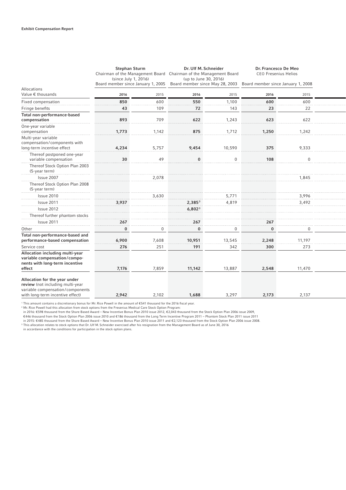|                                                                                                                                           | <b>Stephan Sturm</b><br>Chairman of the Management Board Chairman of the Management Board<br>(since July 1, 2016)<br>Board member since January 1, 2005 |          | Dr. Ulf M. Schneider<br>(up to June 30, 2016)<br>Board member since May 28, 2003 |          | Dr. Francesco De Meo<br><b>CEO Fresenius Helios</b><br>Board member since January 1, 2008 |             |  |
|-------------------------------------------------------------------------------------------------------------------------------------------|---------------------------------------------------------------------------------------------------------------------------------------------------------|----------|----------------------------------------------------------------------------------|----------|-------------------------------------------------------------------------------------------|-------------|--|
| Allocations                                                                                                                               |                                                                                                                                                         |          |                                                                                  |          |                                                                                           |             |  |
| Value € thousands                                                                                                                         | 2016                                                                                                                                                    | 2015     | 2016                                                                             | 2015     | 2016                                                                                      | 2015        |  |
| Fixed compensation                                                                                                                        | 850                                                                                                                                                     | 600      | 550                                                                              | 1,100    | 600                                                                                       | 600         |  |
| Fringe benefits                                                                                                                           | 43                                                                                                                                                      | 109      | 72                                                                               | 143      | 23                                                                                        | 22          |  |
| Total non-performance-based<br>compensation                                                                                               | 893                                                                                                                                                     | 709      | 622                                                                              | 1,243    | 623                                                                                       | 622         |  |
| One-year variable                                                                                                                         |                                                                                                                                                         |          |                                                                                  |          |                                                                                           |             |  |
| compensation                                                                                                                              | 1,773                                                                                                                                                   | 1,142    | 875                                                                              | 1,712    | 1,250                                                                                     | 1,242       |  |
| Multi-year variable<br>compensation/components with<br>long-term incentive effect                                                         | 4,234                                                                                                                                                   | 5,757    | 9,454                                                                            | 10,590   | 375                                                                                       | 9,333       |  |
| Thereof postponed one-year<br>variable compensation                                                                                       | 30                                                                                                                                                      | 49       | $\bf{0}$                                                                         | $\Omega$ | 108                                                                                       | $\mathbf 0$ |  |
| Thereof Stock Option Plan 2003<br>$(5$ -year term)                                                                                        |                                                                                                                                                         |          |                                                                                  |          |                                                                                           |             |  |
| Issue 2007                                                                                                                                |                                                                                                                                                         | 2,078    |                                                                                  |          |                                                                                           | 1,845       |  |
| Thereof Stock Option Plan 2008<br>(5-year term)                                                                                           |                                                                                                                                                         |          |                                                                                  |          |                                                                                           |             |  |
| Issue 2010                                                                                                                                |                                                                                                                                                         | 3,630    |                                                                                  | 5,771    |                                                                                           | 3,996       |  |
| Issue 2011                                                                                                                                | 3,937                                                                                                                                                   |          | $2,385^3$                                                                        | 4,819    |                                                                                           | 3,492       |  |
| Issue 2012                                                                                                                                |                                                                                                                                                         |          | 6,802 <sup>3</sup>                                                               |          |                                                                                           |             |  |
| Thereof further phantom stocks                                                                                                            |                                                                                                                                                         |          |                                                                                  |          |                                                                                           |             |  |
| Issue 2011                                                                                                                                | 267                                                                                                                                                     |          | 267                                                                              |          | 267                                                                                       |             |  |
| Other                                                                                                                                     | 0                                                                                                                                                       | $\Omega$ | $\bf{0}$                                                                         | $\Omega$ | $\bf{0}$                                                                                  | 0           |  |
| Total non-performance-based and<br>performance-based compensation                                                                         | 6,900                                                                                                                                                   | 7,608    | 10,951                                                                           | 13,545   | 2,248                                                                                     | 11,197      |  |
| Service cost                                                                                                                              | 276                                                                                                                                                     | 251      | 191                                                                              | 342      | 300                                                                                       | 273         |  |
| Allocation including multi-year<br>variable compensation/compo-<br>nents with long-term incentive<br>effect                               | 7,176                                                                                                                                                   | 7,859    | 11,142                                                                           | 13,887   | 2,548                                                                                     | 11,470      |  |
| Allocation for the year under<br>review (not including multi-year<br>variable compensation/components<br>with long-term incentive effect) | 2,942                                                                                                                                                   | 2,102    | 1,688                                                                            | 3,297    | 2,173                                                                                     | 2,137       |  |

' This amount contains a discretionary bonus for Mr. Rice Powell in the amount of €541 thousand for the 2016 fiscal year.<br>? Mr. Rice Powell had this allocation from stock options from the Fresenius Medical Care Stock Opt

€446 thousand from the Stock Option Plan 2006 issue 2010 and €186 thousand from the Long Term Incentive Program 2011 – Phantom Stock Plan 2011 issue 2011<br>in 2015: €485 thousand from the Share Based Award – New Incentive B

in accordance with the conditions for participation in the stock option plans.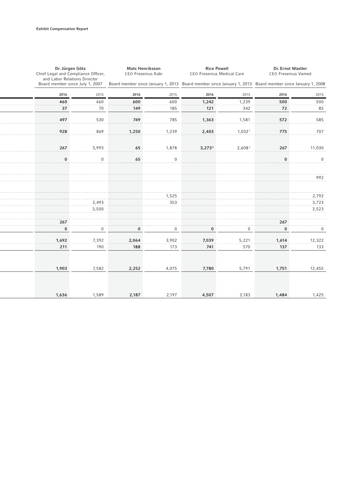| Dr. Jürgen Götz<br>Chief Legal and Compliance Officer,          |          | <b>Mats Henriksson</b><br>CEO Fresenius Kabi |              | <b>Rice Powell</b><br>CEO Fresenius Medical Care |                      | Dr. Ernst Wastler<br><b>CEO Fresenius Vamed</b>                                                          |              |  |  |
|-----------------------------------------------------------------|----------|----------------------------------------------|--------------|--------------------------------------------------|----------------------|----------------------------------------------------------------------------------------------------------|--------------|--|--|
| and Labor Relations Director<br>Board member since July 1, 2007 |          |                                              |              |                                                  |                      | Board member since January 1, 2013 Board member since January 1, 2013 Board member since January 1, 2008 |              |  |  |
| 2016                                                            | 2015     | 2016                                         | 2015         | 2016                                             | 2015                 | 2016                                                                                                     | 2015         |  |  |
| 460                                                             | 460      | 600                                          | 600          | 1,242                                            | 1,239                | 500                                                                                                      | 500          |  |  |
| 37                                                              | 70       | 149                                          | 185          | 121                                              | 342                  | 72                                                                                                       | 85           |  |  |
| 497                                                             | 530      | 749                                          | 785          | 1,363                                            | 1,581                | 572                                                                                                      | 585          |  |  |
| 928                                                             | 869      | 1,250                                        | 1,239        | 2,403                                            | $1,032$ <sup>1</sup> | 775                                                                                                      | 707          |  |  |
| 267                                                             | 5,993    | 65                                           | 1,878        | $3,273^2$                                        | 2,608 <sup>2</sup>   | 267                                                                                                      | 11,030       |  |  |
|                                                                 |          |                                              |              |                                                  |                      |                                                                                                          |              |  |  |
| $\Omega$                                                        | $\Omega$ | 65                                           | $\mathbf{0}$ |                                                  |                      | $\bf{0}$                                                                                                 | $\mathbf{0}$ |  |  |
|                                                                 |          |                                              |              |                                                  |                      |                                                                                                          | 992          |  |  |
|                                                                 |          |                                              | 1,525        |                                                  |                      |                                                                                                          | 2,792        |  |  |
|                                                                 | 2,493    |                                              | 353          |                                                  |                      |                                                                                                          | 3,723        |  |  |
|                                                                 | 3,500    |                                              |              |                                                  |                      |                                                                                                          | 3,523        |  |  |
| 267                                                             |          |                                              |              |                                                  |                      | 267                                                                                                      |              |  |  |
| $\bf{0}$                                                        | 0        | $\bf{0}$                                     | 0            | $\bf{0}$                                         | 0                    | $\bf{0}$                                                                                                 | 0            |  |  |
| 1,692                                                           | 7,392    | 2,064                                        | 3,902        | 7,039                                            | 5,221                | 1,614                                                                                                    | 12,322       |  |  |
| 211                                                             | 190      | 188                                          | 173          | 741                                              | 570                  | 137                                                                                                      | 133          |  |  |
|                                                                 |          |                                              |              |                                                  |                      |                                                                                                          |              |  |  |
| 1,903                                                           | 7,582    | 2,252                                        | 4,075        | 7,780                                            | 5,791                | 1,751                                                                                                    | 12,455       |  |  |
|                                                                 |          |                                              |              |                                                  |                      |                                                                                                          |              |  |  |
| 1,636                                                           | 1,589    | 2,187                                        | 2,197        | 4,507                                            | 3,183                | 1,484                                                                                                    | 1,425        |  |  |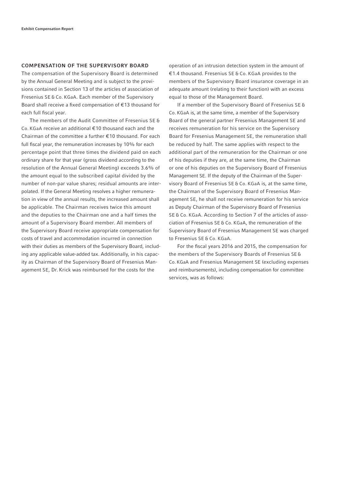#### COMPENSATION OF THE SUPERVISORY BOARD

The compensation of the Supervisory Board is determined by the Annual General Meeting and is subject to the provisions contained in Section 13 of the articles of association of Fresenius SE & Co. KGaA. Each member of the Supervisory Board shall receive a fixed compensation of  $E$ 13 thousand for each full fiscal year.

The members of the Audit Committee of Fresenius SE & Co. KGaA receive an additional € 10 thousand each and the Chairman of the committee a further € 10 thousand. For each full fiscal year, the remuneration increases by 10% for each percentage point that three times the dividend paid on each ordinary share for that year (gross dividend according to the resolution of the Annual General Meeting) exceeds 3.6% of the amount equal to the subscribed capital divided by the number of non-par value shares; residual amounts are interpolated. If the General Meeting resolves a higher remuneration in view of the annual results, the increased amount shall be applicable. The Chairman receives twice this amount and the deputies to the Chairman one and a half times the amount of a Supervisory Board member. All members of the Supervisory Board receive appropriate compensation for costs of travel and accommodation incurred in connection with their duties as members of the Supervisory Board, including any applicable value-added tax. Additionally, in his capacity as Chairman of the Supervisory Board of Fresenius Management SE, Dr. Krick was reimbursed for the costs for the

operation of an intrusion detection system in the amount of € 1.4 thousand. Fresenius SE & Co. KGaA provides to the members of the Supervisory Board insurance coverage in an adequate amount (relating to their function) with an excess equal to those of the Management Board.

If a member of the Supervisory Board of Fresenius SE & Co. KGaA is, at the same time, a member of the Supervisory Board of the general partner Fresenius Management SE and receives remuneration for his service on the Supervisory Board for Fresenius Management SE, the remuneration shall be reduced by half. The same applies with respect to the additional part of the remuneration for the Chairman or one of his deputies if they are, at the same time, the Chairman or one of his deputies on the Supervisory Board of Fresenius Management SE. If the deputy of the Chairman of the Supervisory Board of Fresenius SE & Co. KGaA is, at the same time, the Chairman of the Supervisory Board of Fresenius Management SE, he shall not receive remuneration for his service as Deputy Chairman of the Supervisory Board of Fresenius SE & Co. KGaA. According to Section 7 of the articles of association of Fresenius SE & Co. KGaA, the remuneration of the Supervisory Board of Fresenius Management SE was charged to Fresenius SE & Co. KGaA.

For the fiscal years 2016 and 2015, the compensation for the members of the Supervisory Boards of Fresenius SE & Co. KGaA and Fresenius Management SE (excluding expenses and reimbursements), including compensation for committee services, was as follows: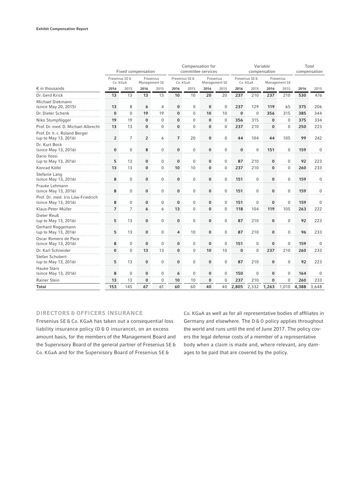|                                                           |                            |                       | Fixed compensation |                            | Compensation for<br>committee services |                            |                            |                  | Variable<br>compensation   |              |                            |              | Total<br>compensation |              |
|-----------------------------------------------------------|----------------------------|-----------------------|--------------------|----------------------------|----------------------------------------|----------------------------|----------------------------|------------------|----------------------------|--------------|----------------------------|--------------|-----------------------|--------------|
|                                                           | Fresenius SE &<br>Co. KGaA |                       |                    | Fresenius<br>Management SE |                                        | Fresenius SE &<br>Co. KGaA | Fresenius<br>Management SE |                  | Fresenius SE &<br>Co. KGaA |              | Fresenius<br>Management SE |              |                       |              |
| $\epsilon$ in thousands                                   | 2016                       | 2015                  | 2016               | 2015                       | 2016                                   | 2015                       | 2016                       | 2015             | 2016                       | 2015         | 2016                       | 2015         | 2016                  | 2015         |
| Dr. Gerd Krick                                            | 13                         | 13                    | 13                 | 13                         | 10                                     | 10                         | 20                         | 20               | 237                        | 210          | 237                        | 210          | 530                   | 476          |
| Michael Diekmann<br>(since May 20, 2015)                  | 13                         | 8                     | 6                  | 4                          | 0                                      | 0                          | 0                          | 0                | 237                        | 129          | 119                        | 65           | 375                   | 206          |
| Dr. Dieter Schenk                                         | $\bf{0}$<br>المتحدث        | $\boldsymbol{0}$<br>. | 19                 | 19                         | $\bf{0}$                               | $\mathbf 0$                | 10                         | 10               | $\bf{0}$                   | 0            | 356                        | 315          | 385                   | 344          |
| Niko Stumpfögger                                          | 19<br>.                    | 19<br>.               | $\bf{0}$           | $\mathbf 0$                | $\bf{0}$                               | $\mathbf 0$                | $\bf{0}$                   | 0                | 356                        | 315          | $\bf{0}$                   | $\mathbf{0}$ | 375                   | 334          |
| Prof. Dr. med. D. Michael Albrecht                        | 13                         | 13                    | $\bf{0}$           | $\Omega$                   | $\bf{0}$                               | $\Omega$                   | 0                          | 0                | 237                        | 210          | 0                          | $\mathbf{0}$ | 250                   | 223          |
| Prof. Dr. h. c. Roland Berger<br>(up to May 13, 2016)     | $\overline{2}$             | $\overline{7}$        | $\overline{2}$     | 6                          | $\overline{7}$                         | 20                         | $\bf{0}$                   | 0                | 44                         | 104          | 44                         | 105          | 99                    | 242          |
| Dr. Kurt Bock<br>(since May 13, 2016)                     | $\bf{0}$                   | $\mathbf 0$           | 8                  | $\mathbf{0}$               | $\bf{0}$                               | $\mathbf 0$                | $\bf{0}$                   | 0                | $\bf{0}$                   | $\mathbf{0}$ | 151                        | $\mathbf{0}$ | 159                   | $\Omega$     |
| Dario Ilossi                                              |                            |                       |                    |                            |                                        |                            |                            |                  |                            |              |                            |              |                       |              |
| (up to May 13, 2016)                                      | 5                          | 13                    | 0                  | 0                          | $\bf{0}$                               | $\mathbf 0$                | 0                          | 0                | 87                         | 210          | 0                          | $\mathbf 0$  | 92                    | 223          |
| Konrad Kölbl                                              | 13                         | 13                    | 0                  | 0                          | 10                                     | 10                         | $\bf{0}$                   | 0                | 237                        | 210          | $\bf{0}$                   | $\mathbf 0$  | 260                   | 233          |
| Stefanie Lang<br>(since May 13, 2016)                     | 8                          | $\boldsymbol{0}$      | 0                  | $\bf{0}$                   | $\bf{0}$                               | $\mathbf 0$                | 0                          | $\boldsymbol{0}$ | 151                        | 0            | $\bf{0}$                   | $\mathbf{0}$ | 159                   | $\Omega$     |
| Frauke Lehmann<br>(since May 13, 2016)                    | 8                          | $\boldsymbol{0}$      | $\bf{0}$           | $\boldsymbol{0}$           | $\bf{0}$                               | $\boldsymbol{0}$           | 0                          | 0                | 151                        | 0            | $\bf{0}$                   | $\mathbf 0$  | 159                   | $\bf{0}$     |
| Prof. Dr. med. Iris Löw-Friedrich<br>(since May 13, 2016) | 8                          | $\mathbf 0$           | $\bf{0}$           | $\mathbf 0$                | $\bf{0}$                               | $\mathbf 0$                | 0                          | 0                | 151                        | 0            | $\bf{0}$                   | $\mathbf{0}$ | 159                   | $\mathbf{0}$ |
| Klaus-Peter Müller                                        | .<br>$\overline{7}$        | $\cdots$<br>7         | 6                  | 6                          | 13                                     | 0                          | 0                          | 0                | 118                        | 104          | 119                        | 105          | 263                   | 222          |
| Dieter Reuß<br>(up to May 13, 2016)                       | 5                          | 13                    | 0                  | $\mathbf 0$                | 0                                      | 0                          | 0                          | 0                | 87                         | 210          | $\bf{0}$                   | $\mathbf{0}$ | 92                    | 223          |
| Gerhard Roggemann<br>(up to May 13, 2016)                 | .<br>5                     | 13                    | $\bf{0}$           | 0                          | 4                                      | 10                         | $\bf{0}$                   | 0                | 87                         | 210          | $\bf{0}$                   | $\Omega$     | 96                    | 233          |
| Oscar Romero de Paco<br>(since May 13, 2016)              | 8                          | $\mathbf{0}$          | $\bf{0}$           | $\Omega$                   | $\bf{0}$                               | $\mathbf 0$                | $\bf{0}$                   | 0                | 151                        | $\mathbf{0}$ | $\bf{0}$                   | $\Omega$     | 159                   | $\Omega$     |
| Dr. Karl Schneider                                        | $\bf{0}$                   | $\mathbf{0}$          | 13                 | 13                         | $\bf{0}$                               | $\mathbf 0$                | 10                         | 10               | $\bf{0}$                   | $\mathbf{0}$ | 237                        | 210          | 260                   | 233          |
| Stefan Schubert<br>(up to May 13, 2016)                   | .<br>5                     | 13                    | 0                  | $\mathbf 0$                | $\bf{0}$                               | 0                          | $\bf{0}$                   | 0                | 87                         | 210          | $\bf{0}$                   | $\mathbf{0}$ | 92                    | 223          |
| Hauke Stars<br>(since May 13, 2016)                       | 8                          | $\mathbf{0}$          | $\bf{0}$           | 0                          | 6                                      | $\mathbf 0$                | $\bf{0}$                   | 0                | 150                        | $\mathbf{0}$ | $\bf{0}$                   | $\Omega$     | 164                   | $\Omega$     |
| Rainer Stein                                              | 13                         | 13                    | $\bf{0}$           | 0                          | 10                                     | 10                         | $\bf{0}$                   | 0                | 237                        | 210          | $\bf{0}$                   | $\Omega$     | 260                   | 233          |
| <b>Total</b>                                              | 153                        | 145                   | 67                 | 61                         | 60                                     | 60                         | 40                         | 40               | 2,805                      | 2,332        | 1,263                      | 1,010        | 4,388                 | 3.648        |

# DIRECTORS & OFFICERS INSURANCE

Fresenius SE & Co. KGaA has taken out a consequential loss liability insurance policy (D & O insurance), on an excess amount basis, for the members of the Management Board and the Supervisory Board of the general partner of Fresenius SE & Co. KGaA and for the Supervisory Board of Fresenius SE &

Co. KGaA as well as for all representative bodies of affiliates in Germany and elsewhere. The D & O policy applies throughout the world and runs until the end of June 2017. The policy covers the legal defense costs of a member of a representative body when a claim is made and, where relevant, any damages to be paid that are covered by the policy.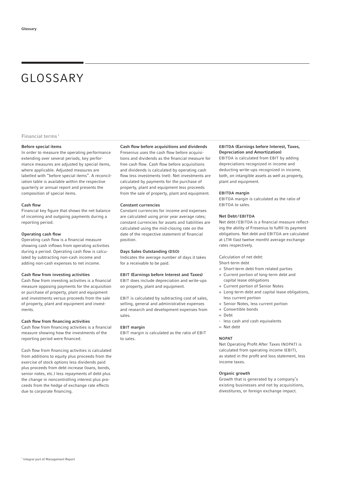# GLOSSARY

#### Financial terms 1

#### Before special items

In order to measure the operating performance extending over several periods, key performance measures are adjusted by special items, where applicable. Adjusted measures are labelled with "before special items". A reconciliation table is available within the respective quarterly or annual report and presents the composition of special items.

#### Cash flow

Financial key figure that shows the net balance of incoming and outgoing payments during a reporting period.

#### Operating cash flow

Operating cash flow is a financial measure showing cash inflows from operating activities during a period. Operating cash flow is calculated by subtracting non-cash income and adding non-cash expenses to net income.

#### Cash flow from investing activities

Cash flow from investing activities is a financial measure opposing payments for the acquisition or purchase of property, plant and equipment and investments versus proceeds from the sale of property, plant and equipment and investments.

#### Cash flow from financing activities

Cash flow from financing activities is a financial measure showing how the investments of the reporting period were financed.

Cash flow from financing activities is calculated from additions to equity plus proceeds from the exercise of stock options less dividends paid plus proceeds from debt increase (loans, bonds, senior notes, etc.) less repayments of debt plus the change in noncontrolling interest plus proceeds from the hedge of exchange rate effects due to corporate financing.

#### Cash flow before acquisitions and dividends

Fresenius uses the cash flow before acquisitions and dividends as the financial measure for free cash flow. Cash flow before acquisitions and dividends is calculated by operating cash flow less investments (net). Net investments are calculated by payments for the purchase of property, plant and equipment less proceeds from the sale of property, plant and equipment.

#### Constant currencies

Constant currencies for income and expenses are calculated using prior year average rates; constant currencies for assets and liabilities are calculated using the mid-closing rate on the date of the respective statement of financial position.

#### Days Sales Outstanding (DSO)

Indicates the average number of days it takes for a receivable to be paid.

## EBIT (Earnings before Interest and Taxes)

EBIT does include depreciation and write-ups on property, plant and equipment.

EBIT is calculated by subtracting cost of sales, selling, general and administrative expenses and research and development expenses from sales.

#### EBIT margin

EBIT margin is calculated as the ratio of EBIT to sales.

#### EBITDA (Earnings before Interest, Taxes, Depreciation and Amortization)

EBITDA is calculated from EBIT by adding depreciations recognized in income and deducting write-ups recognized in income, both, on intangible assets as well as property, plant and equipment.

#### EBITDA margin

EBITDA margin is calculated as the ratio of EBITDA to sales.

#### Net Debt / EBITDA

Net debt/EBITDA is a financial measure reflecting the ability of Fresenius to fulfill its payment obligations. Net debt and EBITDA are calculated at LTM (last twelve month) average exchange rates respectively.

Calculation of net debt:

- Short-term debt
- + Short-term debt from related parties
- + Current portion of long-term debt and capital lease obligations
- + Current portion of Senior Notes
- + Long-term debt and capital lease obligations, less current portion
- + Senior Notes, less current portion
- + Convertible bonds
- = Debt
- less cash and cash equivalents
- = Net debt

#### **NOPAT**

Net Operating Profit After Taxes (NOPAT) is calculated from operating income (EBIT), as stated in the profit and loss statement, less income taxes.

#### Organic growth

Growth that is generated by a company's existing businesses and not by acquisitions, divestitures, or foreign exchange impact.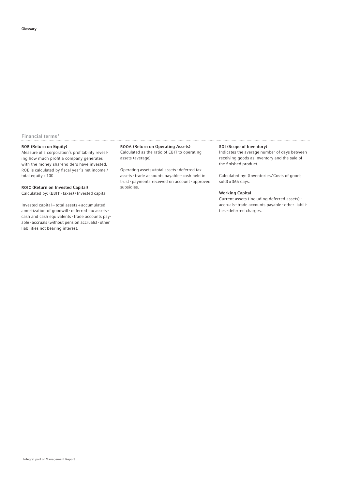## Financial terms 1

#### ROE (Return on Equity)

Measure of a corporation's profitability revealing how much profit a company generates with the money shareholders have invested. ROE is calculated by fiscal year's net income / total equity x 100.

## ROIC (Return on Invested Capital)

Calculated by: (EBIT - taxes) / Invested capital

Invested capital = total assets + accumulated amortization of goodwill - deferred tax assets cash and cash equivalents - trade accounts payable - accruals (without pension accruals) - other liabilities not bearing interest.

#### ROOA (Return on Operating Assets)

Calculated as the ratio of EBIT to operating assets (average)

Operating assets = total assets - deferred tax assets - trade accounts payable - cash held in trust - payments received on account - approved subsidies.

## SOI (Scope of Inventory)

Indicates the average number of days between receiving goods as inventory and the sale of the finished product.

Calculated by: (Inventories / Costs of goods  $s$ old) x 365 days.

#### Working Capital

Current assets (including deferred assets) accruals - trade accounts payable - other liabilities - deferred charges.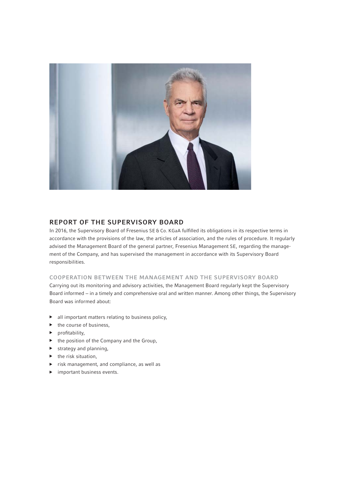

# REPORT OF THE SUPERVISORY BOARD

In 2016, the Supervisory Board of Fresenius SE & Co. KGaA fulfilled its obligations in its respective terms in accordance with the provisions of the law, the articles of association, and the rules of procedure. It regularly advised the Management Board of the general partner, Fresenius Management SE, regarding the management of the Company, and has supervised the management in accordance with its Supervisory Board responsibilities.

## COOPERATION BETWEEN THE MANAGEMENT AND THE SUPERVISORY BOARD

Carrying out its monitoring and advisory activities, the Management Board regularly kept the Supervisory Board informed − in a timely and comprehensive oral and written manner. Among other things, the Supervisory Board was informed about:

- ▶ all important matters relating to business policy,
- $\blacktriangleright$  the course of business,
- profitability,
- ▶ the position of the Company and the Group,
- $\blacktriangleright$  strategy and planning,
- $\blacktriangleright$  the risk situation,
- ▶ risk management, and compliance, as well as
- ▶ important business events.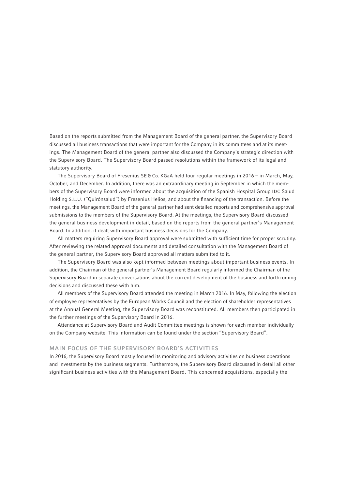Based on the reports submitted from the Management Board of the general partner, the Supervisory Board discussed all business transactions that were important for the Company in its committees and at its meetings. The Management Board of the general partner also discussed the Company's strategic direction with the Supervisory Board. The Supervisory Board passed resolutions within the framework of its legal and statutory authority.

The Supervisory Board of Fresenius SE & Co. KGaA held four regular meetings in 2016 – in March, May, October, and December. In addition, there was an extraordinary meeting in September in which the members of the Supervisory Board were informed about the acquisition of the Spanish Hospital Group IDC Salud Holding S.L.U. ("Quirónsalud") by Fresenius Helios, and about the financing of the transaction. Before the meetings, the Management Board of the general partner had sent detailed reports and comprehensive approval submissions to the members of the Supervisory Board. At the meetings, the Supervisory Board discussed the general business development in detail, based on the reports from the general partner's Management Board. In addition, it dealt with important business decisions for the Company.

All matters requiring Supervisory Board approval were submitted with sufficient time for proper scrutiny. After reviewing the related approval documents and detailed consultation with the Management Board of the general partner, the Supervisory Board approved all matters submitted to it.

The Supervisory Board was also kept informed between meetings about important business events. In addition, the Chairman of the general partner's Management Board regularly informed the Chairman of the Supervisory Board in separate conversations about the current development of the business and forthcoming decisions and discussed these with him.

All members of the Supervisory Board attended the meeting in March 2016. In May, following the election of employee representatives by the European Works Council and the election of shareholder representatives at the Annual General Meeting, the Supervisory Board was reconstituted. All members then participated in the further meetings of the Supervisory Board in 2016.

Attendance at Supervisory Board and Audit Committee meetings is shown for each member individually on the Company website. This information can be found under the section "Supervisory Board".

## MAIN FOCUS OF THE SUPERVISORY BOARD'S ACTIVITIES

In 2016, the Supervisory Board mostly focused its monitoring and advisory activities on business operations and investments by the business segments. Furthermore, the Supervisory Board discussed in detail all other significant business activities with the Management Board. This concerned acquisitions, especially the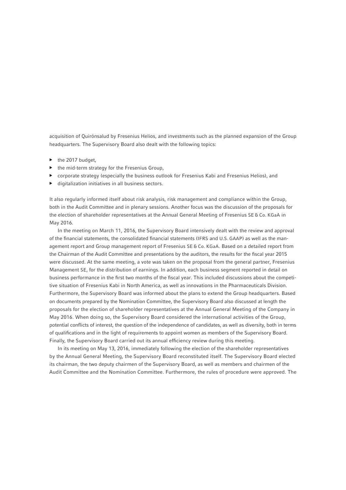acquisition of Quirónsalud by Fresenius Helios, and investments such as the planned expansion of the Group headquarters. The Supervisory Board also dealt with the following topics:

- ▶ the 2017 budget,
- ▶ the mid-term strategy for the Fresenius Group,
- ▶ corporate strategy (especially the business outlook for Fresenius Kabi and Fresenius Helios), and
- digitalization initiatives in all business sectors.

It also regularly informed itself about risk analysis, risk management and compliance within the Group, both in the Audit Committee and in plenary sessions. Another focus was the discussion of the proposals for the election of shareholder representatives at the Annual General Meeting of Fresenius SE & Co. KGaA in May 2016.

In the meeting on March 11, 2016, the Supervisory Board intensively dealt with the review and approval of the financial statements, the consolidated financial statements (IFRS and U.S. GAAP) as well as the management report and Group management report of Fresenius SE & Co. KGaA. Based on a detailed report from the Chairman of the Audit Committee and presentations by the auditors, the results for the fiscal year 2015 were discussed. At the same meeting, a vote was taken on the proposal from the general partner, Fresenius Management SE, for the distribution of earnings. In addition, each business segment reported in detail on business performance in the first two months of the fiscal year. This included discussions about the competitive situation of Fresenius Kabi in North America, as well as innovations in the Pharmaceuticals Division. Furthermore, the Supervisory Board was informed about the plans to extend the Group headquarters. Based on documents prepared by the Nomination Committee, the Supervisory Board also discussed at length the proposals for the election of shareholder representatives at the Annual General Meeting of the Company in May 2016. When doing so, the Supervisory Board considered the international activities of the Group, potential conflicts of interest, the question of the independence of candidates, as well as diversity, both in terms of qualifications and in the light of requirements to appoint women as members of the Supervisory Board. Finally, the Supervisory Board carried out its annual efficiency review during this meeting.

In its meeting on May 13, 2016, immediately following the election of the shareholder representatives by the Annual General Meeting, the Supervisory Board reconstituted itself. The Supervisory Board elected its chairman, the two deputy chairmen of the Supervisory Board, as well as members and chairmen of the Audit Committee and the Nomination Committee. Furthermore, the rules of procedure were approved. The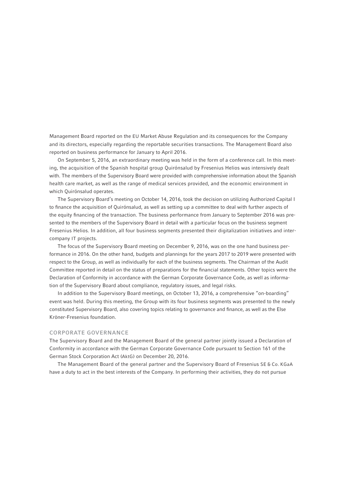Management Board reported on the EU Market Abuse Regulation and its consequences for the Company and its directors, especially regarding the reportable securities transactions. The Management Board also reported on business performance for January to April 2016.

On September 5, 2016, an extraordinary meeting was held in the form of a conference call. In this meeting, the acquisition of the Spanish hospital group Quirónsalud by Fresenius Helios was intensively dealt with. The members of the Supervisory Board were provided with comprehensive information about the Spanish health care market, as well as the range of medical services provided, and the economic environment in which Quirónsalud operates.

The Supervisory Board's meeting on October 14, 2016, took the decision on utilizing Authorized Capital I to finance the acquisition of Quirónsalud, as well as setting up a committee to deal with further aspects of the equity financing of the transaction. The business performance from January to September 2016 was presented to the members of the Supervisory Board in detail with a particular focus on the business segment Fresenius Helios. In addition, all four business segments presented their digitalization initiatives and intercompany IT projects.

The focus of the Supervisory Board meeting on December 9, 2016, was on the one hand business performance in 2016. On the other hand, budgets and plannings for the years 2017 to 2019 were presented with respect to the Group, as well as individually for each of the business segments. The Chairman of the Audit Committee reported in detail on the status of preparations for the financial statements. Other topics were the Declaration of Conformity in accordance with the German Corporate Governance Code, as well as information of the Supervisory Board about compliance, regulatory issues, and legal risks.

In addition to the Supervisory Board meetings, on October 13, 2016, a comprehensive "on-boarding" event was held. During this meeting, the Group with its four business segments was presented to the newly constituted Supervisory Board, also covering topics relating to governance and finance, as well as the Else Kröner-Fresenius foundation.

## CORPORATE GOVERNANCE

The Supervisory Board and the Management Board of the general partner jointly issued a Declaration of Conformity in accordance with the German Corporate Governance Code pursuant to Section 161 of the German Stock Corporation Act (AktG) on December 20, 2016.

The Management Board of the general partner and the Supervisory Board of Fresenius SE & Co. KGaA have a duty to act in the best interests of the Company. In performing their activities, they do not pursue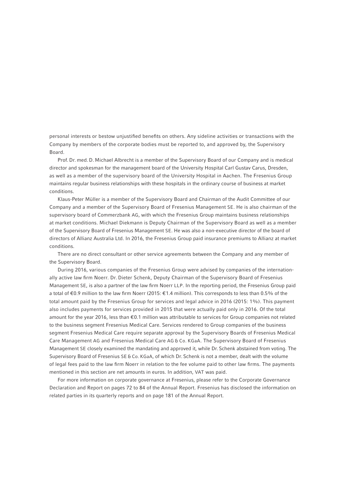personal interests or bestow unjustified benefits on others. Any sideline activities or transactions with the Company by members of the corporate bodies must be reported to, and approved by, the Supervisory Board.

Prof. Dr. med. D. Michael Albrecht is a member of the Supervisory Board of our Company and is medical director and spokesman for the management board of the University Hospital Carl Gustav Carus, Dresden, as well as a member of the supervisory board of the University Hospital in Aachen. The Fresenius Group maintains regular business relationships with these hospitals in the ordinary course of business at market conditions.

Klaus-Peter Müller is a member of the Supervisory Board and Chairman of the Audit Committee of our Company and a member of the Supervisory Board of Fresenius Management SE. He is also chairman of the supervisory board of Commerzbank AG, with which the Fresenius Group maintains business relationships at market conditions. Michael Diekmann is Deputy Chairman of the Supervisory Board as well as a member of the Supervisory Board of Fresenius Management SE. He was also a non-executive director of the board of directors of Allianz Australia Ltd. In 2016, the Fresenius Group paid insurance premiums to Allianz at market conditions.

There are no direct consultant or other service agreements between the Company and any member of the Supervisory Board.

During 2016, various companies of the Fresenius Group were advised by companies of the internationally active law firm Noerr. Dr. Dieter Schenk, Deputy Chairman of the Supervisory Board of Fresenius Management SE, is also a partner of the law firm Noerr LLP. In the reporting period, the Fresenius Group paid a total of €0.9 million to the law firm Noerr (2015: €1.4 million). This corresponds to less than 0.5% of the total amount paid by the Fresenius Group for services and legal advice in 2016 (2015: 1%). This payment also includes payments for services provided in 2015 that were actually paid only in 2016. Of the total amount for the year 2016, less than €0.1 million was attributable to services for Group companies not related to the business segment Fresenius Medical Care. Services rendered to Group companies of the business segment Fresenius Medical Care require separate approval by the Supervisory Boards of Fresenius Medical Care Management AG and Fresenius Medical Care AG & Co. KGaA. The Supervisory Board of Fresenius Management SE closely examined the mandating and approved it, while Dr. Schenk abstained from voting. The Supervisory Board of Fresenius SE & Co. KGaA, of which Dr. Schenk is not a member, dealt with the volume of legal fees paid to the law firm Noerr in relation to the fee volume paid to other law firms. The payments mentioned in this section are net amounts in euros. In addition, VAT was paid.

For more information on corporate governance at Fresenius, please refer to the Corporate Governance Declaration and Report on pages 72 to 84 of the Annual Report. Fresenius has disclosed the information on related parties in its quarterly reports and on page 181 of the Annual Report.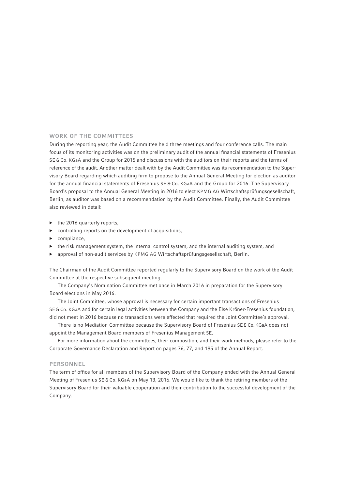## WORK OF THE COMMITTEES

During the reporting year, the Audit Committee held three meetings and four conference calls. The main focus of its monitoring activities was on the preliminary audit of the annual financial statements of Fresenius SE & Co. KGaA and the Group for 2015 and discussions with the auditors on their reports and the terms of reference of the audit. Another matter dealt with by the Audit Committee was its recommendation to the Supervisory Board regarding which auditing firm to propose to the Annual General Meeting for election as auditor for the annual financial statements of Fresenius SE & Co. KGaA and the Group for 2016. The Supervisory Board's proposal to the Annual General Meeting in 2016 to elect KPMG AG Wirtschaftsprüfungsgesellschaft, Berlin, as auditor was based on a recommendation by the Audit Committee. Finally, the Audit Committee also reviewed in detail:

- ▶ the 2016 quarterly reports,
- ▶ controlling reports on the development of acquisitions,
- ▶ compliance,
- $\blacktriangleright$  the risk management system, the internal control system, and the internal auditing system, and
- ▶ approval of non-audit services by KPMG AG Wirtschaftsprüfungsgesellschaft, Berlin.

The Chairman of the Audit Committee reported regularly to the Supervisory Board on the work of the Audit Committee at the respective subsequent meeting.

The Company's Nomination Committee met once in March 2016 in preparation for the Supervisory Board elections in May 2016.

The Joint Committee, whose approval is necessary for certain important transactions of Fresenius SE & Co. KGaA and for certain legal activities between the Company and the Else Kröner-Fresenius foundation, did not meet in 2016 because no transactions were effected that required the Joint Committee's approval.

There is no Mediation Committee because the Supervisory Board of Fresenius SE & Co. KGaA does not appoint the Management Board members of Fresenius Management SE.

For more information about the committees, their composition, and their work methods, please refer to the Corporate Governance Declaration and Report on pages 76, 77, and 195 of the Annual Report.

#### PERSONNEL

The term of office for all members of the Supervisory Board of the Company ended with the Annual General Meeting of Fresenius SE & Co. KGaA on May 13, 2016. We would like to thank the retiring members of the Supervisory Board for their valuable cooperation and their contribution to the successful development of the Company.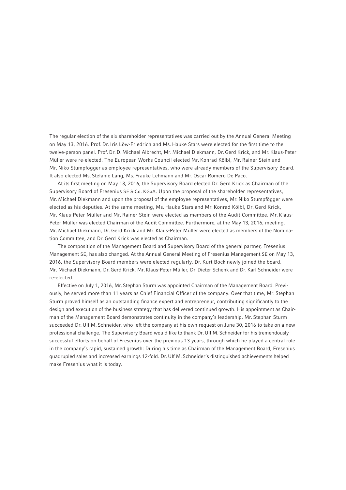The regular election of the six shareholder representatives was carried out by the Annual General Meeting on May 13, 2016. Prof. Dr. Iris Löw-Friedrich and Ms. Hauke Stars were elected for the first time to the twelve-person panel. Prof. Dr. D. Michael Albrecht, Mr. Michael Diekmann, Dr. Gerd Krick, and Mr. Klaus-Peter Müller were re-elected. The European Works Council elected Mr. Konrad Kölbl, Mr. Rainer Stein and Mr. Niko Stumpfögger as employee representatives, who were already members of the Supervisory Board. It also elected Ms. Stefanie Lang, Ms. Frauke Lehmann and Mr. Oscar Romero De Paco.

At its first meeting on May 13, 2016, the Supervisory Board elected Dr. Gerd Krick as Chairman of the Supervisory Board of Fresenius SE & Co. KGaA. Upon the proposal of the shareholder representatives, Mr. Michael Diekmann and upon the proposal of the employee representatives, Mr. Niko Stumpfögger were elected as his deputies. At the same meeting, Ms. Hauke Stars and Mr. Konrad Kölbl, Dr. Gerd Krick, Mr. Klaus-Peter Müller and Mr. Rainer Stein were elected as members of the Audit Committee. Mr. Klaus-Peter Müller was elected Chairman of the Audit Committee. Furthermore, at the May 13, 2016, meeting, Mr. Michael Diekmann, Dr. Gerd Krick and Mr. Klaus-Peter Müller were elected as members of the Nomination Committee, and Dr. Gerd Krick was elected as Chairman.

The composition of the Management Board and Supervisory Board of the general partner, Fresenius Management SE, has also changed. At the Annual General Meeting of Fresenius Management SE on May 13, 2016, the Supervisory Board members were elected regularly. Dr. Kurt Bock newly joined the board. Mr. Michael Diekmann, Dr. Gerd Krick, Mr. Klaus-Peter Müller, Dr. Dieter Schenk and Dr. Karl Schneider were re-elected.

Effective on July 1, 2016, Mr. Stephan Sturm was appointed Chairman of the Management Board. Previously, he served more than 11 years as Chief Financial Officer of the company. Over that time, Mr. Stephan Sturm proved himself as an outstanding finance expert and entrepreneur, contributing significantly to the design and execution of the business strategy that has delivered continued growth. His appointment as Chairman of the Management Board demonstrates continuity in the company's leadership. Mr. Stephan Sturm succeeded Dr. Ulf M. Schneider, who left the company at his own request on June 30, 2016 to take on a new professional challenge. The Supervisory Board would like to thank Dr. Ulf M. Schneider for his tremendously successful efforts on behalf of Fresenius over the previous 13 years, through which he played a central role in the company's rapid, sustained growth: During his time as Chairman of the Management Board, Fresenius quadrupled sales and increased earnings 12-fold. Dr. Ulf M. Schneider's distinguished achievements helped make Fresenius what it is today.